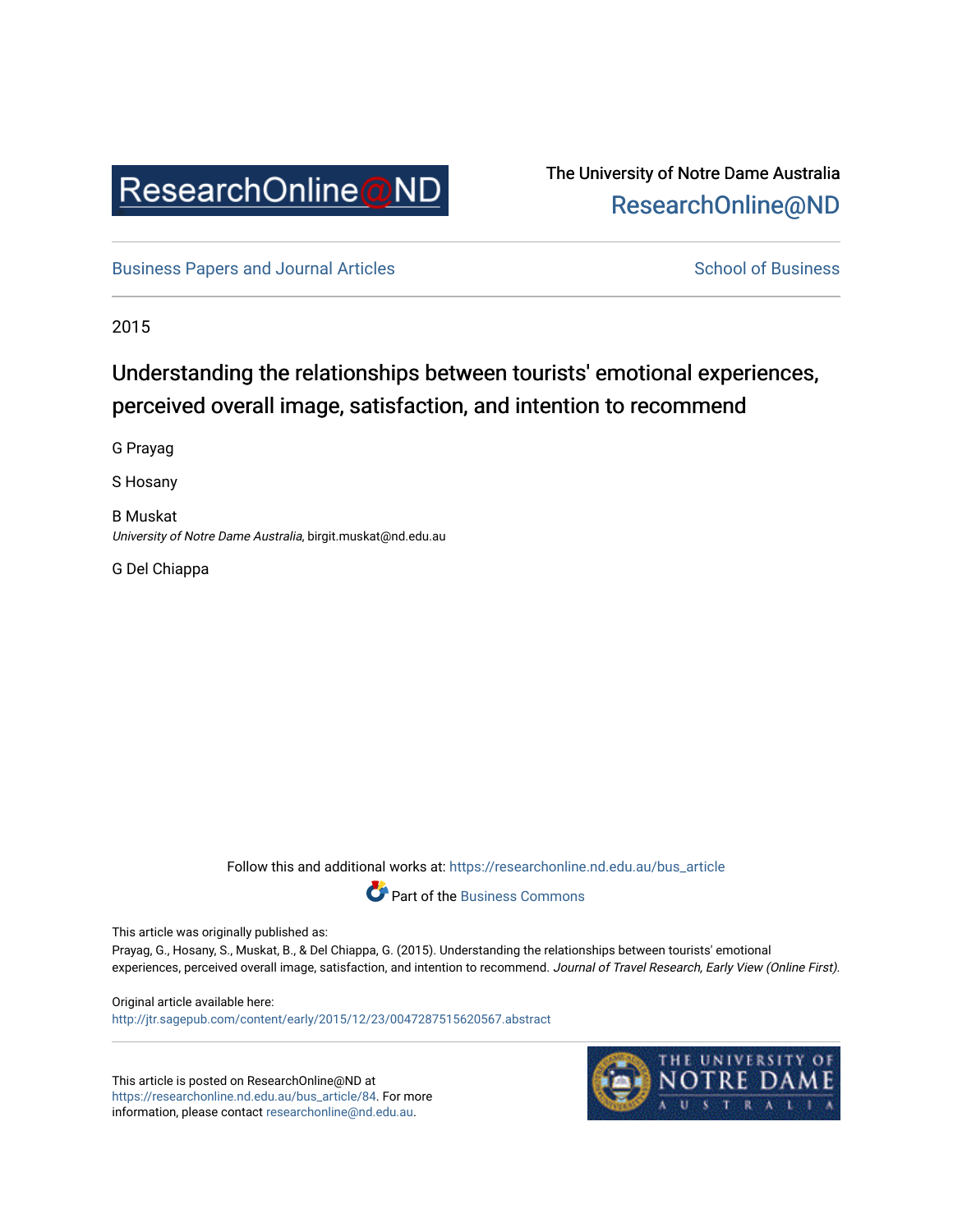

# The University of Notre Dame Australia [ResearchOnline@ND](https://researchonline.nd.edu.au/)

[Business Papers and Journal Articles](https://researchonline.nd.edu.au/bus_article) **School of Business** School of Business

2015

# Understanding the relationships between tourists' emotional experiences, perceived overall image, satisfaction, and intention to recommend

G Prayag

S Hosany

B Muskat University of Notre Dame Australia, birgit.muskat@nd.edu.au

G Del Chiappa

Follow this and additional works at: [https://researchonline.nd.edu.au/bus\\_article](https://researchonline.nd.edu.au/bus_article?utm_source=researchonline.nd.edu.au%2Fbus_article%2F84&utm_medium=PDF&utm_campaign=PDFCoverPages)



This article was originally published as:

Prayag, G., Hosany, S., Muskat, B., & Del Chiappa, G. (2015). Understanding the relationships between tourists' emotional experiences, perceived overall image, satisfaction, and intention to recommend. Journal of Travel Research, Early View (Online First).

Original article available here: <http://jtr.sagepub.com/content/early/2015/12/23/0047287515620567.abstract>

This article is posted on ResearchOnline@ND at [https://researchonline.nd.edu.au/bus\\_article/84.](https://researchonline.nd.edu.au/bus_article/84) For more information, please contact [researchonline@nd.edu.au.](mailto:researchonline@nd.edu.au)

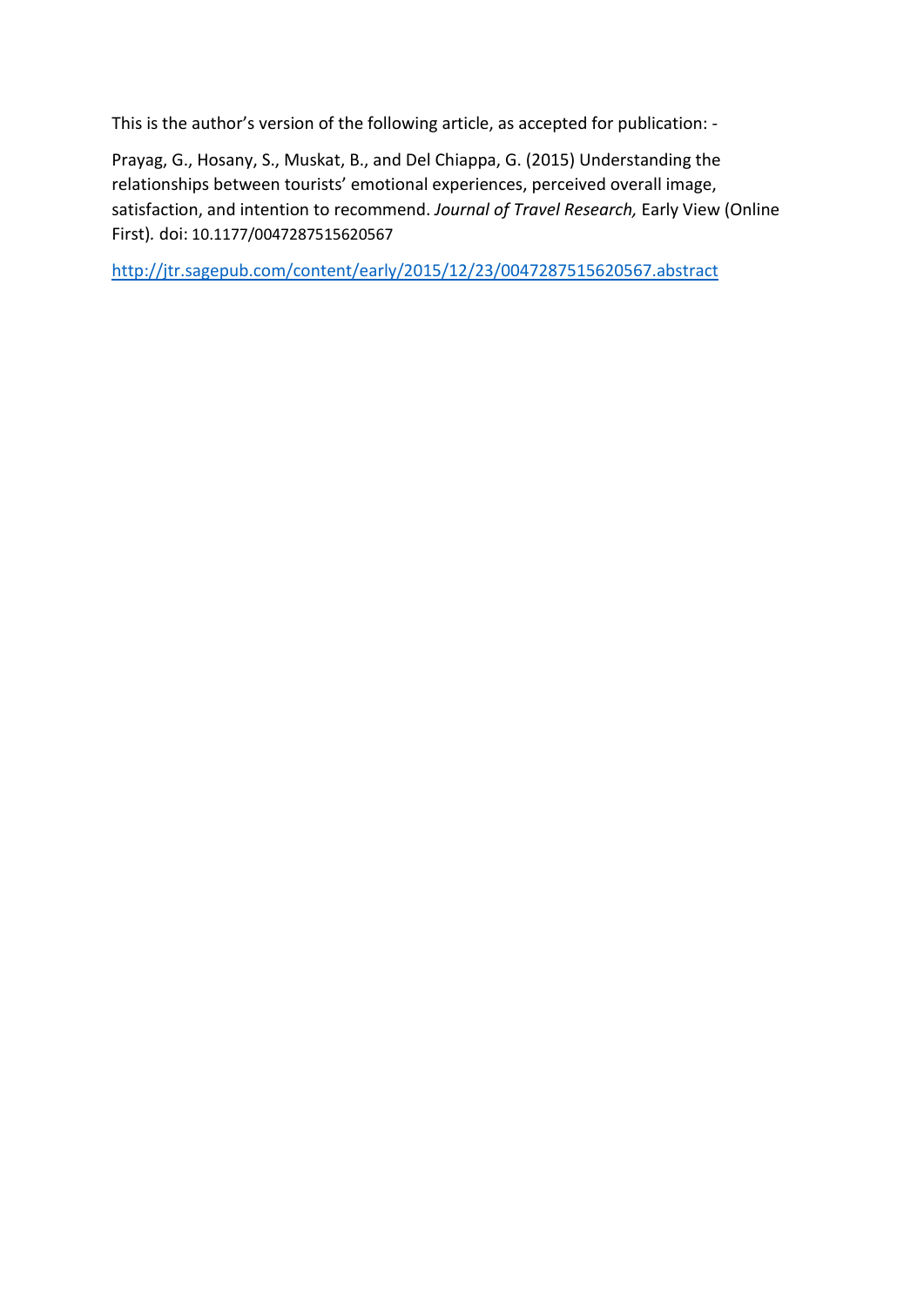This is the author's version of the following article, as accepted for publication: -

Prayag, G., Hosany, S., Muskat, B., and Del Chiappa, G. (2015) Understanding the relationships between tourists' emotional experiences, perceived overall image, satisfaction, and intention to recommend. *Journal of Travel Research,* Early View (Online First)*.* doi: 10.1177/0047287515620567

<http://jtr.sagepub.com/content/early/2015/12/23/0047287515620567.abstract>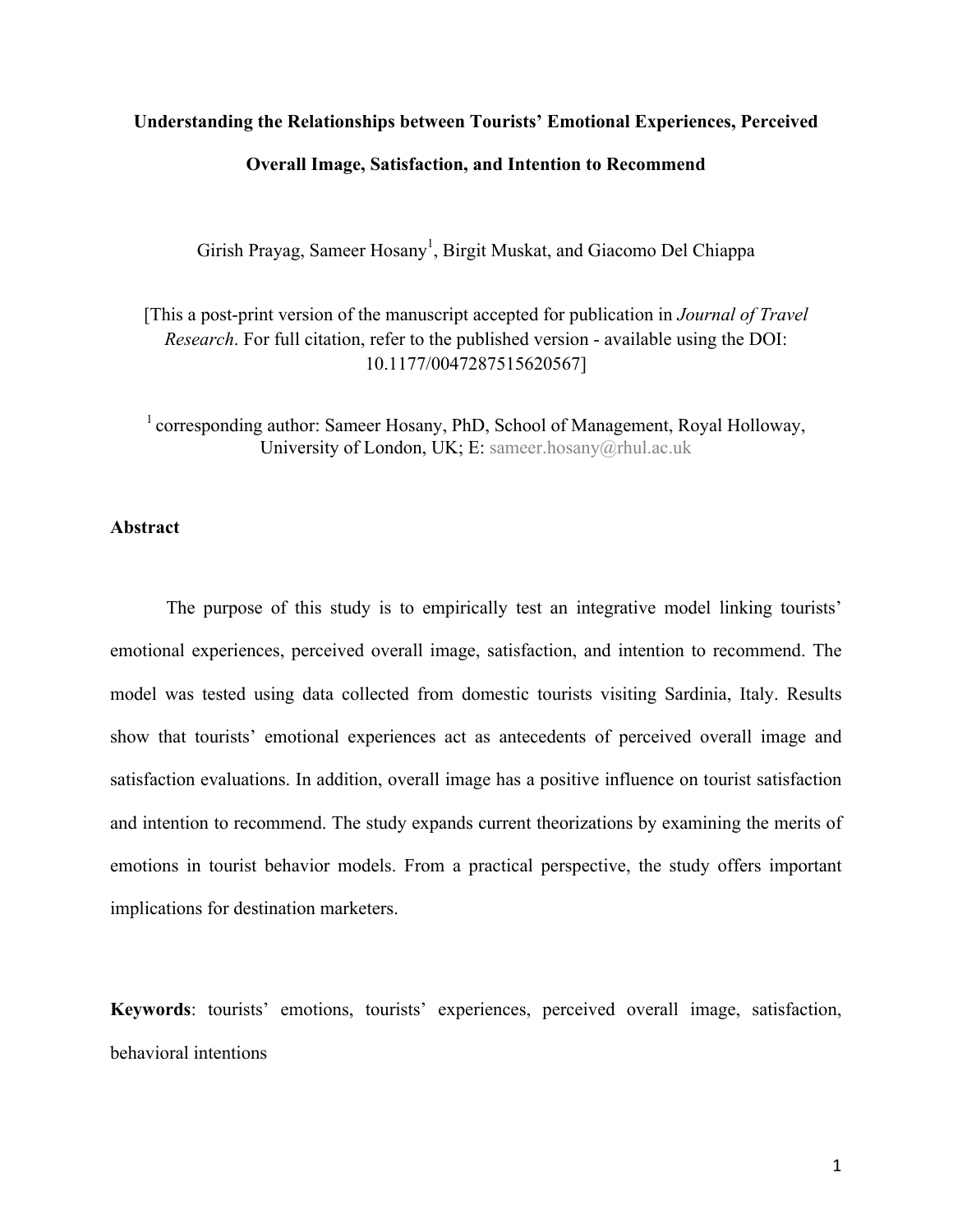### **Understanding the Relationships between Tourists' Emotional Experiences, Perceived**

# **Overall Image, Satisfaction, and Intention to Recommend**

Girish Prayag, Sameer Hosany<sup>1</sup>, Birgit Muskat, and Giacomo Del Chiappa

[This a post-print version of the manuscript accepted for publication in *Journal of Travel Research*. For full citation, refer to the published version - available using the DOI: 10.1177/0047287515620567]

<sup>1</sup> corresponding author: Sameer Hosany, PhD, School of Management, Royal Holloway, University of London, UK; E: sameer.hosany@rhul.ac.uk

# **Abstract**

The purpose of this study is to empirically test an integrative model linking tourists' emotional experiences, perceived overall image, satisfaction, and intention to recommend. The model was tested using data collected from domestic tourists visiting Sardinia, Italy. Results show that tourists' emotional experiences act as antecedents of perceived overall image and satisfaction evaluations. In addition, overall image has a positive influence on tourist satisfaction and intention to recommend. The study expands current theorizations by examining the merits of emotions in tourist behavior models. From a practical perspective, the study offers important implications for destination marketers.

**Keywords**: tourists' emotions, tourists' experiences, perceived overall image, satisfaction, behavioral intentions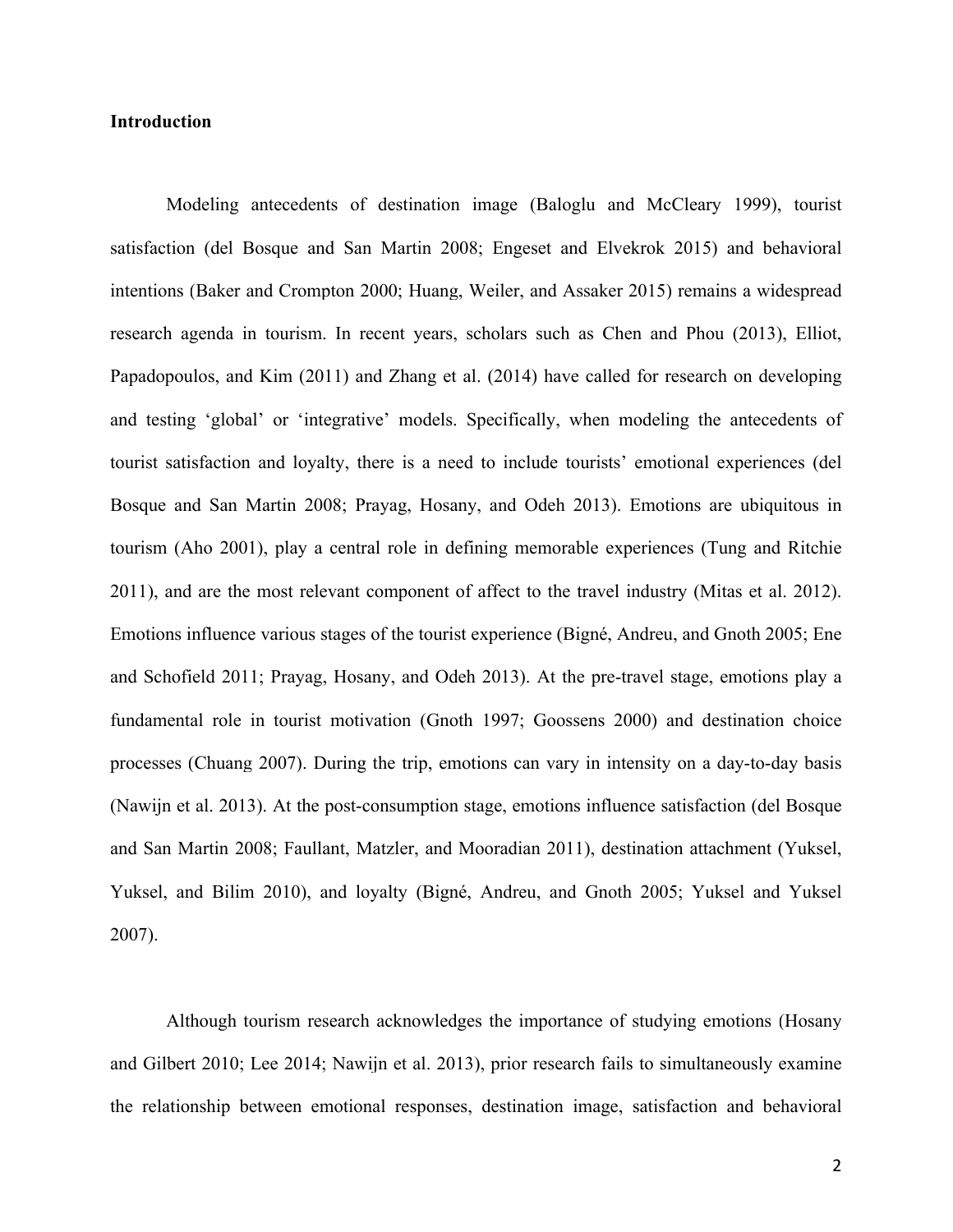# **Introduction**

Modeling antecedents of destination image (Baloglu and McCleary 1999), tourist satisfaction (del Bosque and San Martin 2008; Engeset and Elvekrok 2015) and behavioral intentions (Baker and [Crompton 2000; Huang, Weiler,](https://www.researchgate.net/publication/263314627_Effects_of_Interpretive_Guiding_Outcomes_on_Tourist_Satisfaction_and_Behavioral_Intention?el=1_x_8&enrichId=rgreq-7bbebf15-bd67-4ef8-9c79-6d076f69b6b5&enrichSource=Y292ZXJQYWdlOzI4ODA1NjM5OTtBUzozMTU1NTAzNTIyNDg4MzRAMTQ1MjI0NDQ3NDY5Ng==) and Assaker 2015) remains a widespread research agenda in tourism. In recent years, scholars such as Chen and [Phou \(2013\),](https://www.researchgate.net/publication/270829181_Destination_image_and_tourist_loyalty_A_meta-analysis?el=1_x_8&enrichId=rgreq-7bbebf15-bd67-4ef8-9c79-6d076f69b6b5&enrichSource=Y292ZXJQYWdlOzI4ODA1NjM5OTtBUzozMTU1NTAzNTIyNDg4MzRAMTQ1MjI0NDQ3NDY5Ng==) Elliot, [Papadopoulos, and](https://www.researchgate.net/publication/270829181_Destination_image_and_tourist_loyalty_A_meta-analysis?el=1_x_8&enrichId=rgreq-7bbebf15-bd67-4ef8-9c79-6d076f69b6b5&enrichSource=Y292ZXJQYWdlOzI4ODA1NjM5OTtBUzozMTU1NTAzNTIyNDg4MzRAMTQ1MjI0NDQ3NDY5Ng==) Kim (2011) and Zhang et al. (2014) have called for research on developing and testing 'global' or 'integrative' models. Specifically, when modeling the antecedents of tourist satisfaction and loyalty, there is a need to include tourists' emotional experiences (del [Bosque and San Martin 2008; Prayag, Hosany, and Odeh 2013\).](https://www.researchgate.net/publication/251511514_Patterns_of_tourists) Emotions are ubiquitous in tourism [\(Aho 2001\),](https://www.researchgate.net/publication/235268054_Towards_a_general_theory_of_touristic_experiences_Modelling_experience_process_in_tourism?el=1_x_8&enrichId=rgreq-7bbebf15-bd67-4ef8-9c79-6d076f69b6b5&enrichSource=Y292ZXJQYWdlOzI4ODA1NjM5OTtBUzozMTU1NTAzNTIyNDg4MzRAMTQ1MjI0NDQ3NDY5Ng==) play a central role in defining memorable experiences (Tung and Ritchie 2011), and are the most relevant component of affect to the travel industry (Mitas et al. 2012). Emotions influence various stages of the tourist experience (Bigné, Andreu, and Gnoth 2005; [Ene](https://www.researchgate.net/publication/251511514_Patterns_of_tourists)  and [Schofield 2011; Prayag, Hosany,](https://www.researchgate.net/publication/251511514_Patterns_of_tourists) and Odeh 2013). At the pre-travel stage, emotions play a fundamental role in tourist motivation (Gnoth 1997; Goossens 2000) and destination choice processes [\(Chuang 2007\).](https://www.researchgate.net/publication/232869667_The_Effects_of_Emotions_on_the_Purchase_of_Tour_Commodities?el=1_x_8&enrichId=rgreq-7bbebf15-bd67-4ef8-9c79-6d076f69b6b5&enrichSource=Y292ZXJQYWdlOzI4ODA1NjM5OTtBUzozMTU1NTAzNTIyNDg4MzRAMTQ1MjI0NDQ3NDY5Ng==) During the trip, emotions can vary in intensity on a day-to-day basis (Nawijn [et al. 2013\).](https://www.researchgate.net/publication/255708351_How_Do_We_Feel_on_Vacation_A_Closer_Look_at_How_Emotions_Change_over_the_Course_of_a_Trip?el=1_x_8&enrichId=rgreq-7bbebf15-bd67-4ef8-9c79-6d076f69b6b5&enrichSource=Y292ZXJQYWdlOzI4ODA1NjM5OTtBUzozMTU1NTAzNTIyNDg4MzRAMTQ1MjI0NDQ3NDY5Ng==) At the post-consumption stage, emotions influence satisfaction (del [Bosque](https://www.researchgate.net/publication/null?el=1_x_8&enrichId=rgreq-7bbebf15-bd67-4ef8-9c79-6d076f69b6b5&enrichSource=Y292ZXJQYWdlOzI4ODA1NjM5OTtBUzozMTU1NTAzNTIyNDg4MzRAMTQ1MjI0NDQ3NDY5Ng==)  and [San Martin 2008; Faullant, Matzler,](https://www.researchgate.net/publication/null?el=1_x_8&enrichId=rgreq-7bbebf15-bd67-4ef8-9c79-6d076f69b6b5&enrichSource=Y292ZXJQYWdlOzI4ODA1NjM5OTtBUzozMTU1NTAzNTIyNDg4MzRAMTQ1MjI0NDQ3NDY5Ng==) and Mooradian 2011), destination attachment (Yuksel, Yuksel, and Bilim 2010), and loyalty (Bigné, Andreu, and Gnoth 2005; Yuksel and Yuksel 2007).

Although tourism research acknowledges the importance of studying emotions [\(Hosany](https://www.researchgate.net/publication/255708351_How_Do_We_Feel_on_Vacation_A_Closer_Look_at_How_Emotions_Change_over_the_Course_of_a_Trip?el=1_x_8&enrichId=rgreq-7bbebf15-bd67-4ef8-9c79-6d076f69b6b5&enrichSource=Y292ZXJQYWdlOzI4ODA1NjM5OTtBUzozMTU1NTAzNTIyNDg4MzRAMTQ1MjI0NDQ3NDY5Ng==) and Gilbert 2010; Lee 2014; [Nawijn et al. 2013\),](https://www.researchgate.net/publication/255708351_How_Do_We_Feel_on_Vacation_A_Closer_Look_at_How_Emotions_Change_over_the_Course_of_a_Trip?el=1_x_8&enrichId=rgreq-7bbebf15-bd67-4ef8-9c79-6d076f69b6b5&enrichSource=Y292ZXJQYWdlOzI4ODA1NjM5OTtBUzozMTU1NTAzNTIyNDg4MzRAMTQ1MjI0NDQ3NDY5Ng==) prior research fails to simultaneously examine the relationship between emotional responses, destination image, satisfaction and behavioral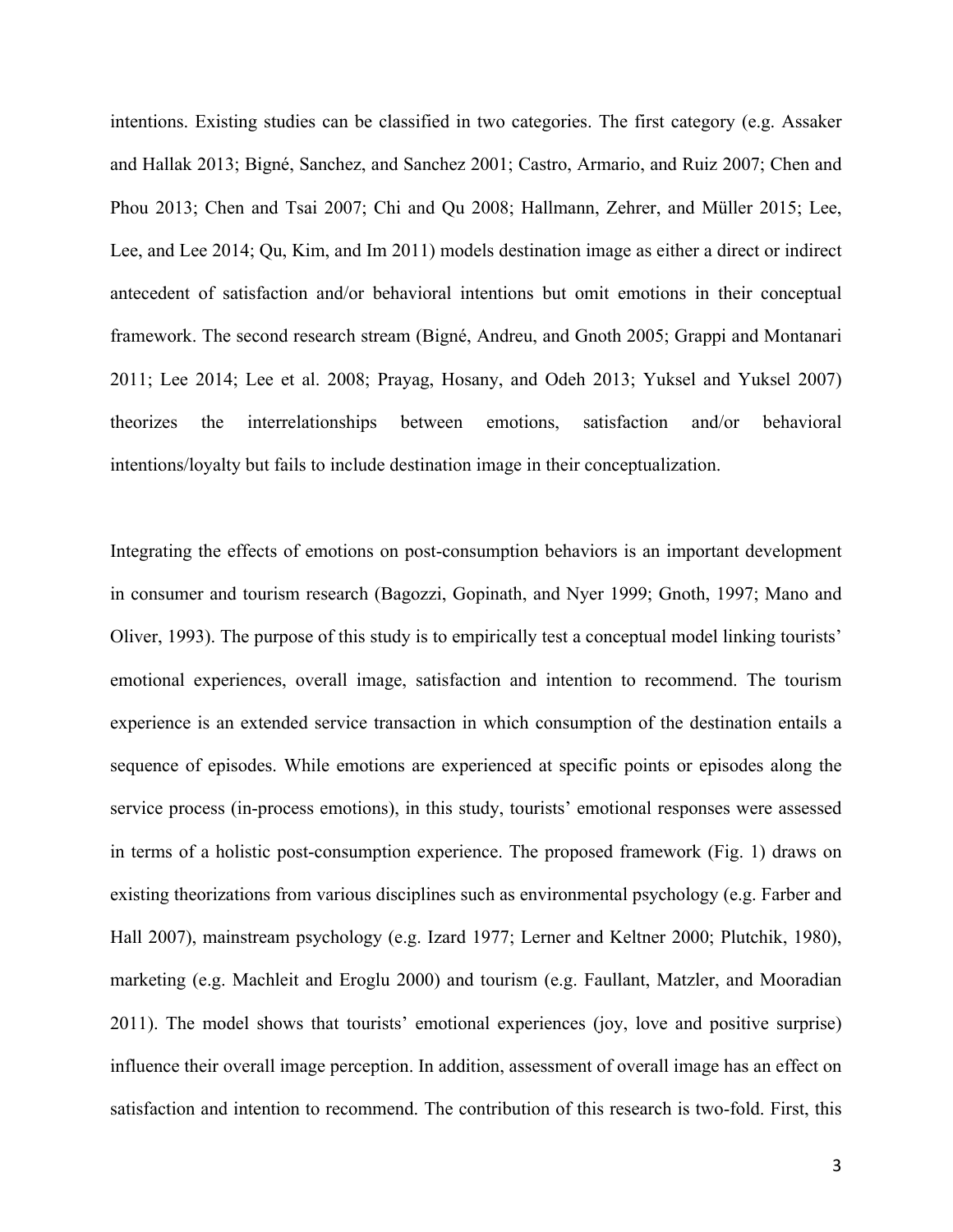intentions. Existing studies can be classified in two categories. The first category (e.g. Assaker and Hallak 2013; Bigné, Sanchez, and Sanchez 2001; Castro, Armario, and Ruiz 2007; Chen and Phou 2013; Chen and Tsai 2007; Chi and Qu 2008; Hallmann, Zehrer, and Müller 2015; Lee, Lee, and Lee 2014; Qu, Kim, and Im 2011) models destination image as either a direct or indirect antecedent of satisfaction and/or behavioral intentions but omit emotions in their conceptual framework. The second research stream (Bigné, Andreu, and Gnoth 2005; Grappi and Montanari 2011; Lee 2014; Lee et al. 2008; Prayag, Hosany, and Odeh 2013; Yuksel and Yuksel 2007) theorizes the interrelationships between emotions, satisfaction and/or behavioral intentions/loyalty but fails to include destination image in their conceptualization.

Integrating the effects of emotions on post-consumption behaviors is an important development in consumer and tourism research (Bagozzi, Gopinath, and Nyer 1999; Gnoth, 1997; Mano and Oliver, 1993). The purpose of this study is to empirically test a conceptual model linking tourists' emotional experiences, overall image, satisfaction and intention to recommend. The tourism experience is an extended service transaction in which consumption of the destination entails a sequence of episodes. While emotions are experienced at specific points or episodes along the service process (in-process emotions), in this study, tourists' emotional responses were assessed in terms of a holistic post-consumption experience. The proposed framework (Fig. 1) draws on existing theorizations from various disciplines such as environmental psychology (e.g. Farber and Hall 2007), mainstream psychology (e.g. Izard 1977; Lerner and Keltner 2000; Plutchik, 1980), marketing (e.g. Machleit and Eroglu 2000) and tourism (e.g. Faullant, Matzler, and Mooradian 2011). The model shows that tourists' emotional experiences (joy, love and positive surprise) influence their overall image perception. In addition, assessment of overall image has an effect on satisfaction and intention to recommend. The contribution of this research is two-fold. First, this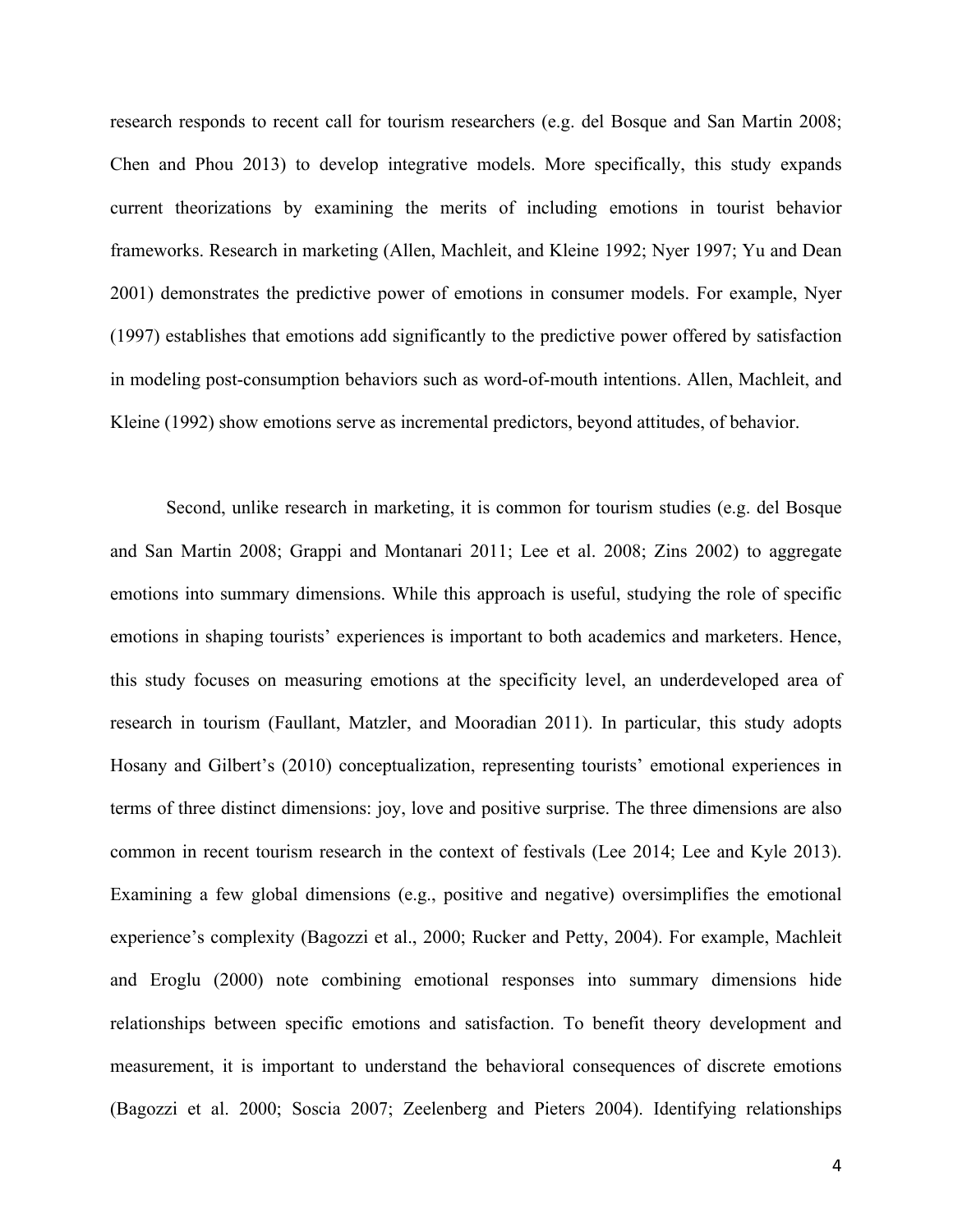research responds to recent call for tourism researchers (e.g. del Bosque and San Martin 2008; Chen and Phou 2013) to develop integrative models. More specifically, this study expands current theorizations by examining the merits of including emotions in tourist behavior frameworks. Research in marketing (Allen, Machleit, and Kleine 1992; Nyer 1997; Yu and Dean 2001) demonstrates the predictive power of emotions in consumer models. For example, Nyer (1997) establishes that emotions add significantly to the predictive power offered by satisfaction in modeling post-consumption behaviors such as word-of-mouth intentions. Allen, Machleit, and Kleine (1992) show emotions serve as incremental predictors, beyond attitudes, of behavior.

Second, unlike research in marketing, it is common for tourism studies (e.g. del Bosque and San Martin 2008; Grappi and Montanari 2011; Lee et al. 2008; Zins 2002) to aggregate emotions into summary dimensions. While this approach is useful, studying the role of specific emotions in shaping tourists' experiences is important to both academics and marketers. Hence, this study focuses on measuring emotions at the specificity level, an underdeveloped area of research in tourism (Faullant, Matzler, and Mooradian 2011). In particular, this study adopts Hosany and Gilbert's (2010) conceptualization, representing tourists' emotional experiences in terms of three distinct dimensions: joy, love and positive surprise. The three dimensions are also common in recent tourism research in the context of festivals (Lee 2014; Lee and Kyle 2013). Examining a few global dimensions (e.g., positive and negative) oversimplifies the emotional experience's complexity (Bagozzi et al., 2000; Rucker and Petty, 2004). For example, Machleit and Eroglu (2000) note combining emotional responses into summary dimensions hide relationships between specific emotions and satisfaction. To benefit theory development and measurement, it is important to understand the behavioral consequences of discrete emotions (Bagozzi et al. 2000; Soscia 2007; Zeelenberg and Pieters 2004). Identifying relationships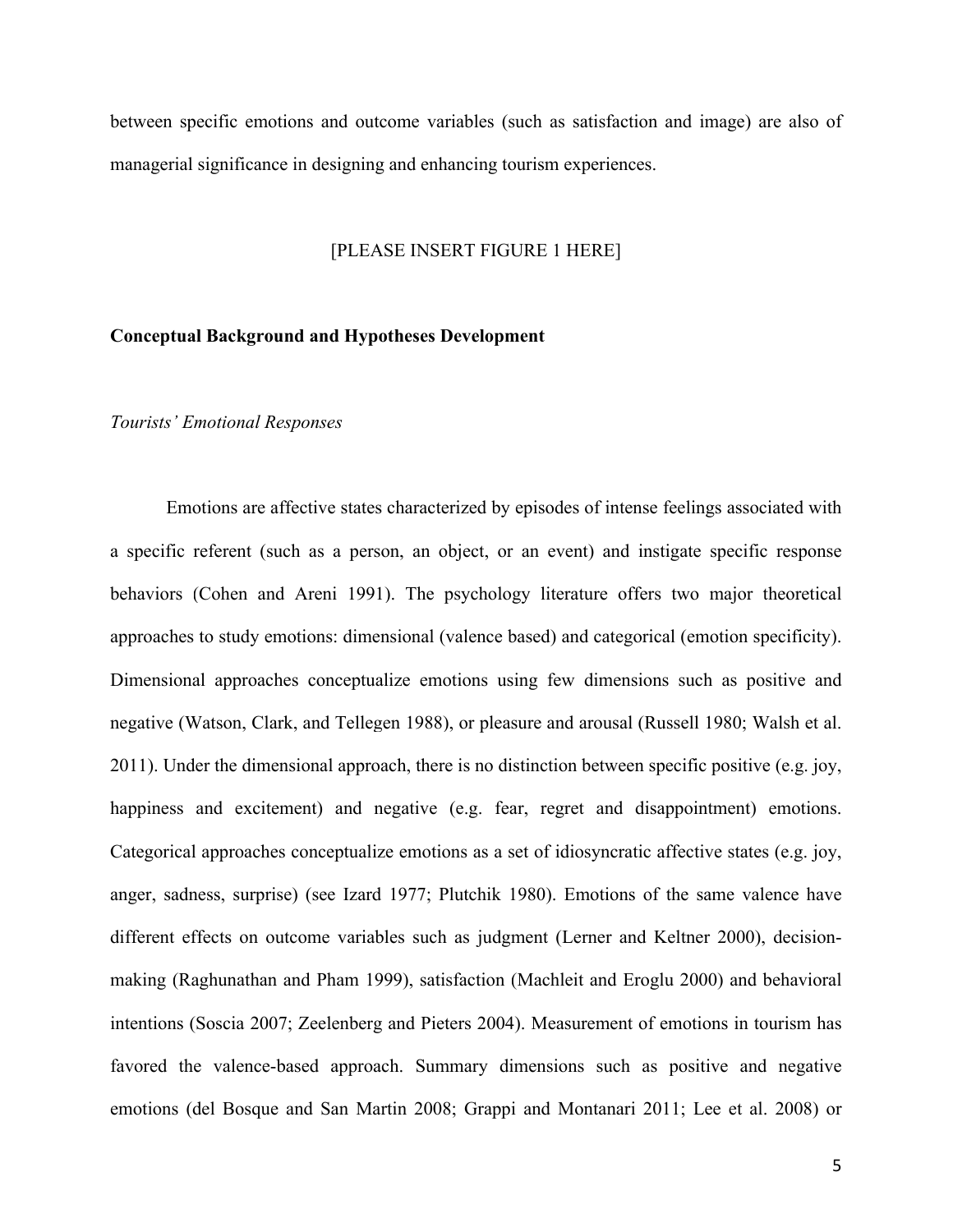between specific emotions and outcome variables (such as satisfaction and image) are also of managerial significance in designing and enhancing tourism experiences.

#### [PLEASE INSERT FIGURE 1 HERE]

#### **Conceptual Background and Hypotheses Development**

# *Tourists' Emotional Responses*

Emotions are affective states characterized by episodes of intense feelings associated with a specific referent (such as a person, an object, or an event) and instigate specific response behaviors (Cohen and [Areni 1991\).](https://www.researchgate.net/publication/235361367_Affect_and_Consumer_Behavior?el=1_x_8&enrichId=rgreq-7bbebf15-bd67-4ef8-9c79-6d076f69b6b5&enrichSource=Y292ZXJQYWdlOzI4ODA1NjM5OTtBUzozMTU1NTAzNTIyNDg4MzRAMTQ1MjI0NDQ3NDY5Ng==) The psychology literature offers two major theoretical approaches to study emotions: dimensional (valence based) and categorical (emotion specificity). Dimensional approaches conceptualize emotions using few dimensions such as positive and negative [\(Watson, Clark, and](https://www.researchgate.net/publication/235726247_Development_and_Validation_of_Brief_Measures_of_Positive_and_Negative_Affect_The_PANAS_Scales?el=1_x_8&enrichId=rgreq-7bbebf15-bd67-4ef8-9c79-6d076f69b6b5&enrichSource=Y292ZXJQYWdlOzI4ODA1NjM5OTtBUzozMTU1NTAzNTIyNDg4MzRAMTQ1MjI0NDQ3NDY5Ng==) Tellegen 1988), or pleasure and arousal (Russell 1980; Walsh et al. 2011). Under the dimensional approach, there is no distinction between specific positive (e.g. joy, happiness and excitement) and negative (e.g. fear, regret and disappointment) emotions. Categorical approaches conceptualize emotions as a set of idiosyncratic affective states (e.g. joy, anger, sadness, surprise) (see Izard 1977; Plutchik 1980). Emotions of the same valence have different effects on outcome variables such as judgment (Lerner and Keltner 2000), decisionmaking [\(Raghunathan and](https://www.researchgate.net/publication/null?el=1_x_8&enrichId=rgreq-7bbebf15-bd67-4ef8-9c79-6d076f69b6b5&enrichSource=Y292ZXJQYWdlOzI4ODA1NjM5OTtBUzozMTU1NTAzNTIyNDg4MzRAMTQ1MjI0NDQ3NDY5Ng==) Pham 1999), satisfaction [\(Machleit and](https://www.researchgate.net/publication/null?el=1_x_8&enrichId=rgreq-7bbebf15-bd67-4ef8-9c79-6d076f69b6b5&enrichSource=Y292ZXJQYWdlOzI4ODA1NjM5OTtBUzozMTU1NTAzNTIyNDg4MzRAMTQ1MjI0NDQ3NDY5Ng==) Eroglu 2000) and behavioral intentions (Soscia 2007; Zeelenberg and Pieters 2004). Measurement of emotions in tourism has favored the valence-based approach. Summary dimensions such as positive and negative emotions (del Bosque and San Martin 2008; Grappi and Montanari 2011; Lee et al. 2008) or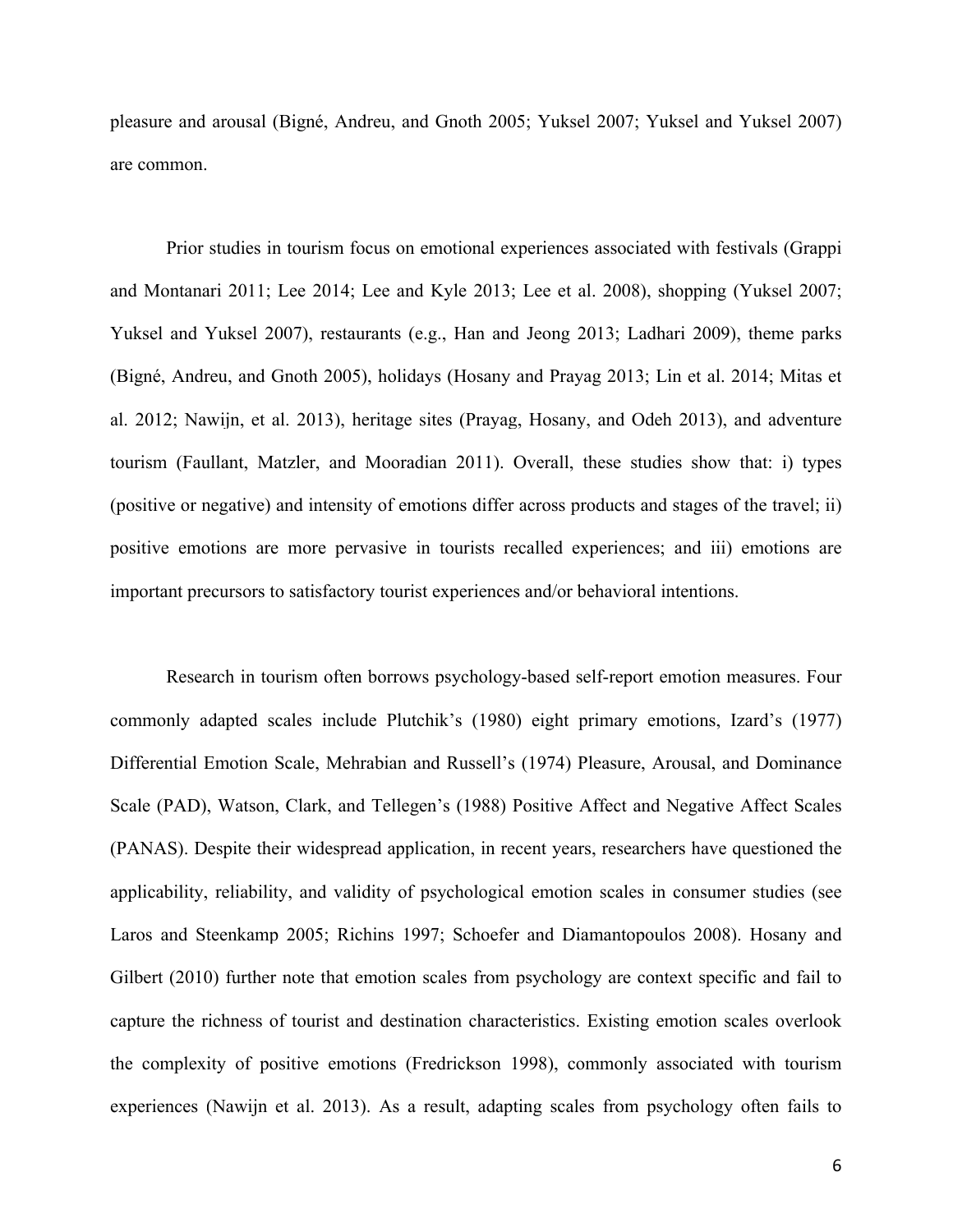pleasure and arousal (Bigné, Andreu, and Gnoth 2005; Yuksel 2007; Yuksel and Yuksel 2007) are common.

Prior studies in tourism focus on emotional experiences associated with festivals (Grappi and Montanari 2011; Lee 2014; Lee and Kyle 2013; Lee et al. 2008), shopping (Yuksel 2007; Yuksel and Yuksel 2007), restaurants (e.g., Han and [Jeong 2013; Ladhari 2009\),](https://www.researchgate.net/publication/271574424_Multi-dimensions_of_patrons) theme parks (Bigné, Andreu, and Gnoth 2005), holidays [\(Hosany and Prayag 2013;](https://www.researchgate.net/publication/258161247_Appraisal_Determinants_of_Tourist_Emotional_Responses?el=1_x_8&enrichId=rgreq-7bbebf15-bd67-4ef8-9c79-6d076f69b6b5&enrichSource=Y292ZXJQYWdlOzI4ODA1NjM5OTtBUzozMTU1NTAzNTIyNDg4MzRAMTQ1MjI0NDQ3NDY5Ng==) Lin et al. 2014; Mitas et al. [2012; Nawijn, et al.](https://www.researchgate.net/publication/258161247_Appraisal_Determinants_of_Tourist_Emotional_Responses?el=1_x_8&enrichId=rgreq-7bbebf15-bd67-4ef8-9c79-6d076f69b6b5&enrichSource=Y292ZXJQYWdlOzI4ODA1NjM5OTtBUzozMTU1NTAzNTIyNDg4MzRAMTQ1MjI0NDQ3NDY5Ng==) 2013), heritage sites [\(Prayag, Hosany, and Odeh 2013\),](https://www.researchgate.net/publication/251511514_Patterns_of_tourists) and adventure tourism [\(Faullant, Matzler, and Mooradian](https://www.researchgate.net/publication/233833166_Personality_basic_emotions_and_satisfaction_Primary_emotions_in_the_mountaineering_experience?el=1_x_8&enrichId=rgreq-7bbebf15-bd67-4ef8-9c79-6d076f69b6b5&enrichSource=Y292ZXJQYWdlOzI4ODA1NjM5OTtBUzozMTU1NTAzNTIyNDg4MzRAMTQ1MjI0NDQ3NDY5Ng==) 2011). Overall, these studies show that: i) types (positive or negative) and intensity of emotions differ across products and stages of the travel; ii) positive emotions are more pervasive in tourists recalled experiences; and iii) emotions are important precursors to satisfactory tourist experiences and/or behavioral intentions.

Research in tourism often borrows psychology-based self-report emotion measures. Four commonly adapted scales include Plutchik's (1980) eight primary emotions, Izard's (1977) Differential Emotion Scale, Mehrabian and Russell's (1974) Pleasure, Arousal, and Dominance Scale (PAD), Watson, Clark, and Tellegen's (1988) Positive Affect and Negative Affect Scales (PANAS). Despite their widespread application, in recent years, researchers have questioned the applicability, reliability, and validity of psychological emotion scales in consumer studies (see [Laros and Steenkamp 2005; Richins 1997; Schoefer and](https://www.researchgate.net/publication/223915435_Examining_the_Structural_Relationships_of_Destination_Image_Tourist_Satisfaction_and_Destination_Loyalty_An_Integrated_Approach?el=1_x_8&enrichId=rgreq-7bbebf15-bd67-4ef8-9c79-6d076f69b6b5&enrichSource=Y292ZXJQYWdlOzI4ODA1NjM5OTtBUzozMTU1NTAzNTIyNDg4MzRAMTQ1MjI0NDQ3NDY5Ng==) Diamantopoulos 2008). Hosany and Gilbert (2010) further note that emotion scales from psychology are context specific and fail to capture the richness of tourist and destination characteristics. Existing emotion scales overlook the complexity of positive emotions (Fredrickson 1998), commonly associated with tourism experiences [\(Nawijn et al. 2013\).](https://www.researchgate.net/publication/255708351_How_Do_We_Feel_on_Vacation_A_Closer_Look_at_How_Emotions_Change_over_the_Course_of_a_Trip?el=1_x_8&enrichId=rgreq-7bbebf15-bd67-4ef8-9c79-6d076f69b6b5&enrichSource=Y292ZXJQYWdlOzI4ODA1NjM5OTtBUzozMTU1NTAzNTIyNDg4MzRAMTQ1MjI0NDQ3NDY5Ng==) As a result, adapting scales from psychology often fails to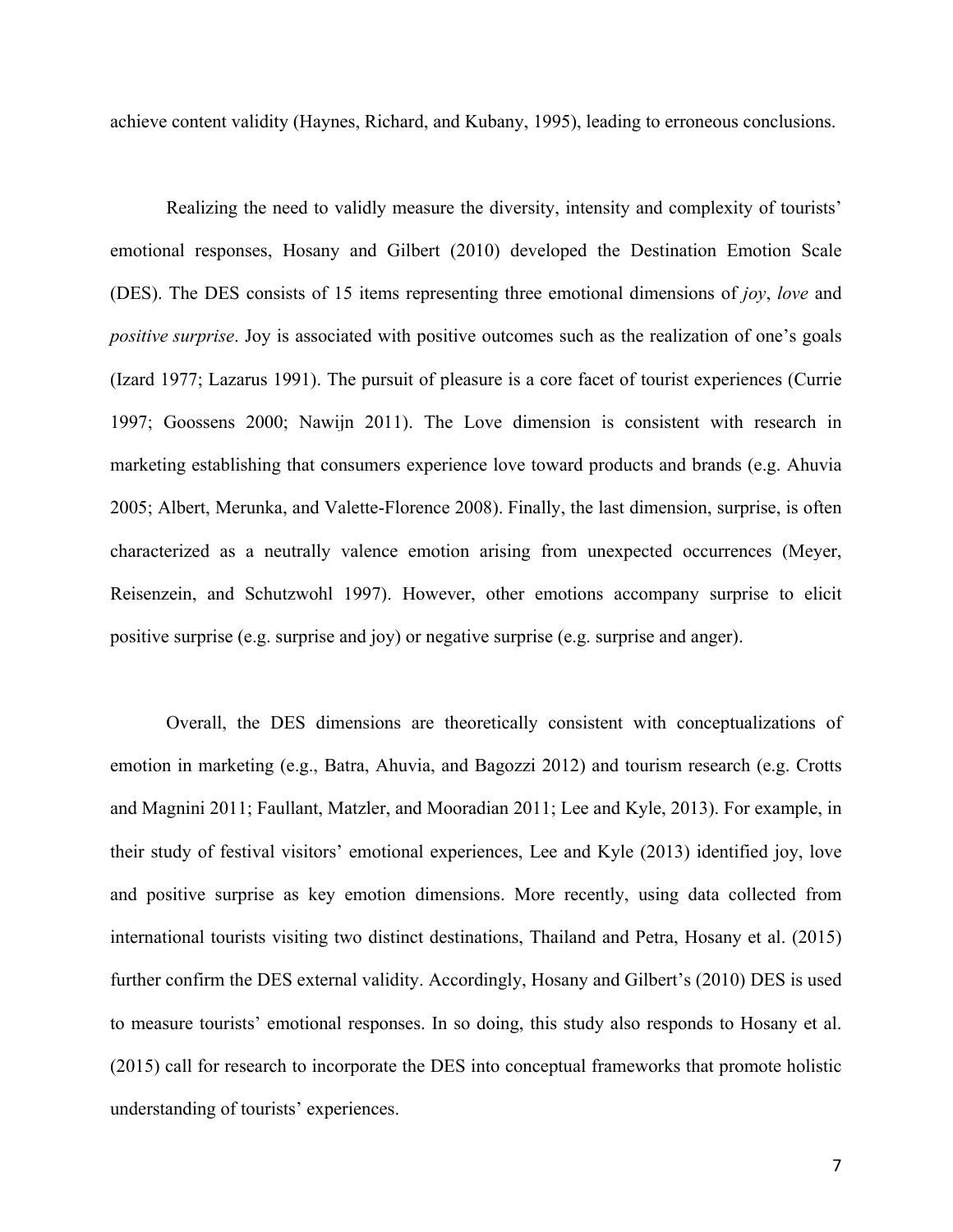achieve content validity (Haynes, Richard, and Kubany, 1995), leading to erroneous conclusions.

Realizing the need to validly measure the diversity, intensity and complexity of tourists' emotional responses, Hosany and Gilbert (2010) developed the Destination Emotion Scale (DES). The DES consists of 15 items representing three emotional dimensions of *joy*, *love* and *positive surprise*. Joy is associated with positive outcomes such as the realization of one's goals (Izard 1977; Lazarus 1991). The pursuit of pleasure is a core facet of tourist experiences [\(Currie](https://www.researchgate.net/publication/255708350_Determinants_of_Daily_Happiness_on_Vacation?el=1_x_8&enrichId=rgreq-7bbebf15-bd67-4ef8-9c79-6d076f69b6b5&enrichSource=Y292ZXJQYWdlOzI4ODA1NjM5OTtBUzozMTU1NTAzNTIyNDg4MzRAMTQ1MjI0NDQ3NDY5Ng==)  [1997; Goossens 2000; Nawijn 2011\).](https://www.researchgate.net/publication/255708350_Determinants_of_Daily_Happiness_on_Vacation?el=1_x_8&enrichId=rgreq-7bbebf15-bd67-4ef8-9c79-6d076f69b6b5&enrichSource=Y292ZXJQYWdlOzI4ODA1NjM5OTtBUzozMTU1NTAzNTIyNDg4MzRAMTQ1MjI0NDQ3NDY5Ng==) The Love dimension is consistent with research in marketing establishing that consumers experience love toward products and brands (e.g. Ahuvia 2005; Albert, Merunka, and Valette-Florence 2008). Finally, the last dimension, surprise, is often characterized as a neutrally valence emotion arising from unexpected occurrences [\(Meyer,](https://www.researchgate.net/publication/225969606_Toward_a_Process_Analysis_of_Emotions_The_Case_of_Surprise?el=1_x_8&enrichId=rgreq-7bbebf15-bd67-4ef8-9c79-6d076f69b6b5&enrichSource=Y292ZXJQYWdlOzI4ODA1NjM5OTtBUzozMTU1NTAzNTIyNDg4MzRAMTQ1MjI0NDQ3NDY5Ng==)  Reisenzein, [and Schutzwohl 1997\).](https://www.researchgate.net/publication/225969606_Toward_a_Process_Analysis_of_Emotions_The_Case_of_Surprise?el=1_x_8&enrichId=rgreq-7bbebf15-bd67-4ef8-9c79-6d076f69b6b5&enrichSource=Y292ZXJQYWdlOzI4ODA1NjM5OTtBUzozMTU1NTAzNTIyNDg4MzRAMTQ1MjI0NDQ3NDY5Ng==) However, other emotions accompany surprise to elicit positive surprise (e.g. surprise and joy) or negative surprise (e.g. surprise and anger).

Overall, the DES dimensions are theoretically consistent with conceptualizations of emotion in marketing (e.g., Batra, Ahuvia, and Bagozzi 2012) and tourism research (e.g. [Crotts](https://www.researchgate.net/publication/233833166_Personality_basic_emotions_and_satisfaction_Primary_emotions_in_the_mountaineering_experience?el=1_x_8&enrichId=rgreq-7bbebf15-bd67-4ef8-9c79-6d076f69b6b5&enrichSource=Y292ZXJQYWdlOzI4ODA1NjM5OTtBUzozMTU1NTAzNTIyNDg4MzRAMTQ1MjI0NDQ3NDY5Ng==)  [and Magnini 2011; Faullant, Matzler, and Mooradian 2011; Lee and Kyle, 2013\).](https://www.researchgate.net/publication/233833166_Personality_basic_emotions_and_satisfaction_Primary_emotions_in_the_mountaineering_experience?el=1_x_8&enrichId=rgreq-7bbebf15-bd67-4ef8-9c79-6d076f69b6b5&enrichSource=Y292ZXJQYWdlOzI4ODA1NjM5OTtBUzozMTU1NTAzNTIyNDg4MzRAMTQ1MjI0NDQ3NDY5Ng==) For example, in their study of festival visitors' emotional experiences, Lee and Kyle (2013) identified joy, love and positive surprise as key emotion dimensions. More recently, using data collected from international tourists visiting two distinct destinations, Thailand and Petra, Hosany et al. (2015) further confirm the DES external validity. Accordingly, Hosany and Gilbert's (2010) DES is used to measure tourists' emotional responses. In so doing, this study also responds to Hosany et al. (2015) call for research to incorporate the DES into conceptual frameworks that promote holistic understanding of tourists' experiences.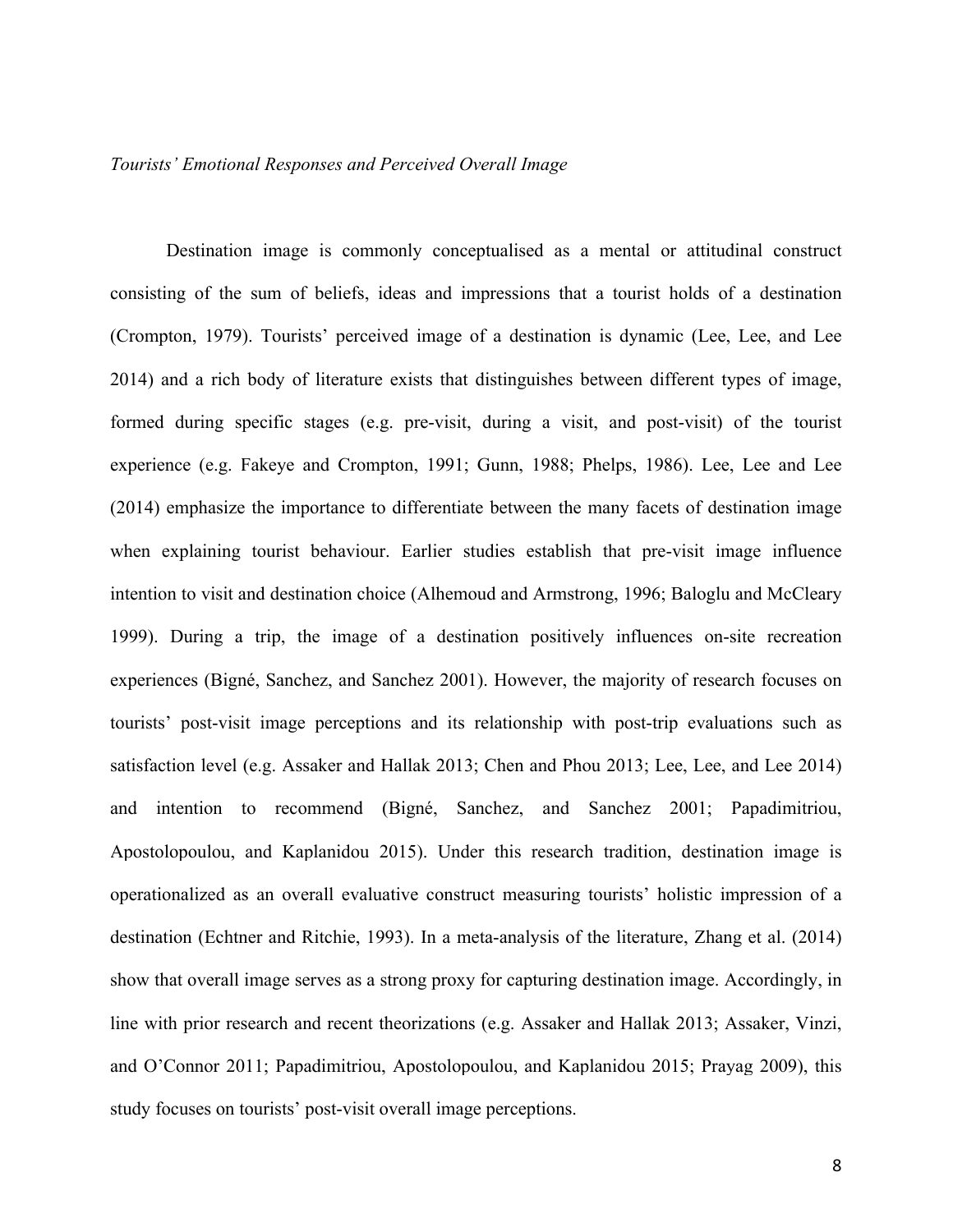# *Tourists' Emotional Responses and Perceived Overall Image*

Destination image is commonly conceptualised as a mental or attitudinal construct consisting of the sum of beliefs, ideas and impressions that a tourist holds of a destination [\(Crompton, 1979\).](https://www.researchgate.net/publication/258160676_An_Assessment_of_the_Image_of_Mexico_as_a_Vacation_Destination_and_the_Influence_of_Geographical_Location_Upon_That_Image?el=1_x_8&enrichId=rgreq-7bbebf15-bd67-4ef8-9c79-6d076f69b6b5&enrichSource=Y292ZXJQYWdlOzI4ODA1NjM5OTtBUzozMTU1NTAzNTIyNDg4MzRAMTQ1MjI0NDQ3NDY5Ng==) Tourists' perceived image of a destination is dynamic (Lee, Lee, and Lee 2014) and a rich body of literature exists that distinguishes between different types of image, formed during specific stages (e.g. pre-visit, during a visit, and post-visit) of the tourist experience (e.g. [Fakeye and Crompton, 1991; Gunn, 1988; Phelps, 1986\).](https://www.researchgate.net/publication/249700751_Image_Differences_Between_Prospective_First-Time_and_Repeat_Visitors_to_the_Lower_Rio_Grande_Valley?el=1_x_8&enrichId=rgreq-7bbebf15-bd67-4ef8-9c79-6d076f69b6b5&enrichSource=Y292ZXJQYWdlOzI4ODA1NjM5OTtBUzozMTU1NTAzNTIyNDg4MzRAMTQ1MjI0NDQ3NDY5Ng==) Lee, Lee and Lee (2014) emphasize the importance to differentiate between the many facets of destination image when explaining tourist behaviour. Earlier studies establish that pre-visit image influence intention to visit and destination choice (Alhemoud and Armstrong, 1996; Baloglu and McCleary 1999). During a trip, the image of a destination positively influences on-site recreation experiences (Bigné, Sanchez, and Sanchez 2001). However, the majority of research focuses on tourists' post-visit image perceptions and its relationship with post-trip evaluations such as satisfaction level (e.g. [Assaker and Hallak 2013; Chen and Phou 2013; Lee, Lee, and Lee 2014\)](https://www.researchgate.net/publication/259509292_Nostalgic_emotion_experiential_value_brand_image_and_consumption_intentions_of_customers_of_nostalgic-themed_restaurants?el=1_x_8&enrichId=rgreq-7bbebf15-bd67-4ef8-9c79-6d076f69b6b5&enrichSource=Y292ZXJQYWdlOzI4ODA1NjM5OTtBUzozMTU1NTAzNTIyNDg4MzRAMTQ1MjI0NDQ3NDY5Ng==)  and intention to recommend (Bigné, [Sanchez, and Sanchez 2001; Papadimitriou,](https://www.researchgate.net/publication/270710809_Destination_Personality_Affective_Image_and_Behavioral_Intentions_in_Domestic_Urban_Tourism?el=1_x_8&enrichId=rgreq-7bbebf15-bd67-4ef8-9c79-6d076f69b6b5&enrichSource=Y292ZXJQYWdlOzI4ODA1NjM5OTtBUzozMTU1NTAzNTIyNDg4MzRAMTQ1MjI0NDQ3NDY5Ng==)  [Apostolopoulou, and Kaplanidou 2015\).](https://www.researchgate.net/publication/270710809_Destination_Personality_Affective_Image_and_Behavioral_Intentions_in_Domestic_Urban_Tourism?el=1_x_8&enrichId=rgreq-7bbebf15-bd67-4ef8-9c79-6d076f69b6b5&enrichSource=Y292ZXJQYWdlOzI4ODA1NjM5OTtBUzozMTU1NTAzNTIyNDg4MzRAMTQ1MjI0NDQ3NDY5Ng==) Under this research tradition, destination image is operationalized as an overall evaluative construct measuring tourists' holistic impression of a destination [\(Echtner and Ritchie, 1993\).](https://www.researchgate.net/publication/249700840_The_Measurement_of_Destination_Image_An_Empirical_Assessment?el=1_x_8&enrichId=rgreq-7bbebf15-bd67-4ef8-9c79-6d076f69b6b5&enrichSource=Y292ZXJQYWdlOzI4ODA1NjM5OTtBUzozMTU1NTAzNTIyNDg4MzRAMTQ1MjI0NDQ3NDY5Ng==) In a meta-analysis of the literature, [Zhang et al. \(2014\)](https://www.researchgate.net/publication/270829181_Destination_image_and_tourist_loyalty_A_meta-analysis?el=1_x_8&enrichId=rgreq-7bbebf15-bd67-4ef8-9c79-6d076f69b6b5&enrichSource=Y292ZXJQYWdlOzI4ODA1NjM5OTtBUzozMTU1NTAzNTIyNDg4MzRAMTQ1MjI0NDQ3NDY5Ng==)  show that overall image serves as a strong proxy for capturing destination image. Accordingly, in line with prior research and recent theorizations (e.g. [Assaker and Hallak 2013; Assaker, Vinzi,](https://www.researchgate.net/publication/270710809_Destination_Personality_Affective_Image_and_Behavioral_Intentions_in_Domestic_Urban_Tourism?el=1_x_8&enrichId=rgreq-7bbebf15-bd67-4ef8-9c79-6d076f69b6b5&enrichSource=Y292ZXJQYWdlOzI4ODA1NjM5OTtBUzozMTU1NTAzNTIyNDg4MzRAMTQ1MjI0NDQ3NDY5Ng==)  [and O'Connor 2011; Papadimitriou, Apostolopoulou, and Kaplanidou 2015; Prayag 2009\),](https://www.researchgate.net/publication/270710809_Destination_Personality_Affective_Image_and_Behavioral_Intentions_in_Domestic_Urban_Tourism?el=1_x_8&enrichId=rgreq-7bbebf15-bd67-4ef8-9c79-6d076f69b6b5&enrichSource=Y292ZXJQYWdlOzI4ODA1NjM5OTtBUzozMTU1NTAzNTIyNDg4MzRAMTQ1MjI0NDQ3NDY5Ng==) this study focuses on tourists' post-visit overall image perceptions.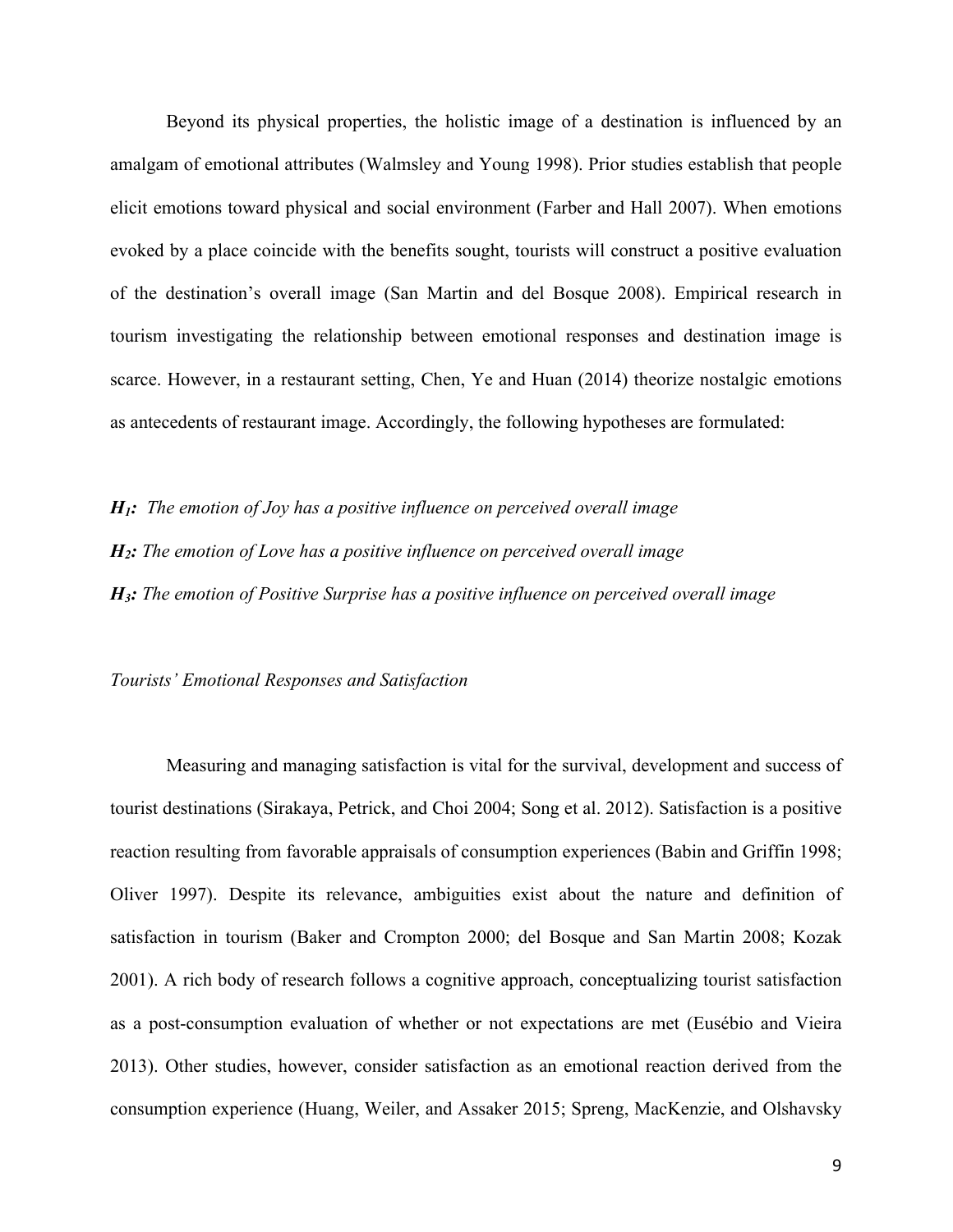Beyond its physical properties, the holistic image of a destination is influenced by an amalgam of emotional attributes [\(Walmsley and Young 1998\).](https://www.researchgate.net/publication/249700931_Evaluative_Images_and_Tourism_The_Use_of_Personal_Constructs_to_Describe_the_Structure_of_Destination_Images?el=1_x_8&enrichId=rgreq-7bbebf15-bd67-4ef8-9c79-6d076f69b6b5&enrichSource=Y292ZXJQYWdlOzI4ODA1NjM5OTtBUzozMTU1NTAzNTIyNDg4MzRAMTQ1MjI0NDQ3NDY5Ng==) Prior studies establish that people elicit emotions toward physical and social environment [\(Farber and Hall 2007\).](https://www.researchgate.net/publication/283157017_Emotion_and_environment_Visitors) When emotions evoked by a place coincide with the benefits sought, tourists will construct a positive evaluation of the destination's overall image (San Martin and del Bosque 2008). Empirical research in tourism investigating the relationship between emotional responses and destination image is scarce. However, in a restaurant setting, Chen, Ye and Huan (2014) theorize nostalgic emotions as antecedents of restaurant image. Accordingly, the following hypotheses are formulated:

*H1: The emotion of Joy has a positive influence on perceived overall image*

*H2: The emotion of Love has a positive influence on perceived overall image*

*H3: The emotion of Positive Surprise has a positive influence on perceived overall image*

## *Tourists' Emotional Responses and Satisfaction*

Measuring and managing satisfaction is vital for the survival, development and success of tourist destinations (Sirakaya, Petrick, and Choi 2004; Song et al. 2012). Satisfaction is a positive reaction resulting from favorable appraisals of consumption experiences (Babin and Griffin 1998; Oliver 1997). Despite its relevance, ambiguities exist about the nature and definition of satisfaction in tourism (Baker and Crompton 2000; del Bosque and San Martin 2008; Kozak 2001). A rich body of research follows a cognitive approach, conceptualizing tourist satisfaction as a post-consumption evaluation of whether or not expectations are met (Eusébio and Vieira 2013). Other studies, however, consider satisfaction as an emotional reaction derived from the consumption experience (Huang, Weiler, and Assaker 2015; Spreng, MacKenzie, and Olshavsky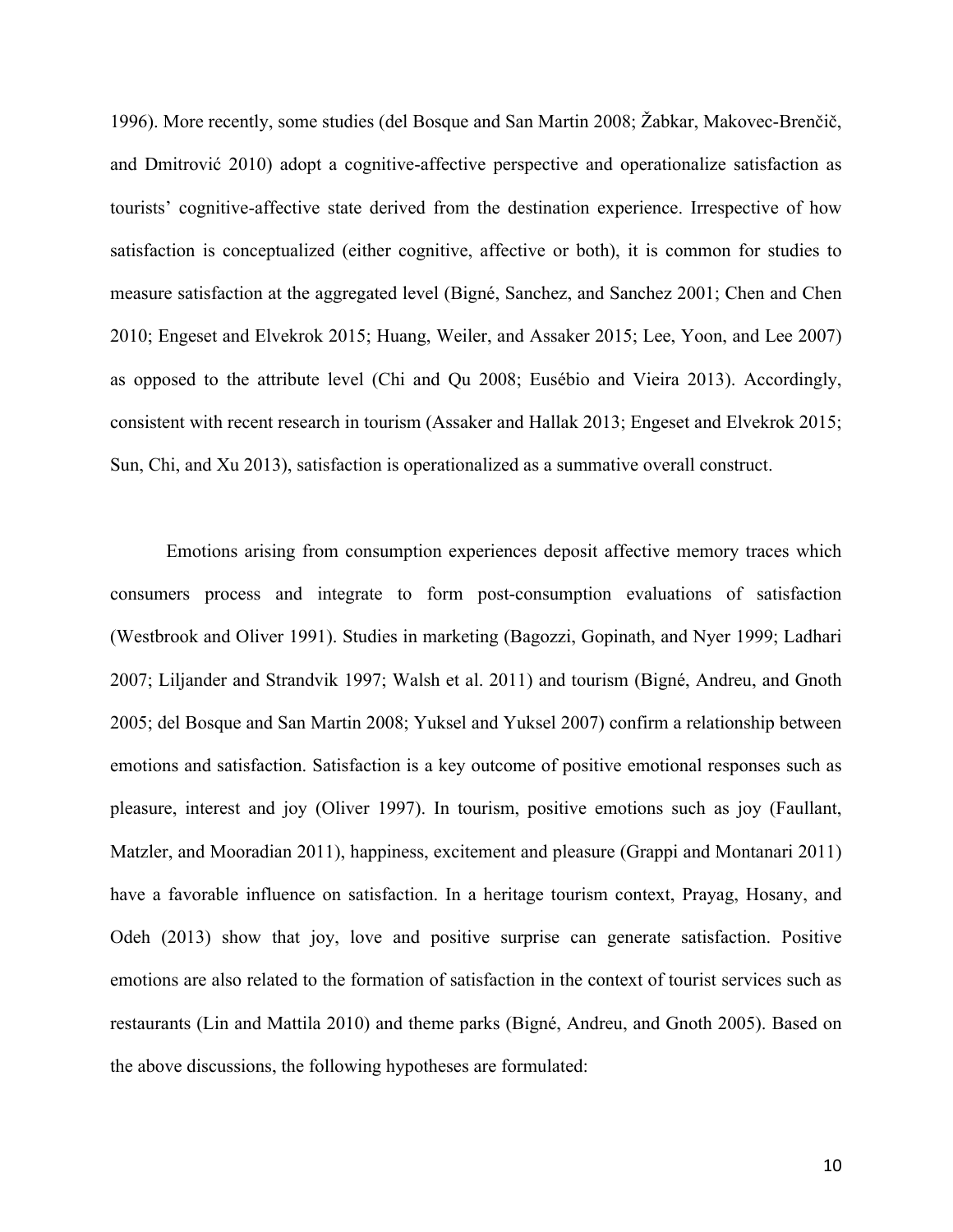1996). More recently, some studies (del Bosque and San Martin 2008; Žabkar, Makovec-Brenčič, and Dmitrović 2010) adopt a cognitive-affective perspective and operationalize satisfaction as tourists' cognitive-affective state derived from the destination experience. Irrespective of how satisfaction is conceptualized (either cognitive, affective or both), it is common for studies to measure satisfaction at the aggregated level (Bigné, Sanchez, and Sanchez 2001; Chen and Chen 2010; Engeset and Elvekrok 2015; Huang, Weiler, and Assaker 2015; Lee, Yoon, and Lee 2007) as opposed to the attribute level (Chi and Qu 2008; Eusébio and Vieira 2013). Accordingly, consistent with recent research in tourism (Assaker and Hallak 2013; Engeset and Elvekrok 2015; Sun, Chi, and Xu 2013), satisfaction is operationalized as a summative overall construct.

Emotions arising from consumption experiences deposit affective memory traces which consumers process and integrate to form post-consumption evaluations of satisfaction (Westbrook and Oliver 1991). Studies in marketing (Bagozzi, Gopinath, and Nyer 1999; Ladhari 2007; Liljander and Strandvik 1997; Walsh et al. 2011) and tourism (Bigné, Andreu, and Gnoth 2005; del Bosque and San Martin 2008; Yuksel and Yuksel 2007) confirm a relationship between emotions and satisfaction. Satisfaction is a key outcome of positive emotional responses such as pleasure, interest and joy (Oliver 1997). In tourism, positive emotions such as joy (Faullant, Matzler, and Mooradian 2011), happiness, excitement and pleasure (Grappi and Montanari 2011) have a favorable influence on satisfaction. In a heritage tourism context, Prayag, Hosany, and Odeh (2013) show that joy, love and positive surprise can generate satisfaction. Positive emotions are also related to the formation of satisfaction in the context of tourist services such as restaurants (Lin and Mattila 2010) and theme parks (Bigné, Andreu, and Gnoth 2005). Based on the above discussions, the following hypotheses are formulated: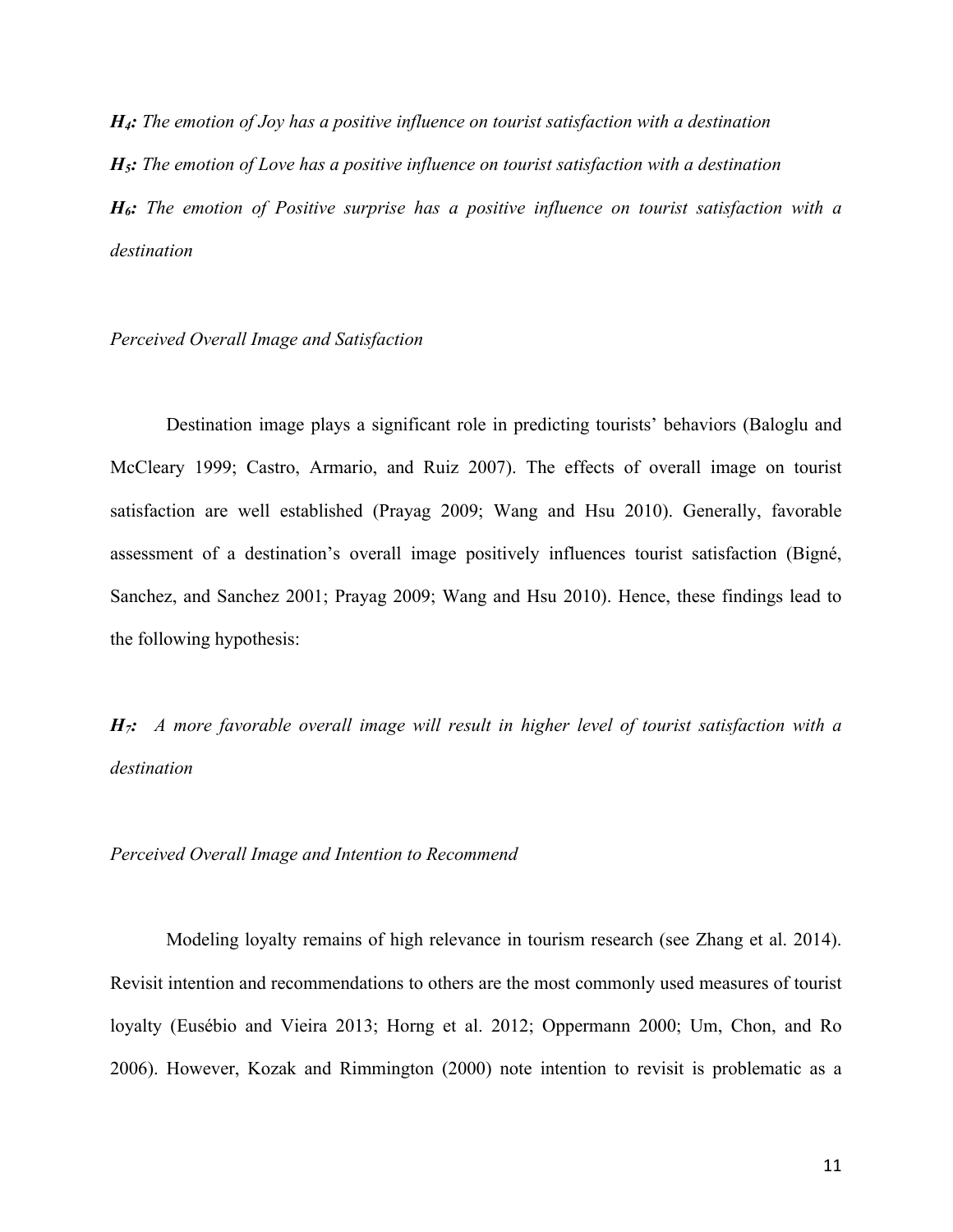*H4: The emotion of Joy has a positive influence on tourist satisfaction with a destination H5: The emotion of Love has a positive influence on tourist satisfaction with a destination H6: The emotion of Positive surprise has a positive influence on tourist satisfaction with a destination*

#### *Perceived Overall Image and Satisfaction*

Destination image plays a significant role in predicting tourists' behaviors (Baloglu and McCleary 1999; Castro, Armario, and Ruiz 2007). The effects of overall image on tourist satisfaction are well established (Prayag 2009; Wang and Hsu 2010). Generally, favorable assessment of a destination's overall image positively influences tourist satisfaction (Bigné, Sanchez, and Sanchez 2001; Prayag 2009; Wang and Hsu 2010). Hence, these findings lead to the following hypothesis:

*H7: A more favorable overall image will result in higher level of tourist satisfaction with a destination*

*Perceived Overall Image and Intention to Recommend*

Modeling loyalty remains of high relevance in tourism research (see Zhang et al. 2014). Revisit intention and recommendations to others are the most commonly used measures of tourist loyalty (Eusébio and Vieira 2013; Horng et al. 2012; Oppermann 2000; Um, Chon, and Ro 2006). However, Kozak and Rimmington (2000) note intention to revisit is problematic as a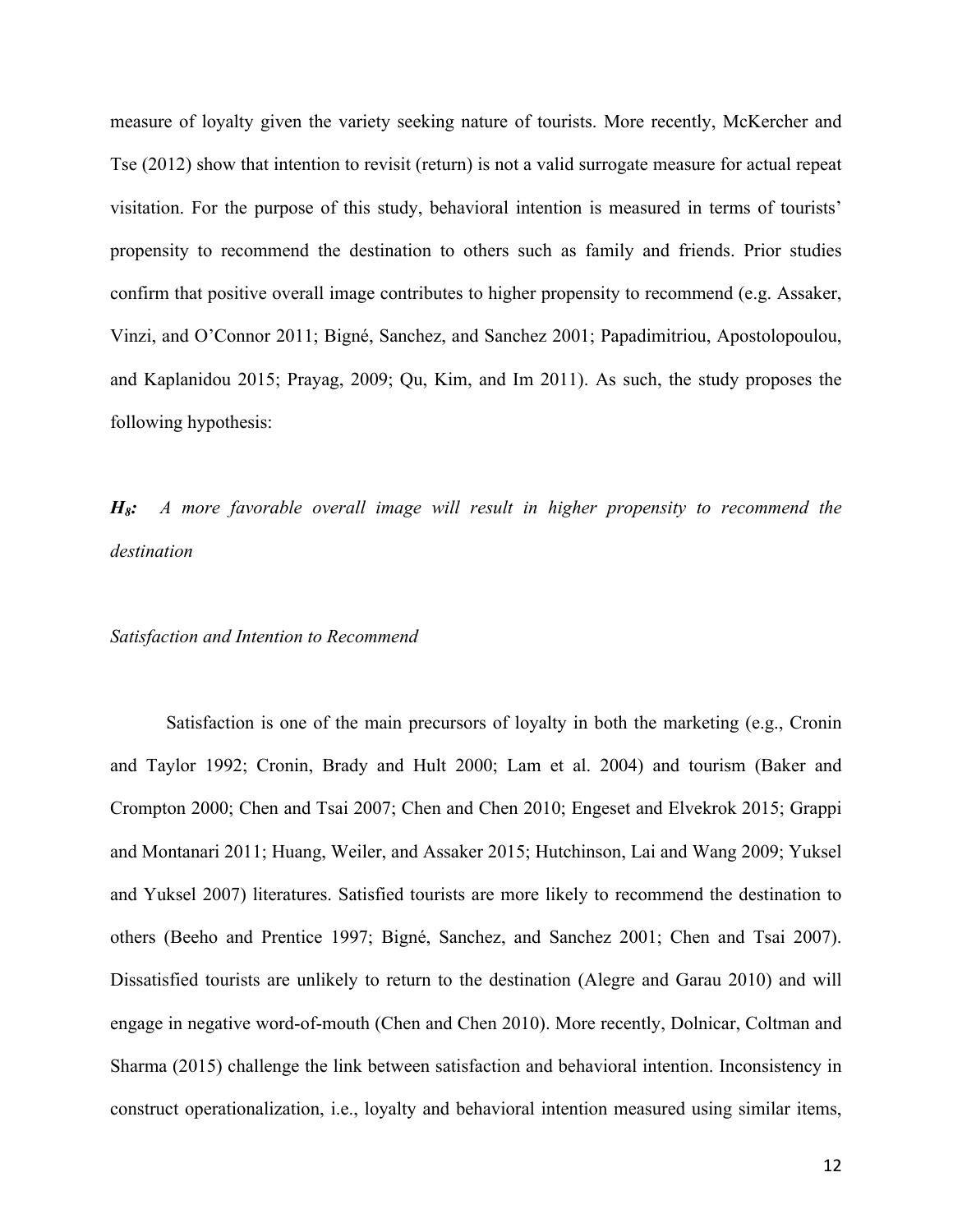measure of loyalty given the variety seeking nature of tourists. More recently, McKercher and Tse (2012) show that intention to revisit (return) is not a valid surrogate measure for actual repeat visitation. For the purpose of this study, behavioral intention is measured in terms of tourists' propensity to recommend the destination to others such as family and friends. Prior studies confirm that positive overall image contributes to higher propensity to recommend (e.g. Assaker, Vinzi, and O'Connor 2011; Bigné, Sanchez, and Sanchez 2001; Papadimitriou, Apostolopoulou, and Kaplanidou 2015; Prayag, 2009; Qu, Kim, and Im 2011). As such, the study proposes the following hypothesis:

*H8: A more favorable overall image will result in higher propensity to recommend the destination*

## *Satisfaction and Intention to Recommend*

Satisfaction is one of the main precursors of loyalty in both the marketing (e.g., Cronin and Taylor 1992; Cronin, Brady and Hult 2000; Lam et al. 2004) and tourism (Baker and Crompton 2000; Chen and Tsai 2007; Chen and Chen 2010; Engeset and Elvekrok 2015; Grappi and Montanari 2011; Huang, Weiler, and Assaker 2015; Hutchinson, Lai and Wang 2009; Yuksel and Yuksel 2007) literatures. Satisfied tourists are more likely to recommend the destination to others (Beeho and Prentice 1997; Bigné, Sanchez, and Sanchez 2001; Chen and Tsai 2007). Dissatisfied tourists are unlikely to return to the destination (Alegre and Garau 2010) and will engage in negative word-of-mouth (Chen and Chen 2010). More recently, Dolnicar, Coltman and Sharma (2015) challenge the link between satisfaction and behavioral intention. Inconsistency in construct operationalization, i.e., loyalty and behavioral intention measured using similar items,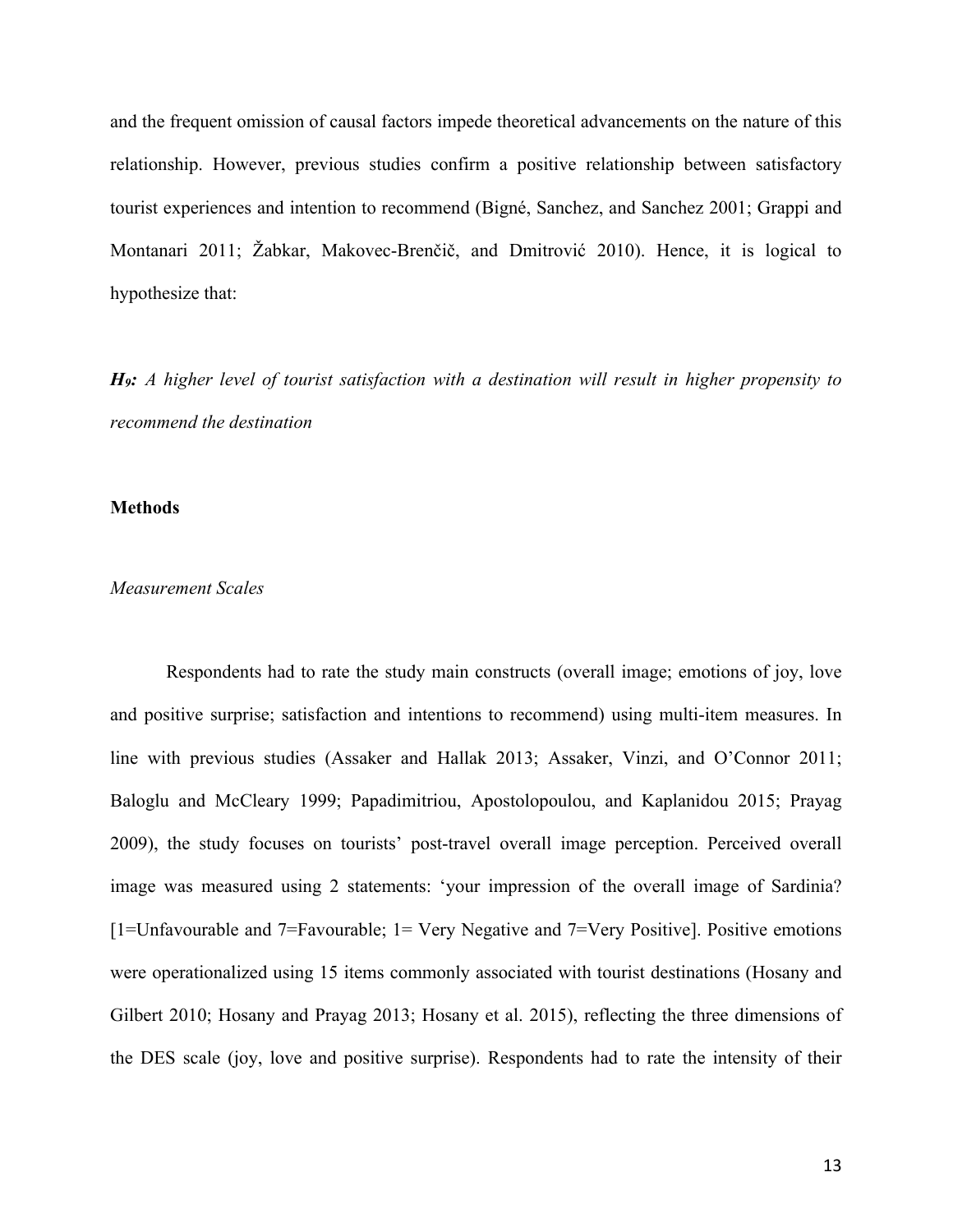and the frequent omission of causal factors impede theoretical advancements on the nature of this relationship. However, previous studies confirm a positive relationship between satisfactory tourist experiences and intention to recommend (Bigné, Sanchez, and Sanchez 2001; Grappi and Montanari 2011; Žabkar, Makovec-Brenčič, and Dmitrović 2010). Hence, it is logical to hypothesize that:

*H9: A higher level of tourist satisfaction with a destination will result in higher propensity to recommend the destination*

#### **Methods**

## *Measurement Scales*

Respondents had to rate the study main constructs (overall image; emotions of joy, love and positive surprise; satisfaction and intentions to recommend) using multi-item measures. In line with previous studies (Assaker and Hallak 2013; Assaker, Vinzi, and O'Connor 2011; Baloglu and McCleary 1999; Papadimitriou, Apostolopoulou, and Kaplanidou 2015; Prayag 2009), the study focuses on tourists' post-travel overall image perception. Perceived overall image was measured using 2 statements: 'your impression of the overall image of Sardinia? [1=Unfavourable and 7=Favourable; 1= Very Negative and 7=Very Positive]. Positive emotions were operationalized using 15 items commonly associated with tourist destinations (Hosany and Gilbert 2010; Hosany and Prayag 2013; Hosany et al. 2015), reflecting the three dimensions of the DES scale (joy, love and positive surprise). Respondents had to rate the intensity of their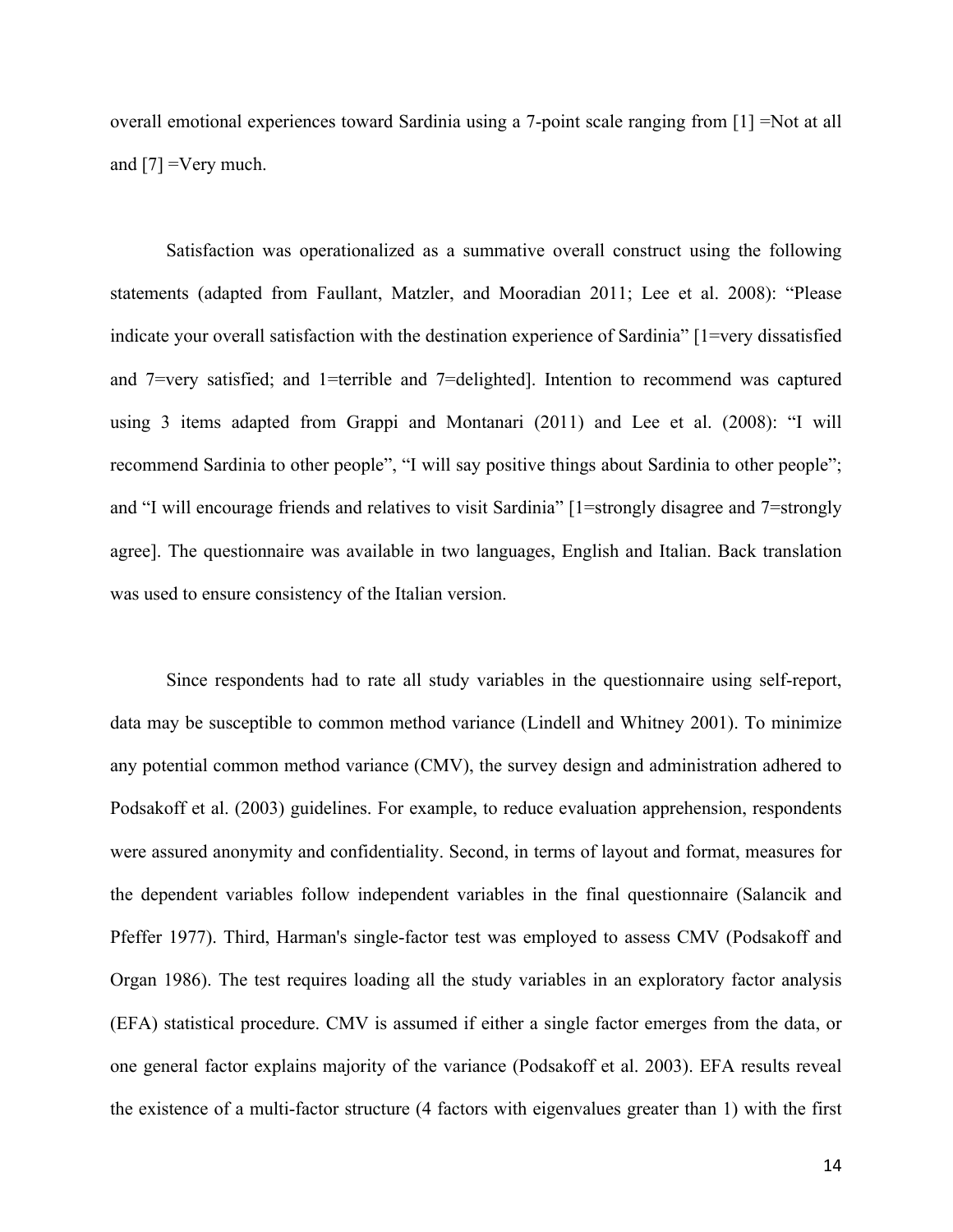overall emotional experiences toward Sardinia using a 7-point scale ranging from [1] =Not at all and [7] =Very much.

Satisfaction was operationalized as a summative overall construct using the following statements (adapted from Faullant, Matzler, and Mooradian 2011; Lee et al. 2008): "Please indicate your overall satisfaction with the destination experience of Sardinia" [1=very dissatisfied and 7=very satisfied; and 1=terrible and 7=delighted]. Intention to recommend was captured using 3 items adapted from Grappi and Montanari (2011) and Lee et al. (2008): "I will recommend Sardinia to other people", "I will say positive things about Sardinia to other people"; and "I will encourage friends and relatives to visit Sardinia" [1=strongly disagree and 7=strongly agree]. The questionnaire was available in two languages, English and Italian. Back translation was used to ensure consistency of the Italian version.

Since respondents had to rate all study variables in the questionnaire using self-report, data may be susceptible to common method variance (Lindell and Whitney 2001). To minimize any potential common method variance (CMV), the survey design and administration adhered to Podsakoff et al. (2003) guidelines. For example, to reduce evaluation apprehension, respondents were assured anonymity and confidentiality. Second, in terms of layout and format, measures for the dependent variables follow independent variables in the final questionnaire (Salancik and Pfeffer 1977). Third, Harman's single-factor test was employed to assess CMV (Podsakoff and Organ 1986). The test requires loading all the study variables in an exploratory factor analysis (EFA) statistical procedure. CMV is assumed if either a single factor emerges from the data, or one general factor explains majority of the variance (Podsakoff et al. 2003). EFA results reveal the existence of a multi-factor structure (4 factors with eigenvalues greater than 1) with the first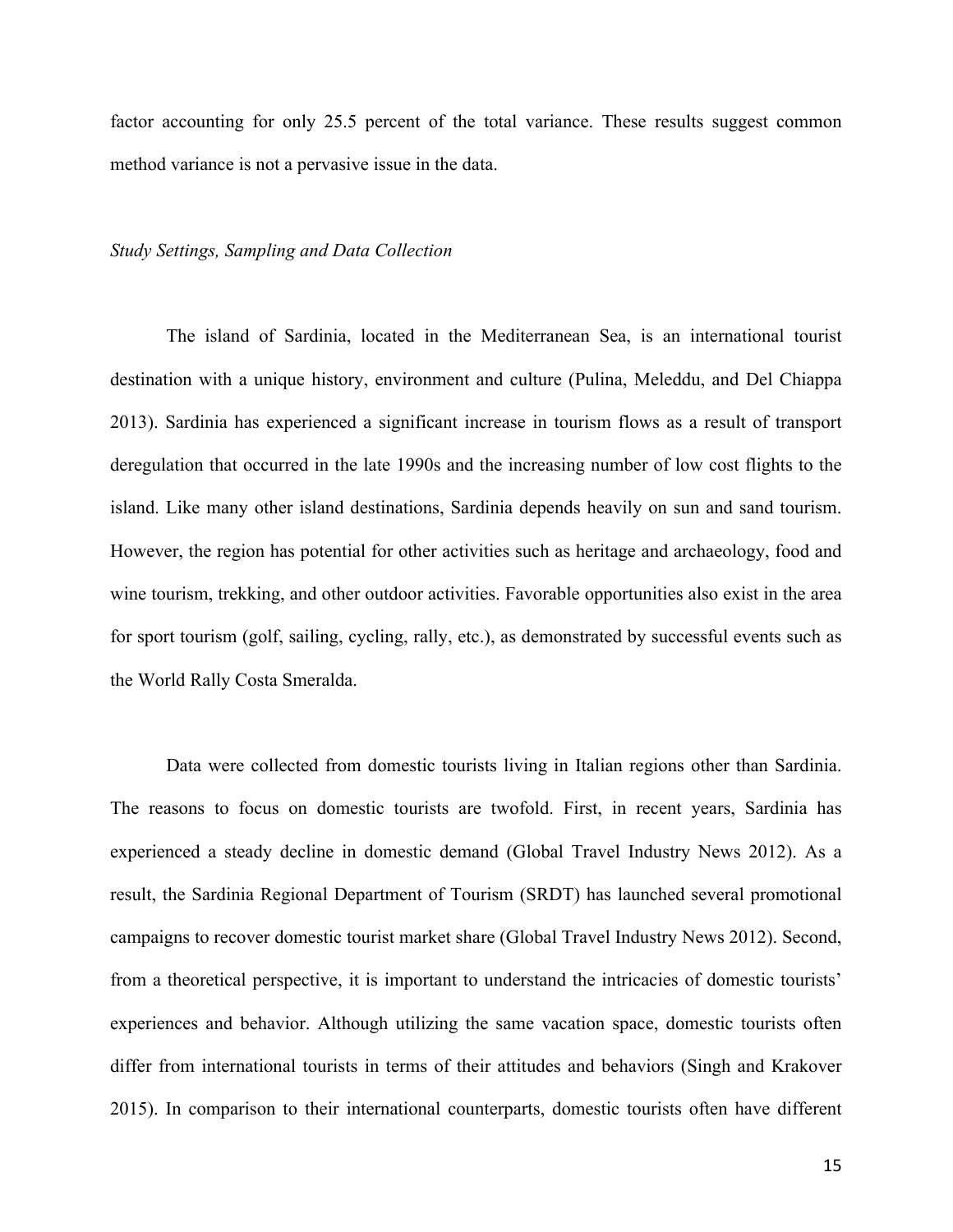factor accounting for only 25.5 percent of the total variance. These results suggest common method variance is not a pervasive issue in the data.

#### *Study Settings, Sampling and Data Collection*

The island of Sardinia, located in the Mediterranean Sea, is an international tourist destination with a unique history, environment and culture (Pulina, Meleddu, and Del Chiappa 2013). Sardinia has experienced a significant increase in tourism flows as a result of transport deregulation that occurred in the late 1990s and the increasing number of low cost flights to the island. Like many other island destinations, Sardinia depends heavily on sun and sand tourism. However, the region has potential for other activities such as heritage and archaeology, food and wine tourism, trekking, and other outdoor activities. Favorable opportunities also exist in the area for sport tourism (golf, sailing, cycling, rally, etc.), as demonstrated by successful events such as the World Rally Costa Smeralda.

Data were collected from domestic tourists living in Italian regions other than Sardinia. The reasons to focus on domestic tourists are twofold. First, in recent years, Sardinia has experienced a steady decline in domestic demand (Global Travel Industry News 2012). As a result, the Sardinia Regional Department of Tourism (SRDT) has launched several promotional campaigns to recover domestic tourist market share (Global Travel Industry News 2012). Second, from a theoretical perspective, it is important to understand the intricacies of domestic tourists' experiences and behavior. Although utilizing the same vacation space, domestic tourists often differ from international tourists in terms of their attitudes and behaviors (Singh and Krakover 2015). In comparison to their international counterparts, domestic tourists often have different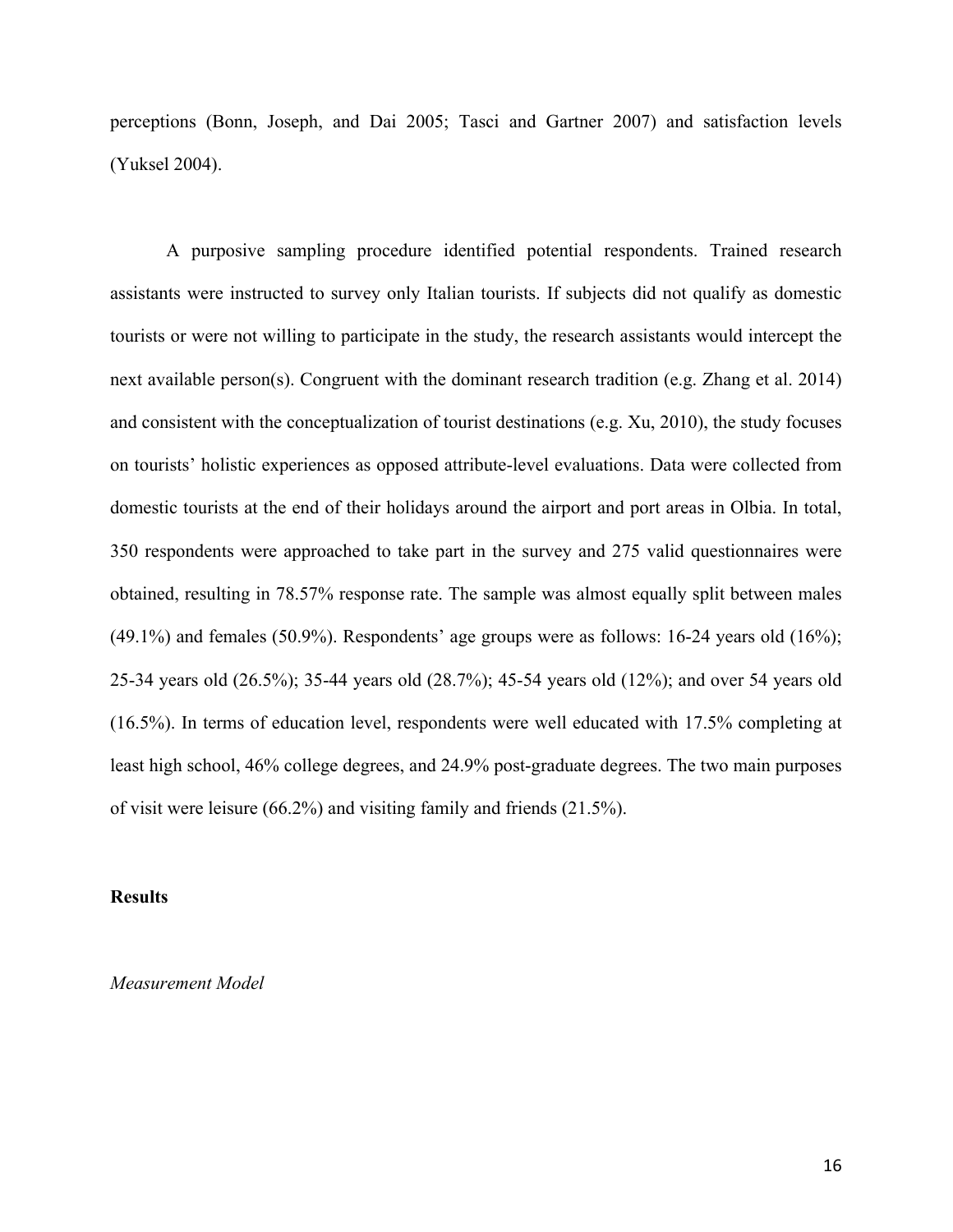perceptions (Bonn, Joseph, and Dai 2005; Tasci and Gartner 2007) and satisfaction levels (Yuksel 2004).

A purposive sampling procedure identified potential respondents. Trained research assistants were instructed to survey only Italian tourists. If subjects did not qualify as domestic tourists or were not willing to participate in the study, the research assistants would intercept the next available person(s). Congruent with the dominant research tradition (e.g. Zhang et al. 2014) and consistent with the conceptualization of tourist destinations (e.g. Xu, 2010), the study focuses on tourists' holistic experiences as opposed attribute-level evaluations. Data were collected from domestic tourists at the end of their holidays around the airport and port areas in Olbia. In total, 350 respondents were approached to take part in the survey and 275 valid questionnaires were obtained, resulting in 78.57% response rate. The sample was almost equally split between males (49.1%) and females (50.9%). Respondents' age groups were as follows: 16-24 years old (16%); 25-34 years old (26.5%); 35-44 years old (28.7%); 45-54 years old (12%); and over 54 years old (16.5%). In terms of education level, respondents were well educated with 17.5% completing at least high school, 46% college degrees, and 24.9% post-graduate degrees. The two main purposes of visit were leisure (66.2%) and visiting family and friends (21.5%).

## **Results**

*Measurement Model*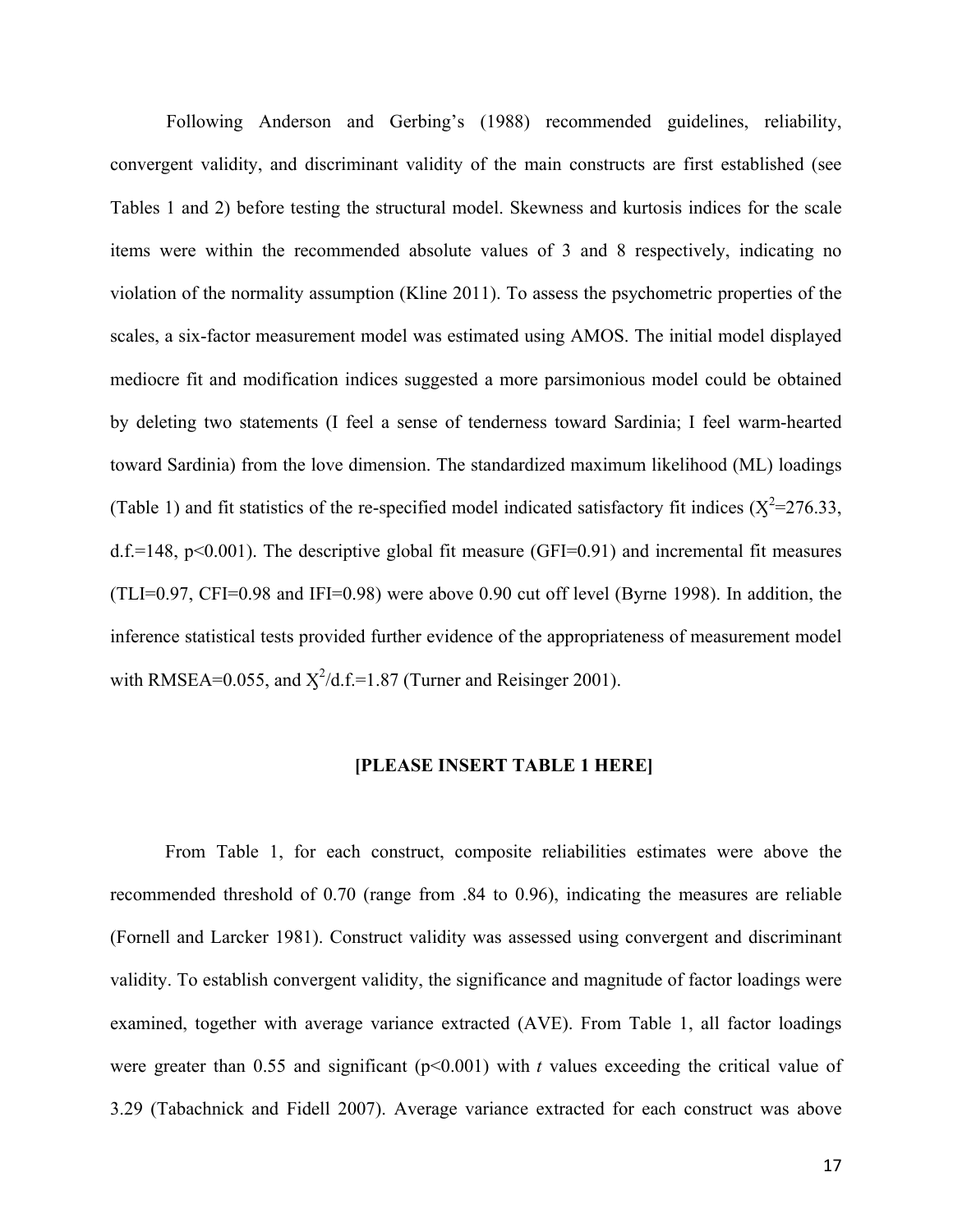Following Anderson and Gerbing's (1988) recommended guidelines, reliability, convergent validity, and discriminant validity of the main constructs are first established (see Tables 1 and 2) before testing the structural model. Skewness and kurtosis indices for the scale items were within the recommended absolute values of 3 and 8 respectively, indicating no violation of the normality assumption (Kline 2011). To assess the psychometric properties of the scales, a six-factor measurement model was estimated using AMOS. The initial model displayed mediocre fit and modification indices suggested a more parsimonious model could be obtained by deleting two statements (I feel a sense of tenderness toward Sardinia; I feel warm-hearted toward Sardinia) from the love dimension. The standardized maximum likelihood (ML) loadings (Table 1) and fit statistics of the re-specified model indicated satisfactory fit indices ( $X^2$ =276.33, d.f.=148,  $p<0.001$ ). The descriptive global fit measure (GFI=0.91) and incremental fit measures (TLI=0.97, CFI=0.98 and IFI=0.98) were above 0.90 cut off level (Byrne 1998). In addition, the inference statistical tests provided further evidence of the appropriateness of measurement model with RMSEA=0.055, and  $\chi^2/d.f = 1.87$  (Turner and Reisinger 2001).

#### **[PLEASE INSERT TABLE 1 HERE]**

From Table 1, for each construct, composite reliabilities estimates were above the recommended threshold of 0.70 (range from .84 to 0.96), indicating the measures are reliable (Fornell and Larcker 1981). Construct validity was assessed using convergent and discriminant validity. To establish convergent validity, the significance and magnitude of factor loadings were examined, together with average variance extracted (AVE). From Table 1, all factor loadings were greater than 0.55 and significant  $(p<0.001)$  with *t* values exceeding the critical value of 3.29 (Tabachnick and Fidell 2007). Average variance extracted for each construct was above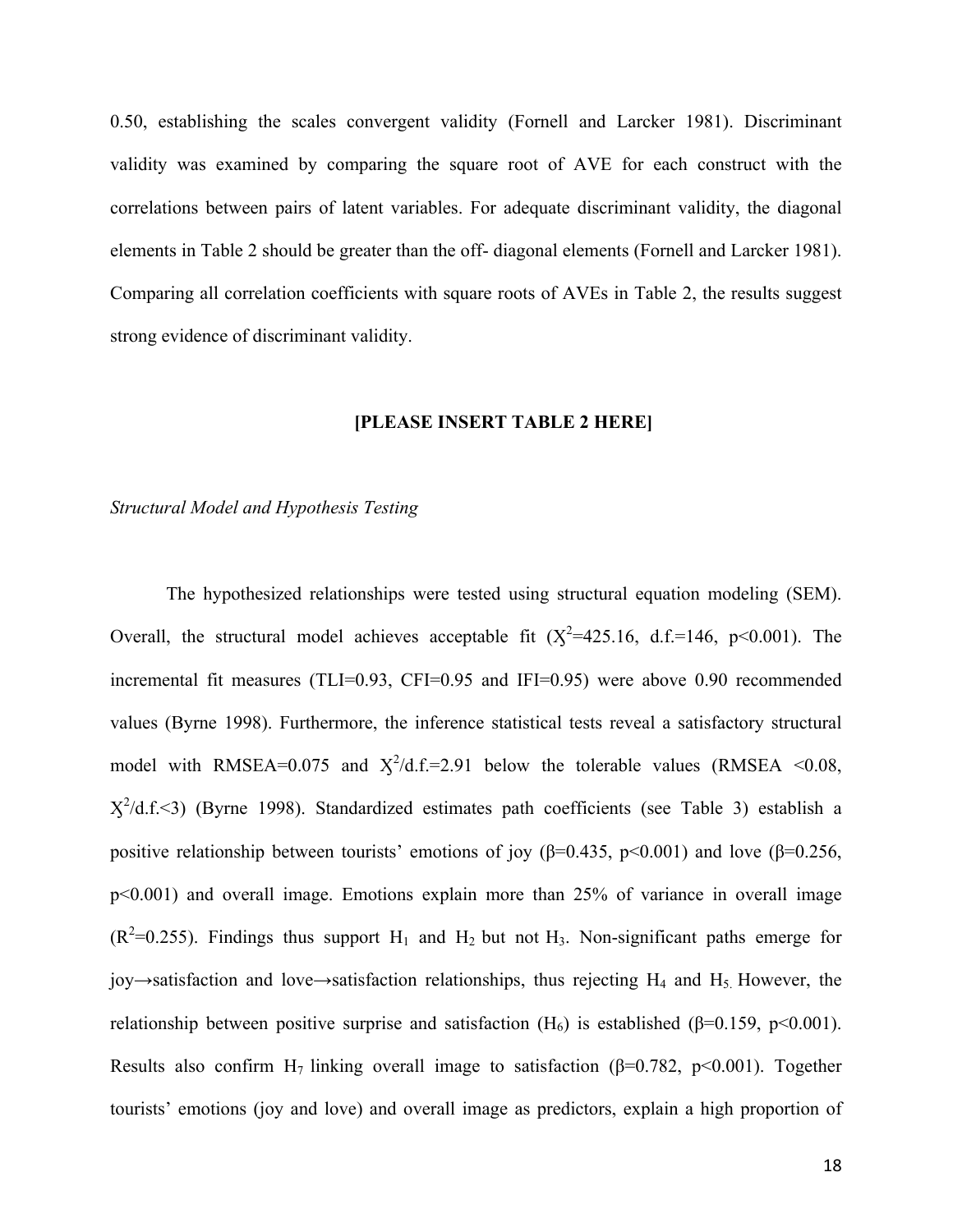0.50, establishing the scales convergent validity (Fornell and Larcker 1981). Discriminant validity was examined by comparing the square root of AVE for each construct with the correlations between pairs of latent variables. For adequate discriminant validity, the diagonal elements in Table 2 should be greater than the off- diagonal elements (Fornell and Larcker 1981). Comparing all correlation coefficients with square roots of AVEs in Table 2, the results suggest strong evidence of discriminant validity.

#### **[PLEASE INSERT TABLE 2 HERE]**

#### *Structural Model and Hypothesis Testing*

The hypothesized relationships were tested using structural equation modeling (SEM). Overall, the structural model achieves acceptable fit  $(X^2=425.16, d.f.=146, p<0.001)$ . The incremental fit measures (TLI=0.93, CFI=0.95 and IFI=0.95) were above 0.90 recommended values (Byrne 1998). Furthermore, the inference statistical tests reveal a satisfactory structural model with RMSEA=0.075 and  $X^2/d.f.=2.91$  below the tolerable values (RMSEA <0.08,  $X^2/d.f. \leq 3$ ) (Byrne 1998). Standardized estimates path coefficients (see Table 3) establish a positive relationship between tourists' emotions of joy ( $\beta$ =0.435, p<0.001) and love ( $\beta$ =0.256, p<0.001) and overall image. Emotions explain more than 25% of variance in overall image  $(R^2=0.255)$ . Findings thus support H<sub>1</sub> and H<sub>2</sub> but not H<sub>3</sub>. Non-significant paths emerge for joy  $\rightarrow$  satisfaction and love  $\rightarrow$  satisfaction relationships, thus rejecting H<sub>4</sub> and H<sub>5</sub>. However, the relationship between positive surprise and satisfaction  $(H_6)$  is established ( $\beta$ =0.159, p<0.001). Results also confirm H<sub>7</sub> linking overall image to satisfaction ( $\beta$ =0.782, p<0.001). Together tourists' emotions (joy and love) and overall image as predictors, explain a high proportion of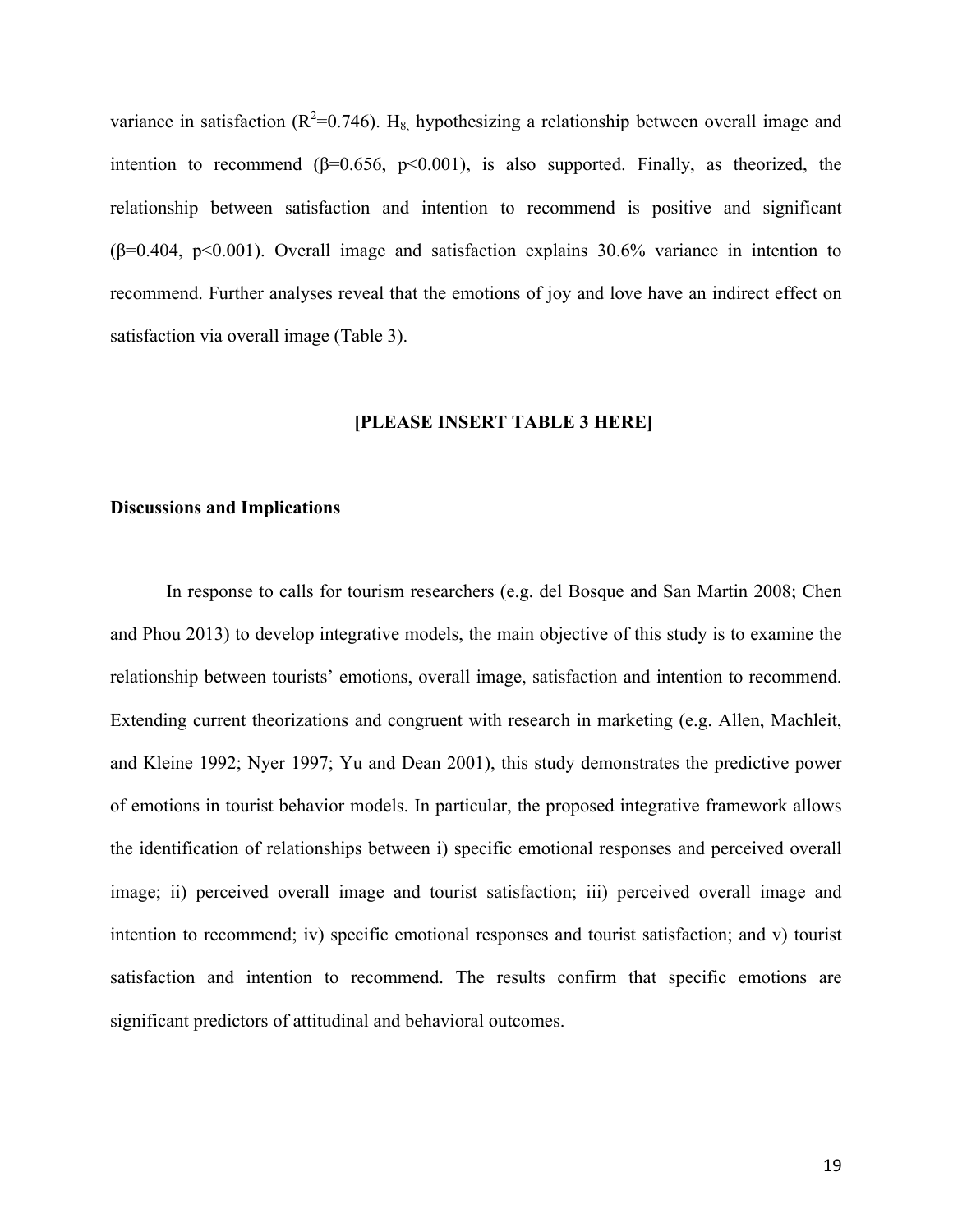variance in satisfaction ( $R^2$ =0.746). H<sub>8,</sub> hypothesizing a relationship between overall image and intention to recommend  $(\beta=0.656, p<0.001)$ , is also supported. Finally, as theorized, the relationship between satisfaction and intention to recommend is positive and significant  $(\beta=0.404, p<0.001)$ . Overall image and satisfaction explains 30.6% variance in intention to recommend. Further analyses reveal that the emotions of joy and love have an indirect effect on satisfaction via overall image (Table 3).

#### **[PLEASE INSERT TABLE 3 HERE]**

## **Discussions and Implications**

In response to calls for tourism researchers (e.g. del Bosque and San Martin 2008; Chen and Phou 2013) to develop integrative models, the main objective of this study is to examine the relationship between tourists' emotions, overall image, satisfaction and intention to recommend. Extending current theorizations and congruent with research in marketing (e.g. Allen, Machleit, and Kleine 1992; Nyer 1997; Yu and Dean 2001), this study demonstrates the predictive power of emotions in tourist behavior models. In particular, the proposed integrative framework allows the identification of relationships between i) specific emotional responses and perceived overall image; ii) perceived overall image and tourist satisfaction; iii) perceived overall image and intention to recommend; iv) specific emotional responses and tourist satisfaction; and v) tourist satisfaction and intention to recommend. The results confirm that specific emotions are significant predictors of attitudinal and behavioral outcomes.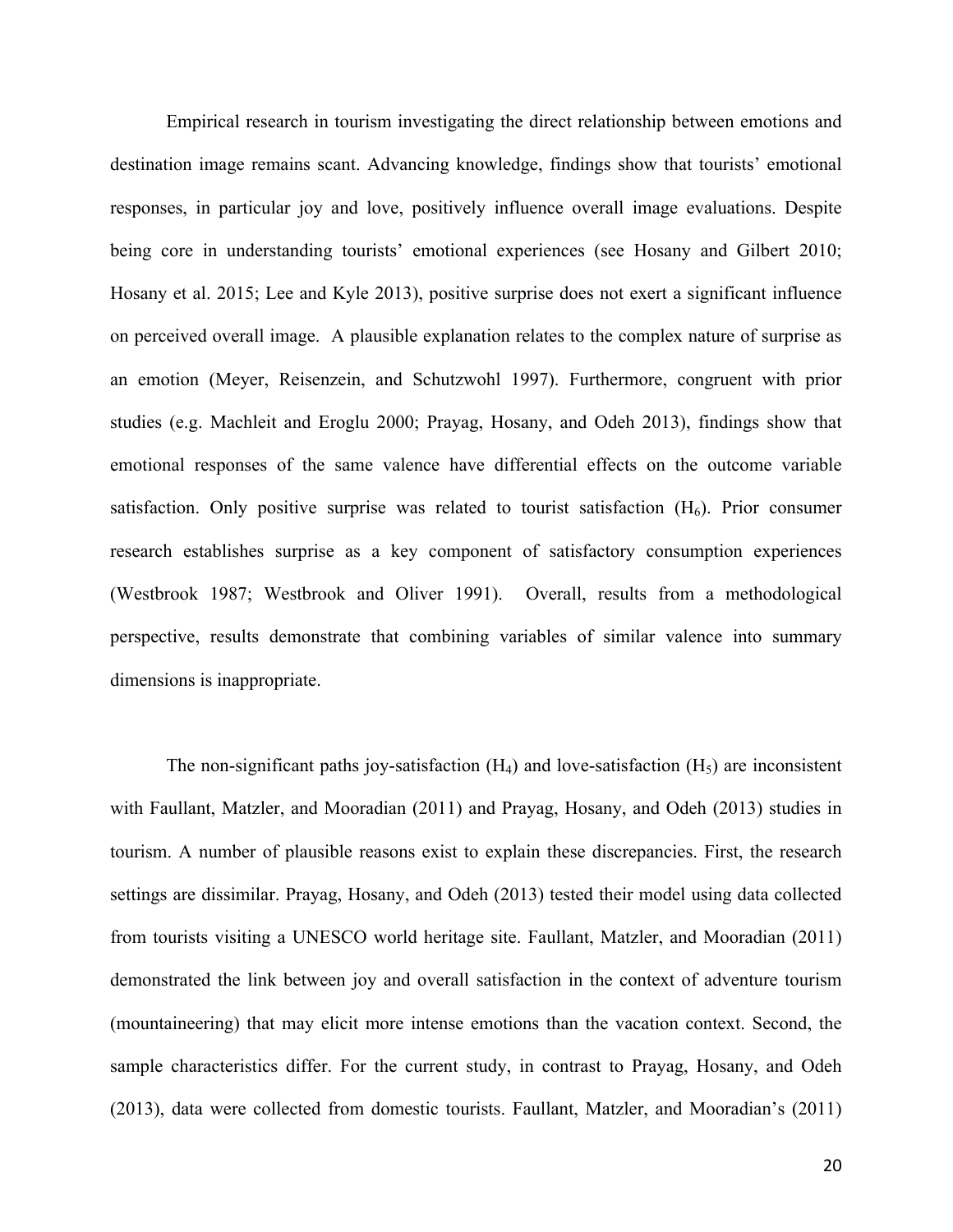Empirical research in tourism investigating the direct relationship between emotions and destination image remains scant. Advancing knowledge, findings show that tourists' emotional responses, in particular joy and love, positively influence overall image evaluations. Despite being core in understanding tourists' emotional experiences (see Hosany and Gilbert 2010; Hosany et al. 2015; Lee and Kyle 2013), positive surprise does not exert a significant influence on perceived overall image. A plausible explanation relates to the complex nature of surprise as an emotion (Meyer, Reisenzein, and Schutzwohl 1997). Furthermore, congruent with prior studies (e.g. Machleit and Eroglu 2000; Prayag, Hosany, and Odeh 2013), findings show that emotional responses of the same valence have differential effects on the outcome variable satisfaction. Only positive surprise was related to tourist satisfaction  $(H_6)$ . Prior consumer research establishes surprise as a key component of satisfactory consumption experiences (Westbrook 1987; Westbrook and Oliver 1991). Overall, results from a methodological perspective, results demonstrate that combining variables of similar valence into summary dimensions is inappropriate.

The non-significant paths joy-satisfaction  $(H_4)$  and love-satisfaction  $(H_5)$  are inconsistent with Faullant, Matzler, and Mooradian (2011) and Prayag, Hosany, and Odeh (2013) studies in tourism. A number of plausible reasons exist to explain these discrepancies. First, the research settings are dissimilar. Prayag, Hosany, and Odeh (2013) tested their model using data collected from tourists visiting a UNESCO world heritage site. Faullant, Matzler, and Mooradian (2011) demonstrated the link between joy and overall satisfaction in the context of adventure tourism (mountaineering) that may elicit more intense emotions than the vacation context. Second, the sample characteristics differ. For the current study, in contrast to Prayag, Hosany, and Odeh (2013), data were collected from domestic tourists. Faullant, Matzler, and Mooradian's (2011)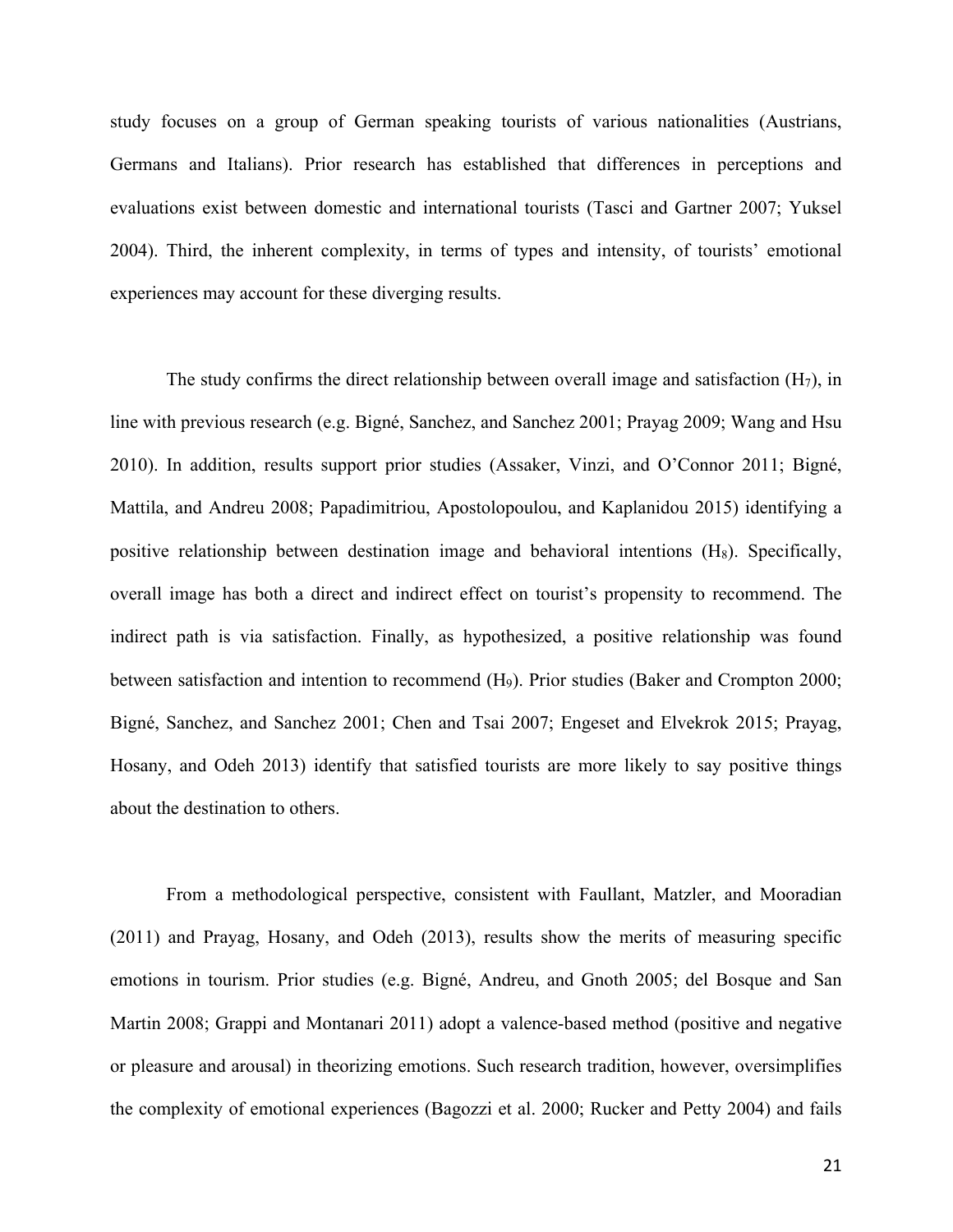study focuses on a group of German speaking tourists of various nationalities (Austrians, Germans and Italians). Prior research has established that differences in perceptions and evaluations exist between domestic and international tourists (Tasci and Gartner 2007; Yuksel 2004). Third, the inherent complexity, in terms of types and intensity, of tourists' emotional experiences may account for these diverging results.

The study confirms the direct relationship between overall image and satisfaction  $(H_7)$ , in line with previous research (e.g. Bigné, Sanchez, and Sanchez 2001; Prayag 2009; Wang and Hsu 2010). In addition, results support prior studies (Assaker, Vinzi, and O'Connor 2011; Bigné, Mattila, and Andreu 2008; Papadimitriou, Apostolopoulou, and Kaplanidou 2015) identifying a positive relationship between destination image and behavioral intentions  $(H_8)$ . Specifically, overall image has both a direct and indirect effect on tourist's propensity to recommend. The indirect path is via satisfaction. Finally, as hypothesized, a positive relationship was found between satisfaction and intention to recommend (H<sub>9</sub>). Prior studies (Baker and Crompton 2000; Bigné, Sanchez, and Sanchez 2001; Chen and Tsai 2007; Engeset and Elvekrok 2015; Prayag, Hosany, and Odeh 2013) identify that satisfied tourists are more likely to say positive things about the destination to others.

From a methodological perspective, consistent with Faullant, Matzler, and Mooradian (2011) and Prayag, Hosany, and Odeh (2013), results show the merits of measuring specific emotions in tourism. Prior studies (e.g. Bigné, Andreu, and Gnoth 2005; del Bosque and San Martin 2008; Grappi and Montanari 2011) adopt a valence-based method (positive and negative or pleasure and arousal) in theorizing emotions. Such research tradition, however, oversimplifies the complexity of emotional experiences (Bagozzi et al. 2000; Rucker and Petty 2004) and fails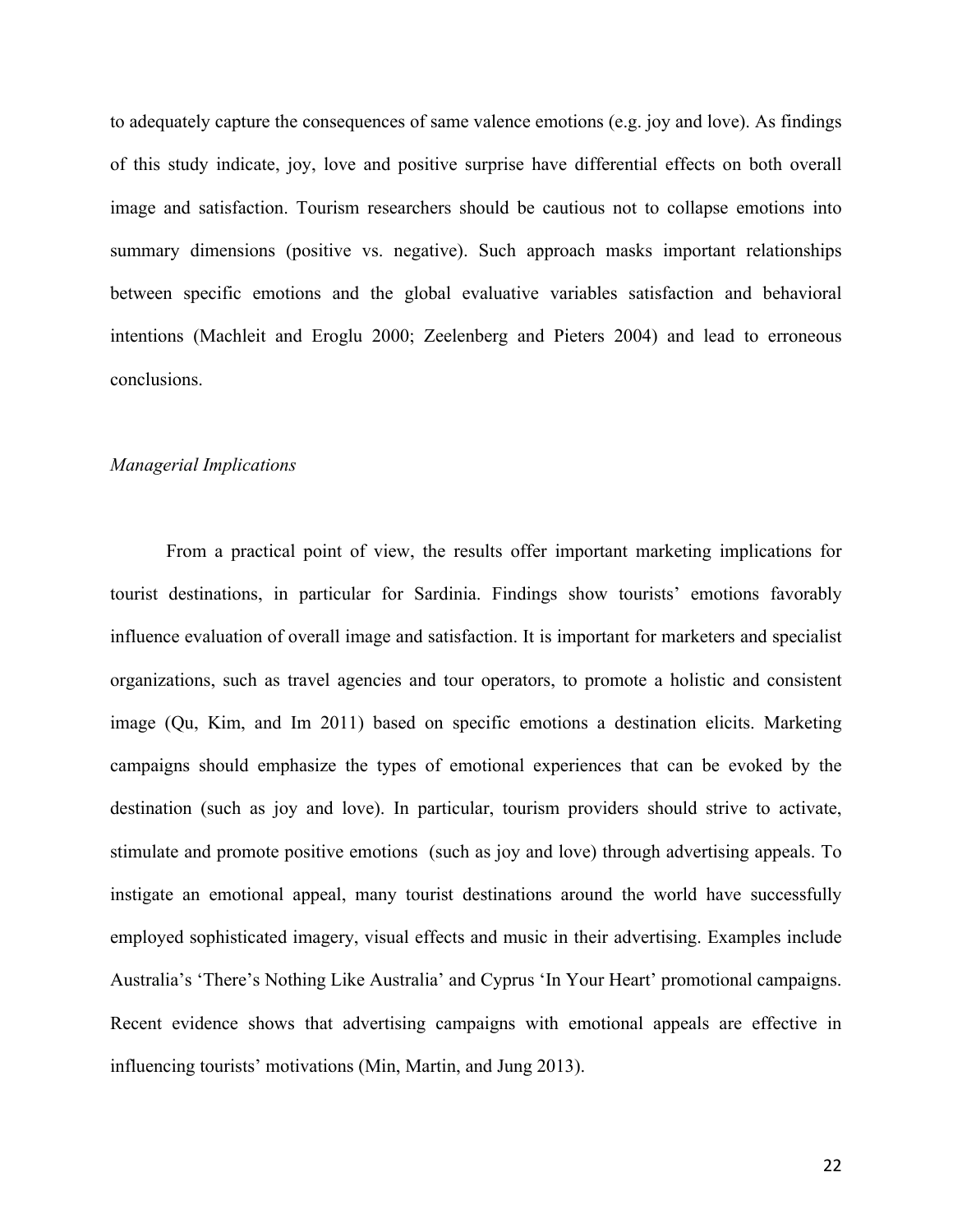to adequately capture the consequences of same valence emotions (e.g. joy and love). As findings of this study indicate, joy, love and positive surprise have differential effects on both overall image and satisfaction. Tourism researchers should be cautious not to collapse emotions into summary dimensions (positive vs. negative). Such approach masks important relationships between specific emotions and the global evaluative variables satisfaction and behavioral intentions (Machleit and Eroglu 2000; Zeelenberg and Pieters 2004) and lead to erroneous conclusions.

# *Managerial Implications*

From a practical point of view, the results offer important marketing implications for tourist destinations, in particular for Sardinia. Findings show tourists' emotions favorably influence evaluation of overall image and satisfaction. It is important for marketers and specialist organizations, such as travel agencies and tour operators, to promote a holistic and consistent image (Qu, Kim, and Im 2011) based on specific emotions a destination elicits. Marketing campaigns should emphasize the types of emotional experiences that can be evoked by the destination (such as joy and love). In particular, tourism providers should strive to activate, stimulate and promote positive emotions (such as joy and love) through advertising appeals. To instigate an emotional appeal, many tourist destinations around the world have successfully employed sophisticated imagery, visual effects and music in their advertising. Examples include Australia's 'There's Nothing Like Australia' and Cyprus 'In Your Heart' promotional campaigns. Recent evidence shows that advertising campaigns with emotional appeals are effective in influencing tourists' motivations (Min, Martin, and Jung 2013).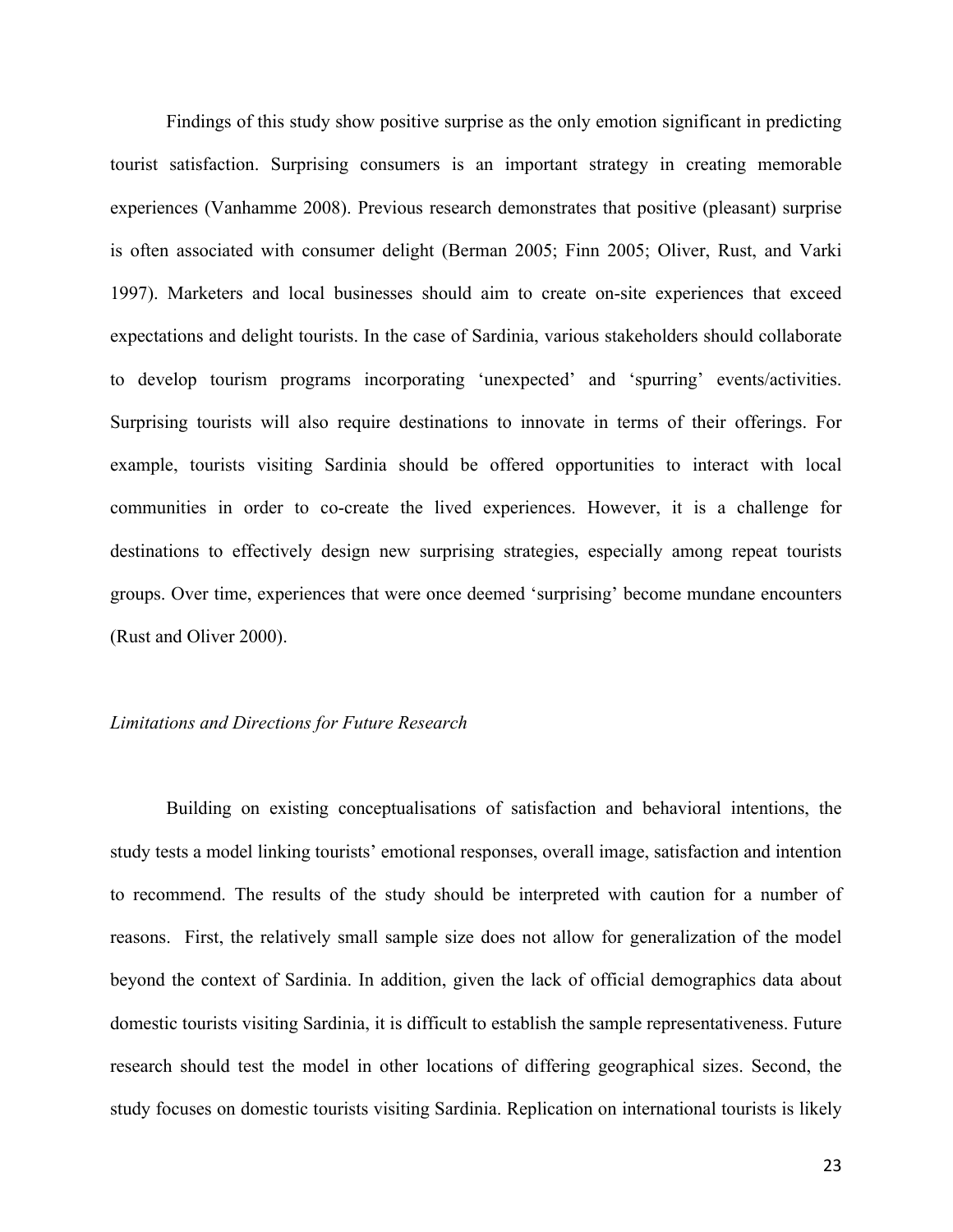Findings of this study show positive surprise as the only emotion significant in predicting tourist satisfaction. Surprising consumers is an important strategy in creating memorable experiences (Vanhamme 2008). Previous research demonstrates that positive (pleasant) surprise is often associated with consumer delight (Berman 2005; Finn 2005; Oliver, Rust, and Varki 1997). Marketers and local businesses should aim to create on-site experiences that exceed expectations and delight tourists. In the case of Sardinia, various stakeholders should collaborate to develop tourism programs incorporating 'unexpected' and 'spurring' events/activities. Surprising tourists will also require destinations to innovate in terms of their offerings. For example, tourists visiting Sardinia should be offered opportunities to interact with local communities in order to co-create the lived experiences. However, it is a challenge for destinations to effectively design new surprising strategies, especially among repeat tourists groups. Over time, experiences that were once deemed 'surprising' become mundane encounters (Rust and Oliver 2000).

# *Limitations and Directions for Future Research*

Building on existing conceptualisations of satisfaction and behavioral intentions, the study tests a model linking tourists' emotional responses, overall image, satisfaction and intention to recommend. The results of the study should be interpreted with caution for a number of reasons. First, the relatively small sample size does not allow for generalization of the model beyond the context of Sardinia. In addition, given the lack of official demographics data about domestic tourists visiting Sardinia, it is difficult to establish the sample representativeness. Future research should test the model in other locations of differing geographical sizes. Second, the study focuses on domestic tourists visiting Sardinia. Replication on international tourists is likely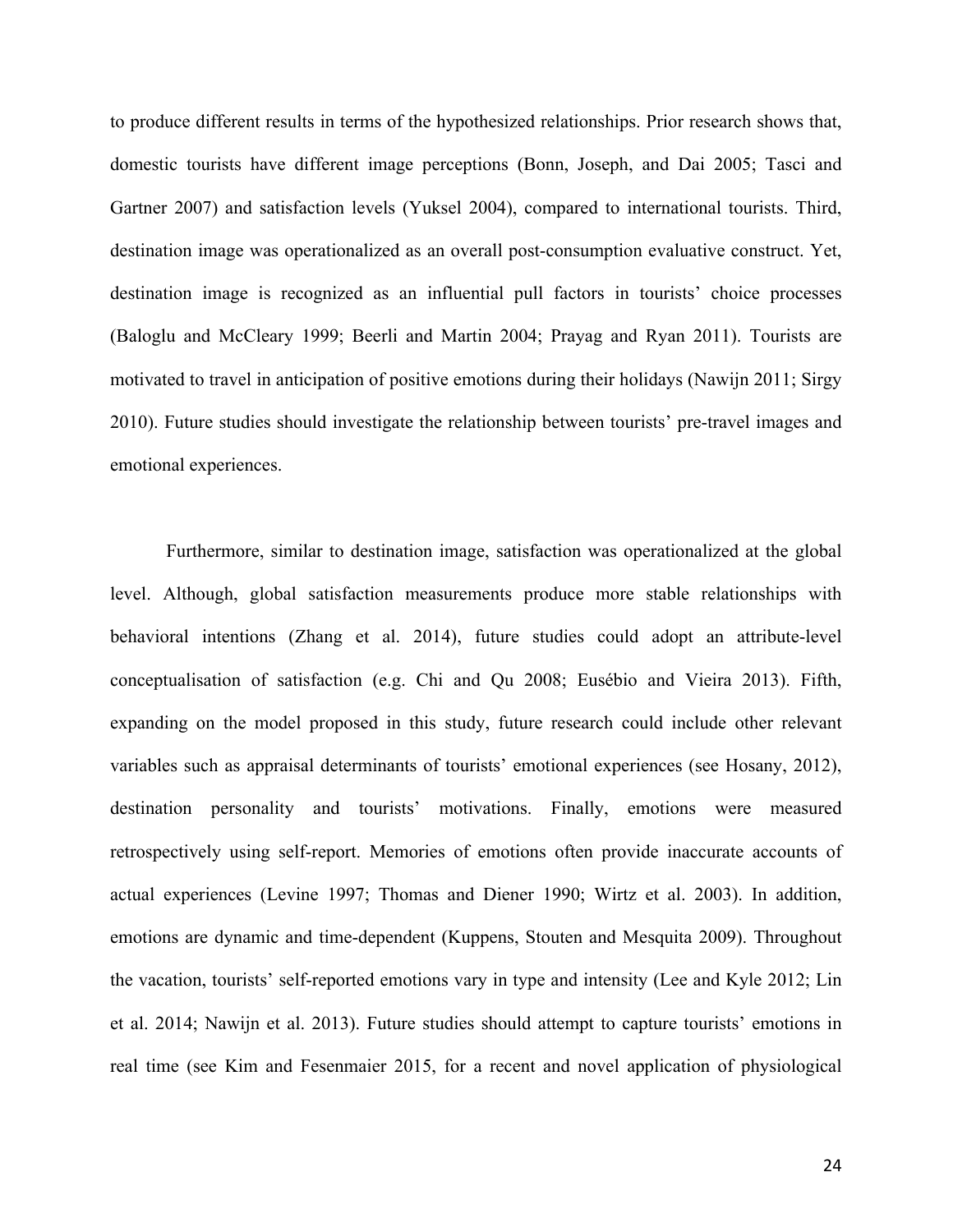to produce different results in terms of the hypothesized relationships. Prior research shows that, domestic tourists have different image perceptions (Bonn, Joseph, and Dai 2005; Tasci and Gartner 2007) and satisfaction levels (Yuksel 2004), compared to international tourists. Third, destination image was operationalized as an overall post-consumption evaluative construct. Yet, destination image is recognized as an influential pull factors in tourists' choice processes (Baloglu and McCleary 1999; Beerli and Martin 2004; Prayag and Ryan 2011). Tourists are motivated to travel in anticipation of positive emotions during their holidays (Nawijn 2011; Sirgy 2010). Future studies should investigate the relationship between tourists' pre-travel images and emotional experiences.

Furthermore, similar to destination image, satisfaction was operationalized at the global level. Although, global satisfaction measurements produce more stable relationships with behavioral intentions (Zhang et al. 2014), future studies could adopt an attribute-level conceptualisation of satisfaction (e.g. Chi and Qu 2008; Eusébio and Vieira 2013). Fifth, expanding on the model proposed in this study, future research could include other relevant variables such as appraisal determinants of tourists' emotional experiences (see Hosany, 2012), destination personality and tourists' motivations. Finally, emotions were measured retrospectively using self-report. Memories of emotions often provide inaccurate accounts of actual experiences (Levine 1997; Thomas and Diener 1990; Wirtz et al. 2003). In addition, emotions are dynamic and time-dependent (Kuppens, Stouten and Mesquita 2009). Throughout the vacation, tourists' self-reported emotions vary in type and intensity (Lee and Kyle 2012; Lin et al. 2014; Nawijn et al. 2013). Future studies should attempt to capture tourists' emotions in real time (see Kim and Fesenmaier 2015, for a recent and novel application of physiological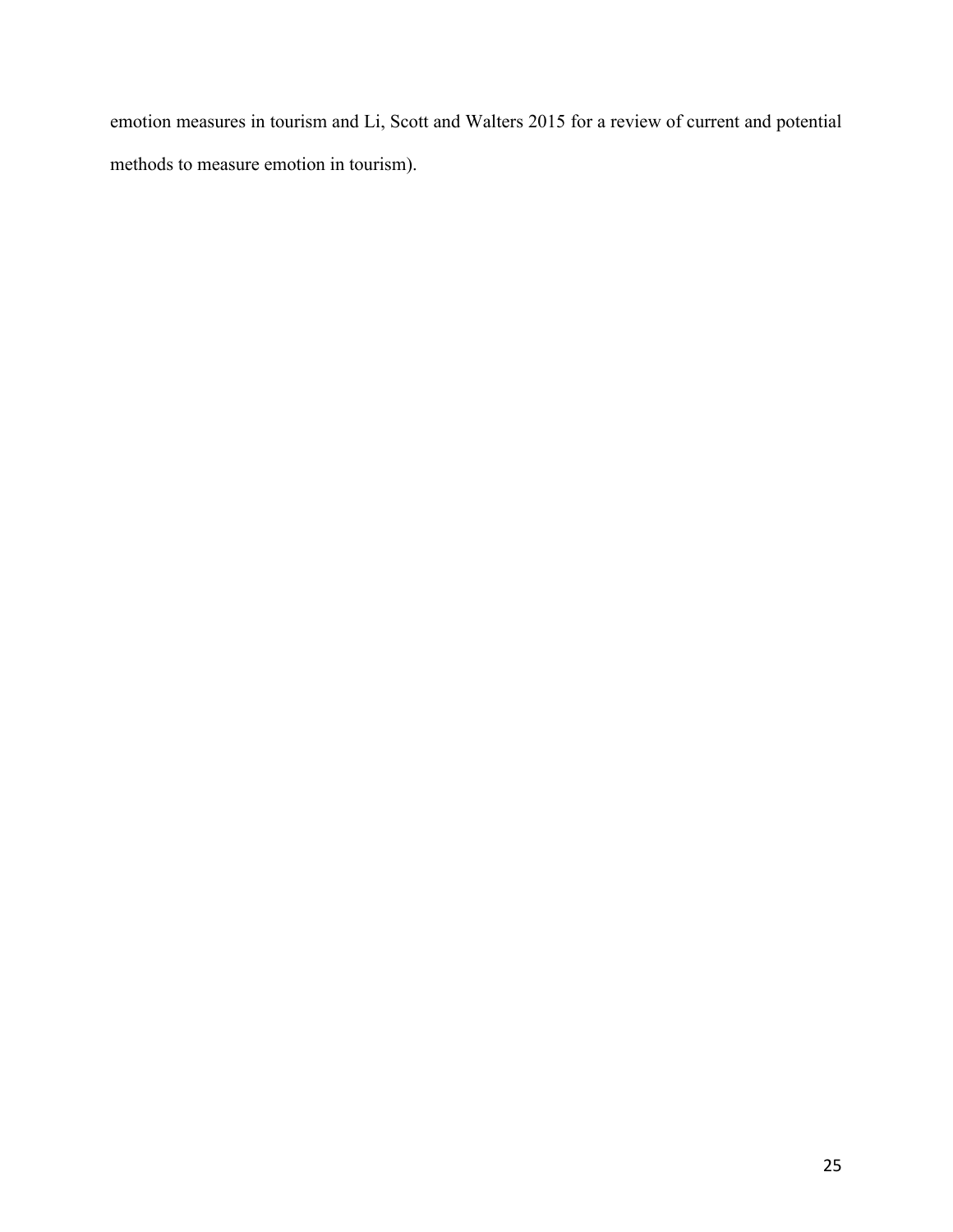emotion measures in tourism and Li, Scott and Walters 2015 for a review of current and potential methods to measure emotion in tourism).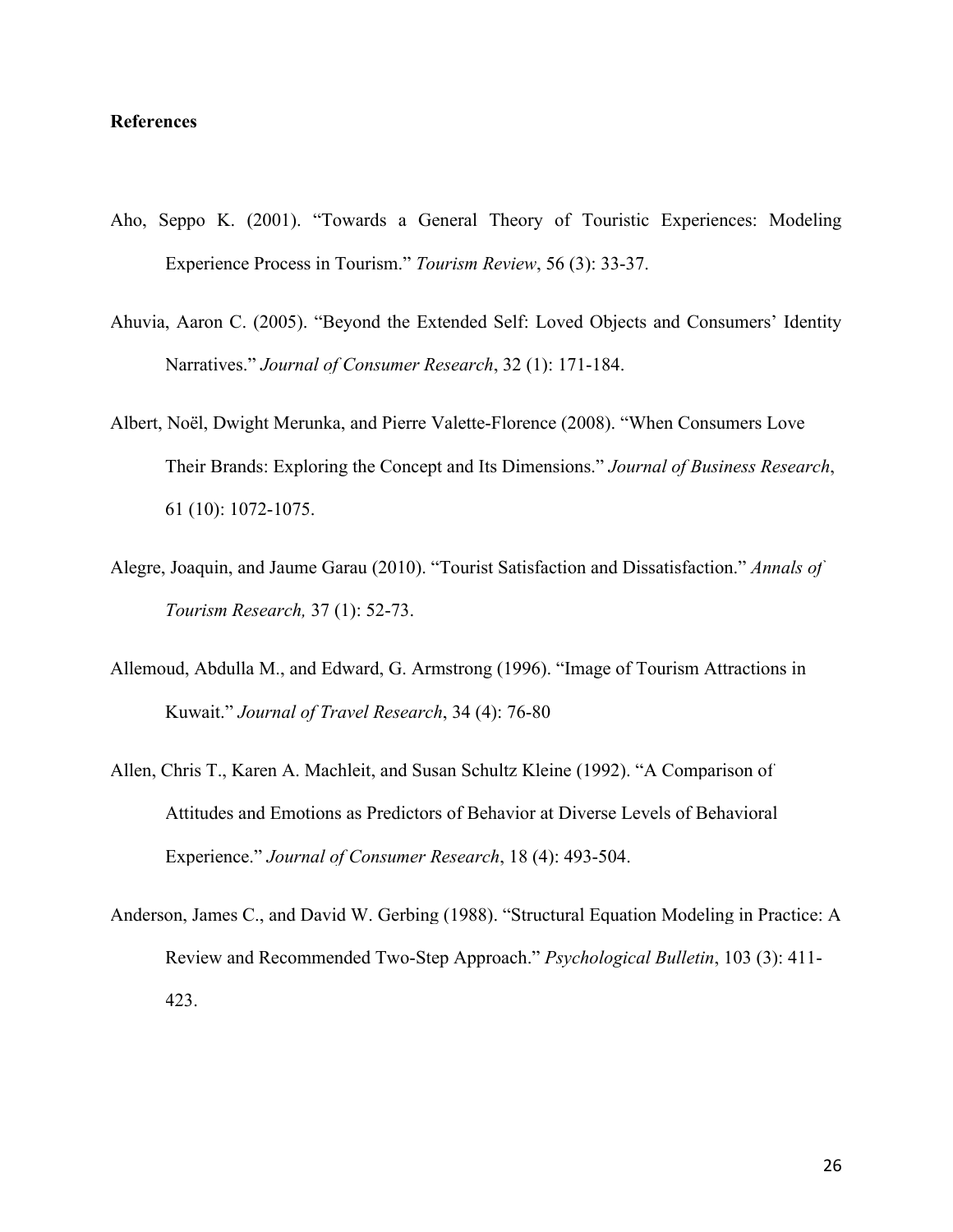# **References**

- [Aho, Seppo K. \(2001\). "Towards a General Theory of Touristic Experiences: Modeling](https://www.researchgate.net/publication/235268054_Towards_a_general_theory_of_touristic_experiences_Modelling_experience_process_in_tourism?el=1_x_8&enrichId=rgreq-7bbebf15-bd67-4ef8-9c79-6d076f69b6b5&enrichSource=Y292ZXJQYWdlOzI4ODA1NjM5OTtBUzozMTU1NTAzNTIyNDg4MzRAMTQ1MjI0NDQ3NDY5Ng==)  [Experience Process in Tourism."](https://www.researchgate.net/publication/235268054_Towards_a_general_theory_of_touristic_experiences_Modelling_experience_process_in_tourism?el=1_x_8&enrichId=rgreq-7bbebf15-bd67-4ef8-9c79-6d076f69b6b5&enrichSource=Y292ZXJQYWdlOzI4ODA1NjM5OTtBUzozMTU1NTAzNTIyNDg4MzRAMTQ1MjI0NDQ3NDY5Ng==) *Tourism Review*, 56 (3): 33-37.
- [Ahuvia, Aaron C. \(2005\). "Beyond the Extended Self: Loved Objects and Consumers' Identity](https://www.researchgate.net/publication/null?el=1_x_8&enrichId=rgreq-7bbebf15-bd67-4ef8-9c79-6d076f69b6b5&enrichSource=Y292ZXJQYWdlOzI4ODA1NjM5OTtBUzozMTU1NTAzNTIyNDg4MzRAMTQ1MjI0NDQ3NDY5Ng==)  Narratives." *[Journal of Consumer Research](https://www.researchgate.net/publication/null?el=1_x_8&enrichId=rgreq-7bbebf15-bd67-4ef8-9c79-6d076f69b6b5&enrichSource=Y292ZXJQYWdlOzI4ODA1NjM5OTtBUzozMTU1NTAzNTIyNDg4MzRAMTQ1MjI0NDQ3NDY5Ng==)*, 32 (1): 171-184.
- Albert, Noël, Dwight Merunka, and Pierre Valette-Florence (2008). "When Consumers Love Their Brands: Exploring the Concept and Its Dimensions." *Journal of Business Research*, 61 (10): 1072-1075.
- [Alegre, Joaquin, and Jaume Garau \(2010\). "Tourist Satisfaction and Dissatisfaction."](https://www.researchgate.net/publication/null?el=1_x_8&enrichId=rgreq-7bbebf15-bd67-4ef8-9c79-6d076f69b6b5&enrichSource=Y292ZXJQYWdlOzI4ODA1NjM5OTtBUzozMTU1NTAzNTIyNDg4MzRAMTQ1MjI0NDQ3NDY5Ng==) *Annals of [Tourism Research,](https://www.researchgate.net/publication/null?el=1_x_8&enrichId=rgreq-7bbebf15-bd67-4ef8-9c79-6d076f69b6b5&enrichSource=Y292ZXJQYWdlOzI4ODA1NjM5OTtBUzozMTU1NTAzNTIyNDg4MzRAMTQ1MjI0NDQ3NDY5Ng==)* 37 (1): 52-73.
- Allemoud, Abdulla M., and Edward, G. Armstrong (1996). "Image of Tourism Attractions in Kuwait." *Journal of Travel Research*, 34 (4): 76-80
- [Allen, Chris T., Karen A. Machleit, and Susan Schultz Kleine](https://www.researchgate.net/publication/null?el=1_x_8&enrichId=rgreq-7bbebf15-bd67-4ef8-9c79-6d076f69b6b5&enrichSource=Y292ZXJQYWdlOzI4ODA1NjM5OTtBUzozMTU1NTAzNTIyNDg4MzRAMTQ1MjI0NDQ3NDY5Ng==) (1992). "A Comparison of [Attitudes and Emotions as Predictors of Behavior at Diverse Levels of Behavioral](https://www.researchgate.net/publication/null?el=1_x_8&enrichId=rgreq-7bbebf15-bd67-4ef8-9c79-6d076f69b6b5&enrichSource=Y292ZXJQYWdlOzI4ODA1NjM5OTtBUzozMTU1NTAzNTIyNDg4MzRAMTQ1MjI0NDQ3NDY5Ng==)  Experience." *[Journal of Consumer Research](https://www.researchgate.net/publication/null?el=1_x_8&enrichId=rgreq-7bbebf15-bd67-4ef8-9c79-6d076f69b6b5&enrichSource=Y292ZXJQYWdlOzI4ODA1NjM5OTtBUzozMTU1NTAzNTIyNDg4MzRAMTQ1MjI0NDQ3NDY5Ng==)*, 18 (4): 493-504.
- [Anderson, James C., and David W. Gerbing \(1988\). "Structural Equation Modeling in Practice: A](https://www.researchgate.net/publication/null?el=1_x_8&enrichId=rgreq-7bbebf15-bd67-4ef8-9c79-6d076f69b6b5&enrichSource=Y292ZXJQYWdlOzI4ODA1NjM5OTtBUzozMTU1NTAzNTIyNDg4MzRAMTQ1MjI0NDQ3NDY5Ng==)  [Review and Recommended Two-Step Approach."](https://www.researchgate.net/publication/null?el=1_x_8&enrichId=rgreq-7bbebf15-bd67-4ef8-9c79-6d076f69b6b5&enrichSource=Y292ZXJQYWdlOzI4ODA1NjM5OTtBUzozMTU1NTAzNTIyNDg4MzRAMTQ1MjI0NDQ3NDY5Ng==) *Psychological Bulletin*, 103 (3): 411- [423.](https://www.researchgate.net/publication/null?el=1_x_8&enrichId=rgreq-7bbebf15-bd67-4ef8-9c79-6d076f69b6b5&enrichSource=Y292ZXJQYWdlOzI4ODA1NjM5OTtBUzozMTU1NTAzNTIyNDg4MzRAMTQ1MjI0NDQ3NDY5Ng==)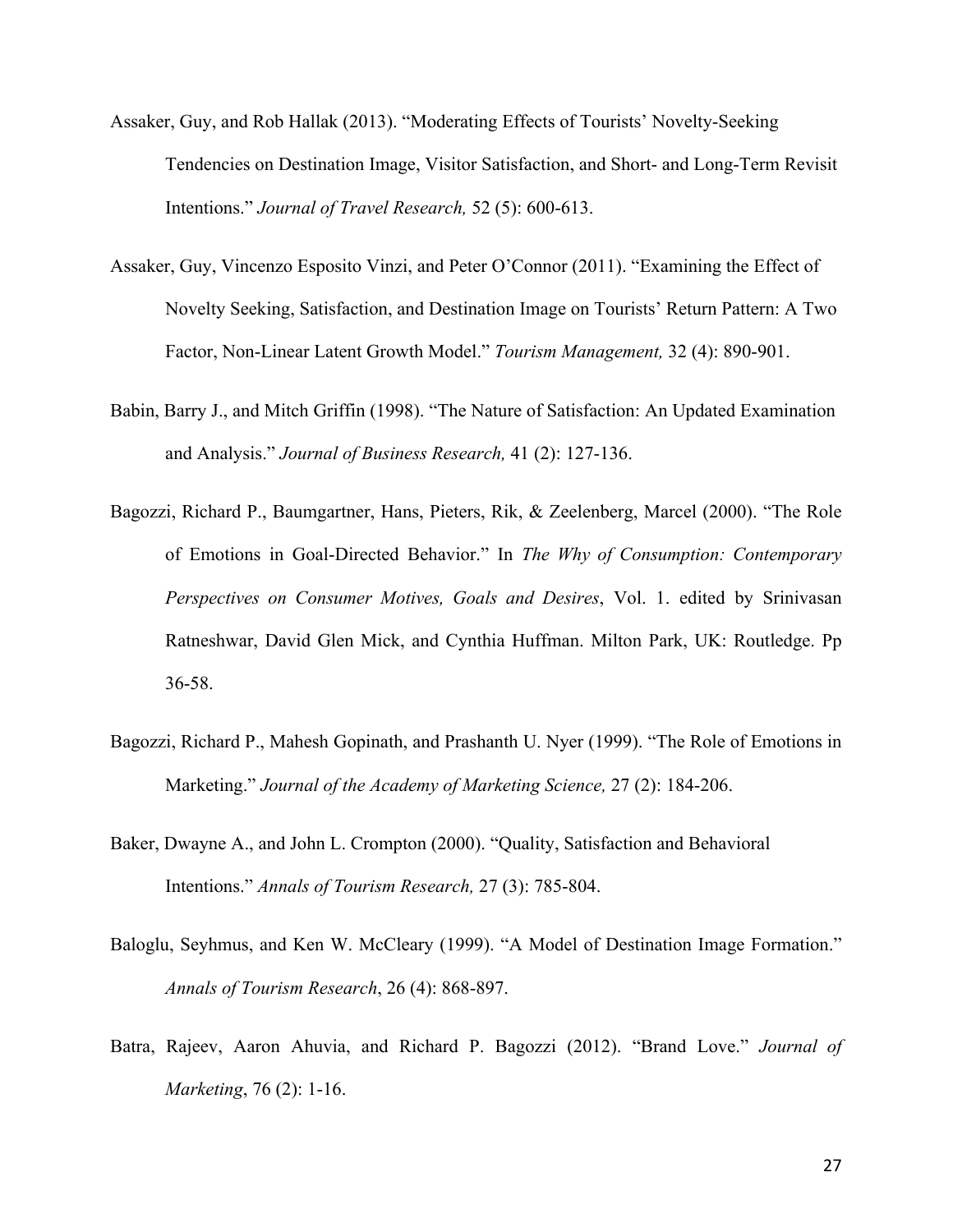- Assaker, Guy, and Rob Hallak (2013). "Moderating Effects of Tourists' Novelty-Seeking Tendencies on Destination Image, Visitor Satisfaction, and Short- and Long-Term Revisit Intentions." *Journal of Travel Research,* 52 (5): 600-613.
- Assaker, Guy, Vincenzo Esposito Vinzi, and Peter O'Connor (2011). "Examining the Effect of Novelty Seeking, Satisfaction, and Destination Image on Tourists' Return Pattern: A Two Factor, Non-Linear Latent Growth Model." *Tourism Management,* 32 (4): 890-901.
- Babin, Barry J., and Mitch Griffin (1998). "The Nature of Satisfaction: An Updated Examination and Analysis." *Journal of Business Research,* 41 (2): 127-136.
- Bagozzi, Richard P., Baumgartner, Hans, Pieters, Rik, & Zeelenberg, Marcel (2000). "The Role of Emotions in Goal-Directed Behavior." In *The Why of Consumption: Contemporary Perspectives on Consumer Motives, Goals and Desires*, Vol. 1. edited by Srinivasan Ratneshwar, David Glen Mick, and Cynthia Huffman. Milton Park, UK: Routledge. Pp 36-58.
- Bagozzi, Richard P., Mahesh Gopinath, and Prashanth U. Nyer (1999). "The Role of Emotions in Marketing." *Journal of the Academy of Marketing Science,* 27 (2): 184-206.
- Baker, Dwayne A., and John L. Crompton (2000). "Quality, Satisfaction and Behavioral Intentions." *Annals of Tourism Research,* 27 (3): 785-804.
- Baloglu, Seyhmus, and Ken W. McCleary (1999). "A Model of Destination Image Formation." *Annals of Tourism Research*, 26 (4): 868-897.
- Batra, Rajeev, Aaron Ahuvia, and Richard P. Bagozzi (2012). "Brand Love." *Journal of Marketing*, 76 (2): 1-16.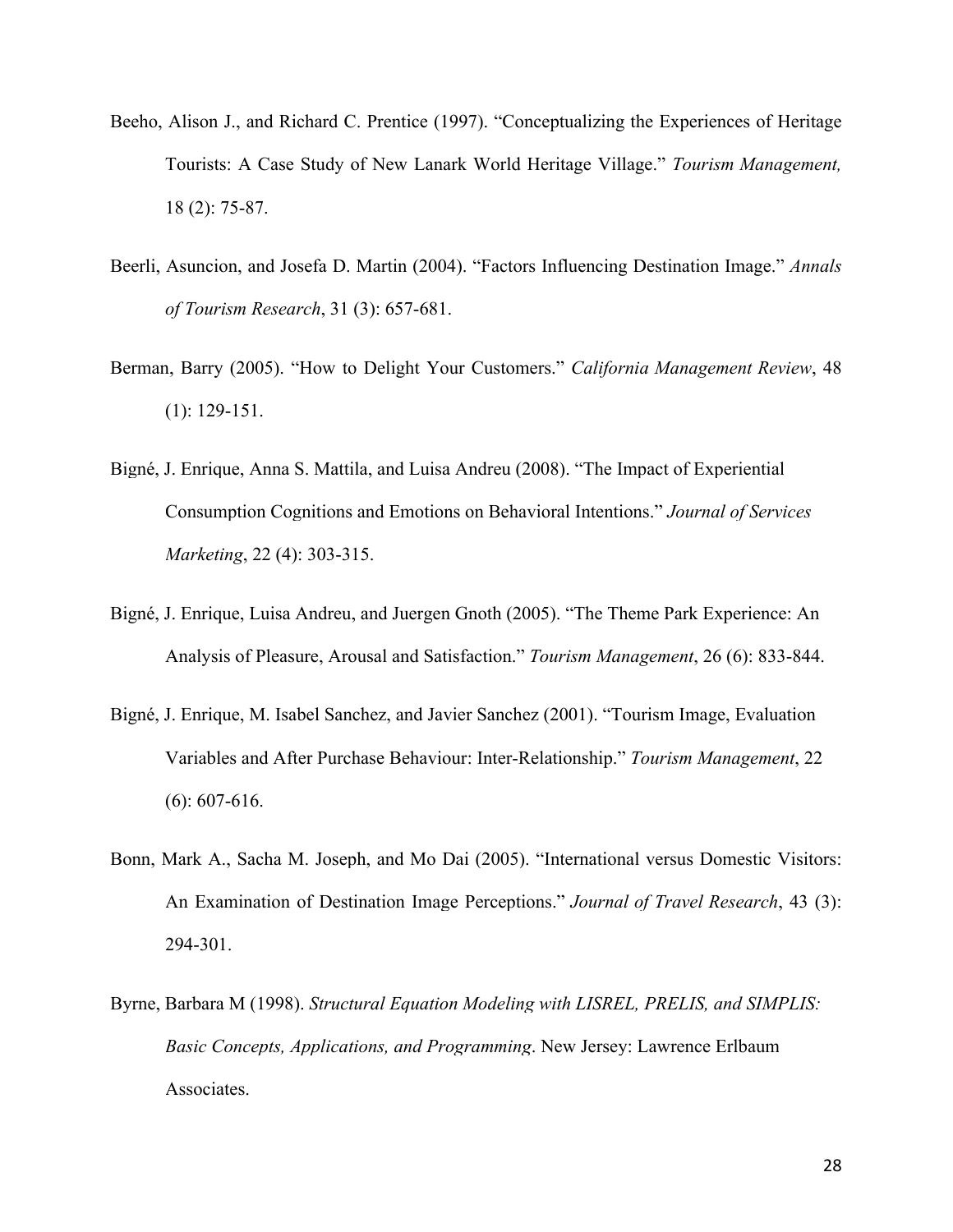- Beeho, Alison J., and Richard C. Prentice (1997). "Conceptualizing the Experiences of Heritage Tourists: A Case Study of New Lanark World Heritage Village." *Tourism Management,* 18 (2): 75-87.
- Beerli, Asuncion, and Josefa D. Martin (2004). "Factors Influencing Destination Image." *Annals of Tourism Research*, 31 (3): 657-681.
- Berman, Barry (2005). "How to Delight Your Customers." *California Management Review*, 48 (1): 129-151.
- Bigné, J. Enrique, Anna [S. Mattila, and Luisa Andreu \(2008\). "The Impact of Experiential](https://www.researchgate.net/publication/235320520_The_Impact_of_Experiential_Consumption_Cognitions_and_Emotions_on_Behavioral_Intentions?el=1_x_8&enrichId=rgreq-7bbebf15-bd67-4ef8-9c79-6d076f69b6b5&enrichSource=Y292ZXJQYWdlOzI4ODA1NjM5OTtBUzozMTU1NTAzNTIyNDg4MzRAMTQ1MjI0NDQ3NDY5Ng==) [Consumption Cognitions and Emotions on Behavioral Intentions."](https://www.researchgate.net/publication/235320520_The_Impact_of_Experiential_Consumption_Cognitions_and_Emotions_on_Behavioral_Intentions?el=1_x_8&enrichId=rgreq-7bbebf15-bd67-4ef8-9c79-6d076f69b6b5&enrichSource=Y292ZXJQYWdlOzI4ODA1NjM5OTtBUzozMTU1NTAzNTIyNDg4MzRAMTQ1MjI0NDQ3NDY5Ng==) *Journal of Services Marketing*, [22 \(4\): 303-315.](https://www.researchgate.net/publication/235320520_The_Impact_of_Experiential_Consumption_Cognitions_and_Emotions_on_Behavioral_Intentions?el=1_x_8&enrichId=rgreq-7bbebf15-bd67-4ef8-9c79-6d076f69b6b5&enrichSource=Y292ZXJQYWdlOzI4ODA1NjM5OTtBUzozMTU1NTAzNTIyNDg4MzRAMTQ1MjI0NDQ3NDY5Ng==)
- Bigné, J. Enrique, Luisa Andreu, and Juergen Gnoth (2005). "The Theme Park Experience: An Analysis of Pleasure, Arousal and Satisfaction." *Tourism Management*, 26 (6): 833-844.
- Bigné, J. Enrique, M. Isabel Sanchez, and Javier Sanchez (2001). "Tourism Image, Evaluation Variables and After Purchase Behaviour: Inter-Relationship." *Tourism Management*, 22 (6): 607-616.
- [Bonn, Mark A., Sacha M. Joseph, and Mo Dai \(2005\). "International versus Domestic Visitors:](https://www.researchgate.net/publication/258160591_International_versus_Domestic_Visitors_An_Examination_of_Destination_Image_Perceptions?el=1_x_8&enrichId=rgreq-7bbebf15-bd67-4ef8-9c79-6d076f69b6b5&enrichSource=Y292ZXJQYWdlOzI4ODA1NjM5OTtBUzozMTU1NTAzNTIyNDg4MzRAMTQ1MjI0NDQ3NDY5Ng==)  [An Examination of Destination Image Perceptions."](https://www.researchgate.net/publication/258160591_International_versus_Domestic_Visitors_An_Examination_of_Destination_Image_Perceptions?el=1_x_8&enrichId=rgreq-7bbebf15-bd67-4ef8-9c79-6d076f69b6b5&enrichSource=Y292ZXJQYWdlOzI4ODA1NjM5OTtBUzozMTU1NTAzNTIyNDg4MzRAMTQ1MjI0NDQ3NDY5Ng==) *Journal of Travel Research*, 43 (3): [294-301.](https://www.researchgate.net/publication/258160591_International_versus_Domestic_Visitors_An_Examination_of_Destination_Image_Perceptions?el=1_x_8&enrichId=rgreq-7bbebf15-bd67-4ef8-9c79-6d076f69b6b5&enrichSource=Y292ZXJQYWdlOzI4ODA1NjM5OTtBUzozMTU1NTAzNTIyNDg4MzRAMTQ1MjI0NDQ3NDY5Ng==)
- Byrne, Barbara M (1998). *[Structural Equation Modeling with LISREL, PRELIS, and SIMPLIS:](https://www.researchgate.net/publication/267010738_Structural_equation_modeling_with_LISREL_PRELIS_and_SIMPLIS_basic_concepts_applications_and_programming_Mahwah_Erlbaum?el=1_x_8&enrichId=rgreq-7bbebf15-bd67-4ef8-9c79-6d076f69b6b5&enrichSource=Y292ZXJQYWdlOzI4ODA1NjM5OTtBUzozMTU1NTAzNTIyNDg4MzRAMTQ1MjI0NDQ3NDY5Ng==)  [Basic Concepts, Applications, and Programming](https://www.researchgate.net/publication/267010738_Structural_equation_modeling_with_LISREL_PRELIS_and_SIMPLIS_basic_concepts_applications_and_programming_Mahwah_Erlbaum?el=1_x_8&enrichId=rgreq-7bbebf15-bd67-4ef8-9c79-6d076f69b6b5&enrichSource=Y292ZXJQYWdlOzI4ODA1NjM5OTtBUzozMTU1NTAzNTIyNDg4MzRAMTQ1MjI0NDQ3NDY5Ng==)*. New Jersey: Lawrence Erlbaum [Associates.](https://www.researchgate.net/publication/267010738_Structural_equation_modeling_with_LISREL_PRELIS_and_SIMPLIS_basic_concepts_applications_and_programming_Mahwah_Erlbaum?el=1_x_8&enrichId=rgreq-7bbebf15-bd67-4ef8-9c79-6d076f69b6b5&enrichSource=Y292ZXJQYWdlOzI4ODA1NjM5OTtBUzozMTU1NTAzNTIyNDg4MzRAMTQ1MjI0NDQ3NDY5Ng==)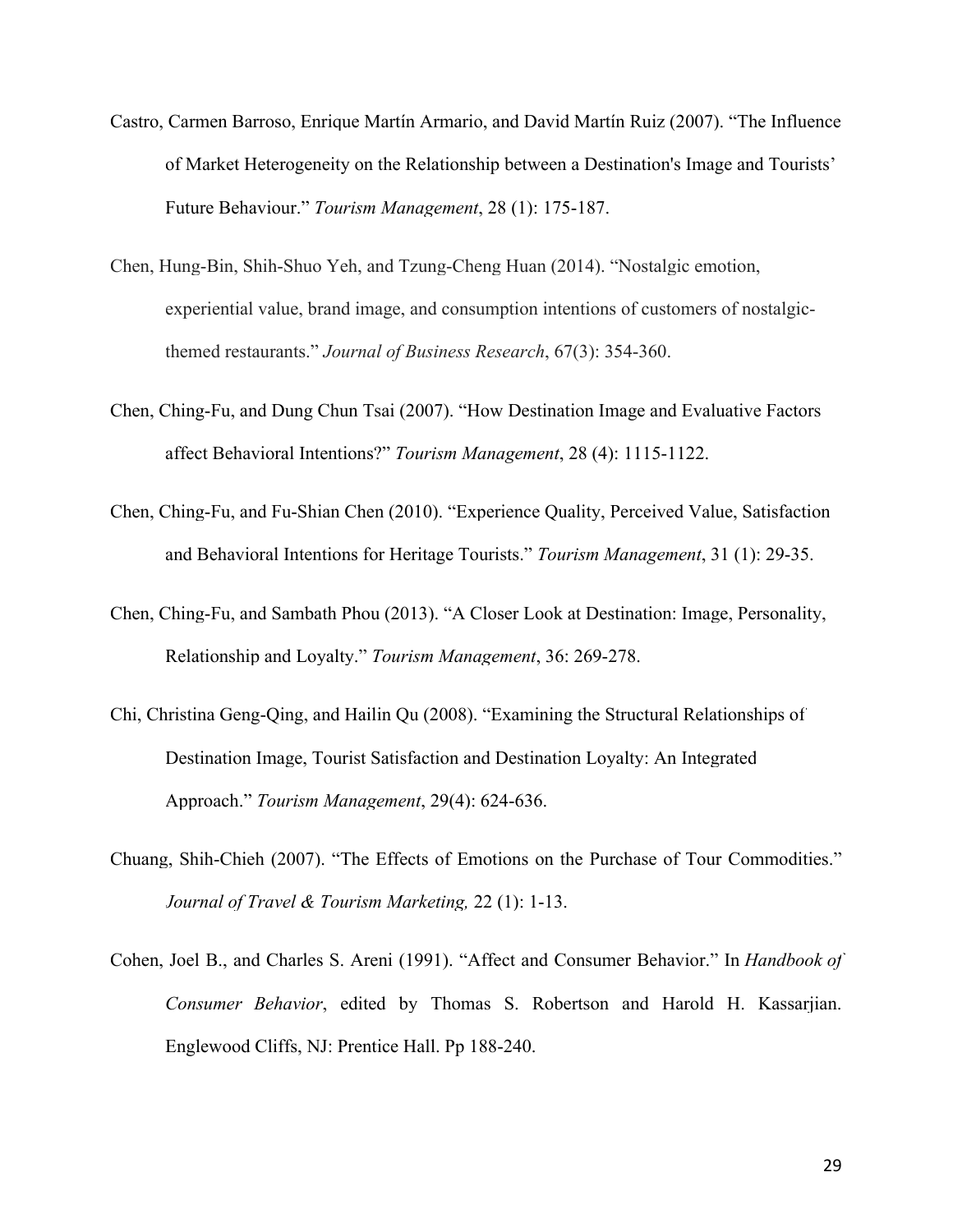- [Castro, Carmen Barroso, Enrique Martín Armario, and David Martín Ruiz \(2007\). "The Influence](https://www.researchgate.net/publication/null?el=1_x_8&enrichId=rgreq-7bbebf15-bd67-4ef8-9c79-6d076f69b6b5&enrichSource=Y292ZXJQYWdlOzI4ODA1NjM5OTtBUzozMTU1NTAzNTIyNDg4MzRAMTQ1MjI0NDQ3NDY5Ng==)  of Market Heterogeneity [on the Relationship between a Destination's Image and Tourists'](https://www.researchgate.net/publication/null?el=1_x_8&enrichId=rgreq-7bbebf15-bd67-4ef8-9c79-6d076f69b6b5&enrichSource=Y292ZXJQYWdlOzI4ODA1NjM5OTtBUzozMTU1NTAzNTIyNDg4MzRAMTQ1MjI0NDQ3NDY5Ng==) Future Behaviour." *[Tourism Management](https://www.researchgate.net/publication/null?el=1_x_8&enrichId=rgreq-7bbebf15-bd67-4ef8-9c79-6d076f69b6b5&enrichSource=Y292ZXJQYWdlOzI4ODA1NjM5OTtBUzozMTU1NTAzNTIyNDg4MzRAMTQ1MjI0NDQ3NDY5Ng==)*, 28 (1): 175-187.
- [Chen, Hung-Bin, Shih-Shuo Yeh, and Tzung-Cheng Huan](https://www.researchgate.net/publication/259509292_Nostalgic_emotion_experiential_value_brand_image_and_consumption_intentions_of_customers_of_nostalgic-themed_restaurants?el=1_x_8&enrichId=rgreq-7bbebf15-bd67-4ef8-9c79-6d076f69b6b5&enrichSource=Y292ZXJQYWdlOzI4ODA1NjM5OTtBUzozMTU1NTAzNTIyNDg4MzRAMTQ1MjI0NDQ3NDY5Ng==) (2014). "Nostalgic emotion, [experiential value, brand image, and consumption intentions of customers of nostalgic](https://www.researchgate.net/publication/259509292_Nostalgic_emotion_experiential_value_brand_image_and_consumption_intentions_of_customers_of_nostalgic-themed_restaurants?el=1_x_8&enrichId=rgreq-7bbebf15-bd67-4ef8-9c79-6d076f69b6b5&enrichSource=Y292ZXJQYWdlOzI4ODA1NjM5OTtBUzozMTU1NTAzNTIyNDg4MzRAMTQ1MjI0NDQ3NDY5Ng==)themed restaurants." *[Journal of Business Research](https://www.researchgate.net/publication/259509292_Nostalgic_emotion_experiential_value_brand_image_and_consumption_intentions_of_customers_of_nostalgic-themed_restaurants?el=1_x_8&enrichId=rgreq-7bbebf15-bd67-4ef8-9c79-6d076f69b6b5&enrichSource=Y292ZXJQYWdlOzI4ODA1NjM5OTtBUzozMTU1NTAzNTIyNDg4MzRAMTQ1MjI0NDQ3NDY5Ng==)*, 67(3): 354-360.
- Chen, Ching-Fu, and Dung Chun Tsai (2007). "How Destination Image and Evaluative Factors affect Behavioral Intentions?" *Tourism Management*, 28 (4): 1115-1122.
- [Chen, Ching-Fu, and Fu-Shian Chen \(2010\). "Experience Quality, Perceived Value, Satisfaction](https://www.researchgate.net/publication/237696416_Experience_Quality_Perceived_Value_Satisfaction_and_Behavioral_Intentions_for_Heritage_Tourists?el=1_x_8&enrichId=rgreq-7bbebf15-bd67-4ef8-9c79-6d076f69b6b5&enrichSource=Y292ZXJQYWdlOzI4ODA1NjM5OTtBUzozMTU1NTAzNTIyNDg4MzRAMTQ1MjI0NDQ3NDY5Ng==)  [and Behavioral Intentions for Heritage Tourists."](https://www.researchgate.net/publication/237696416_Experience_Quality_Perceived_Value_Satisfaction_and_Behavioral_Intentions_for_Heritage_Tourists?el=1_x_8&enrichId=rgreq-7bbebf15-bd67-4ef8-9c79-6d076f69b6b5&enrichSource=Y292ZXJQYWdlOzI4ODA1NjM5OTtBUzozMTU1NTAzNTIyNDg4MzRAMTQ1MjI0NDQ3NDY5Ng==) *Tourism Management*, 31 (1): 29-35.
- [Chen, Ching-Fu, and Sambath Phou \(2013\). "A Closer Look at Destination: Image, Personality,](https://www.researchgate.net/publication/271561598_A_Closer_Look_at_Destination_Image_Personality_Relationship_and_Loyalty?el=1_x_8&enrichId=rgreq-7bbebf15-bd67-4ef8-9c79-6d076f69b6b5&enrichSource=Y292ZXJQYWdlOzI4ODA1NjM5OTtBUzozMTU1NTAzNTIyNDg4MzRAMTQ1MjI0NDQ3NDY5Ng==) [Relationship and Loyalty."](https://www.researchgate.net/publication/271561598_A_Closer_Look_at_Destination_Image_Personality_Relationship_and_Loyalty?el=1_x_8&enrichId=rgreq-7bbebf15-bd67-4ef8-9c79-6d076f69b6b5&enrichSource=Y292ZXJQYWdlOzI4ODA1NjM5OTtBUzozMTU1NTAzNTIyNDg4MzRAMTQ1MjI0NDQ3NDY5Ng==) *Tourism Management*, 36: 269-278.
- [Chi, Christina Geng-Qing, and Hailin Qu \(2008\). "Examining the Structural Relationships of](https://www.researchgate.net/publication/223915435_Examining_the_Structural_Relationships_of_Destination_Image_Tourist_Satisfaction_and_Destination_Loyalty_An_Integrated_Approach?el=1_x_8&enrichId=rgreq-7bbebf15-bd67-4ef8-9c79-6d076f69b6b5&enrichSource=Y292ZXJQYWdlOzI4ODA1NjM5OTtBUzozMTU1NTAzNTIyNDg4MzRAMTQ1MjI0NDQ3NDY5Ng==) [Destination Image, Tourist Satisfaction and Destination Loyalty: An Integrated](https://www.researchgate.net/publication/223915435_Examining_the_Structural_Relationships_of_Destination_Image_Tourist_Satisfaction_and_Destination_Loyalty_An_Integrated_Approach?el=1_x_8&enrichId=rgreq-7bbebf15-bd67-4ef8-9c79-6d076f69b6b5&enrichSource=Y292ZXJQYWdlOzI4ODA1NjM5OTtBUzozMTU1NTAzNTIyNDg4MzRAMTQ1MjI0NDQ3NDY5Ng==) Approach." *[Tourism Management](https://www.researchgate.net/publication/223915435_Examining_the_Structural_Relationships_of_Destination_Image_Tourist_Satisfaction_and_Destination_Loyalty_An_Integrated_Approach?el=1_x_8&enrichId=rgreq-7bbebf15-bd67-4ef8-9c79-6d076f69b6b5&enrichSource=Y292ZXJQYWdlOzI4ODA1NjM5OTtBUzozMTU1NTAzNTIyNDg4MzRAMTQ1MjI0NDQ3NDY5Ng==)*, 29(4): 624-636.
- [Chuang, Shih-Chieh \(2007\). "The Effects of Emotions on the Purchase of Tour Commodities."](https://www.researchgate.net/publication/232869667_The_Effects_of_Emotions_on_the_Purchase_of_Tour_Commodities?el=1_x_8&enrichId=rgreq-7bbebf15-bd67-4ef8-9c79-6d076f69b6b5&enrichSource=Y292ZXJQYWdlOzI4ODA1NjM5OTtBUzozMTU1NTAzNTIyNDg4MzRAMTQ1MjI0NDQ3NDY5Ng==)  *[Journal of Travel & Tourism Marketing,](https://www.researchgate.net/publication/232869667_The_Effects_of_Emotions_on_the_Purchase_of_Tour_Commodities?el=1_x_8&enrichId=rgreq-7bbebf15-bd67-4ef8-9c79-6d076f69b6b5&enrichSource=Y292ZXJQYWdlOzI4ODA1NjM5OTtBUzozMTU1NTAzNTIyNDg4MzRAMTQ1MjI0NDQ3NDY5Ng==)* 22 (1): 1-13.
- [Cohen, Joel B., and Charles S. Areni \(1991\). "Affect and Consumer Behavior."](https://www.researchgate.net/publication/235361367_Affect_and_Consumer_Behavior?el=1_x_8&enrichId=rgreq-7bbebf15-bd67-4ef8-9c79-6d076f69b6b5&enrichSource=Y292ZXJQYWdlOzI4ODA1NjM5OTtBUzozMTU1NTAzNTIyNDg4MzRAMTQ1MjI0NDQ3NDY5Ng==) In *Handbook of Consumer Behavior*[, edited by Thomas S. Robertson and Harold H. Kassarjian.](https://www.researchgate.net/publication/235361367_Affect_and_Consumer_Behavior?el=1_x_8&enrichId=rgreq-7bbebf15-bd67-4ef8-9c79-6d076f69b6b5&enrichSource=Y292ZXJQYWdlOzI4ODA1NjM5OTtBUzozMTU1NTAzNTIyNDg4MzRAMTQ1MjI0NDQ3NDY5Ng==)  Englewood Cliffs, NJ: Prentice Hall. Pp 188-240.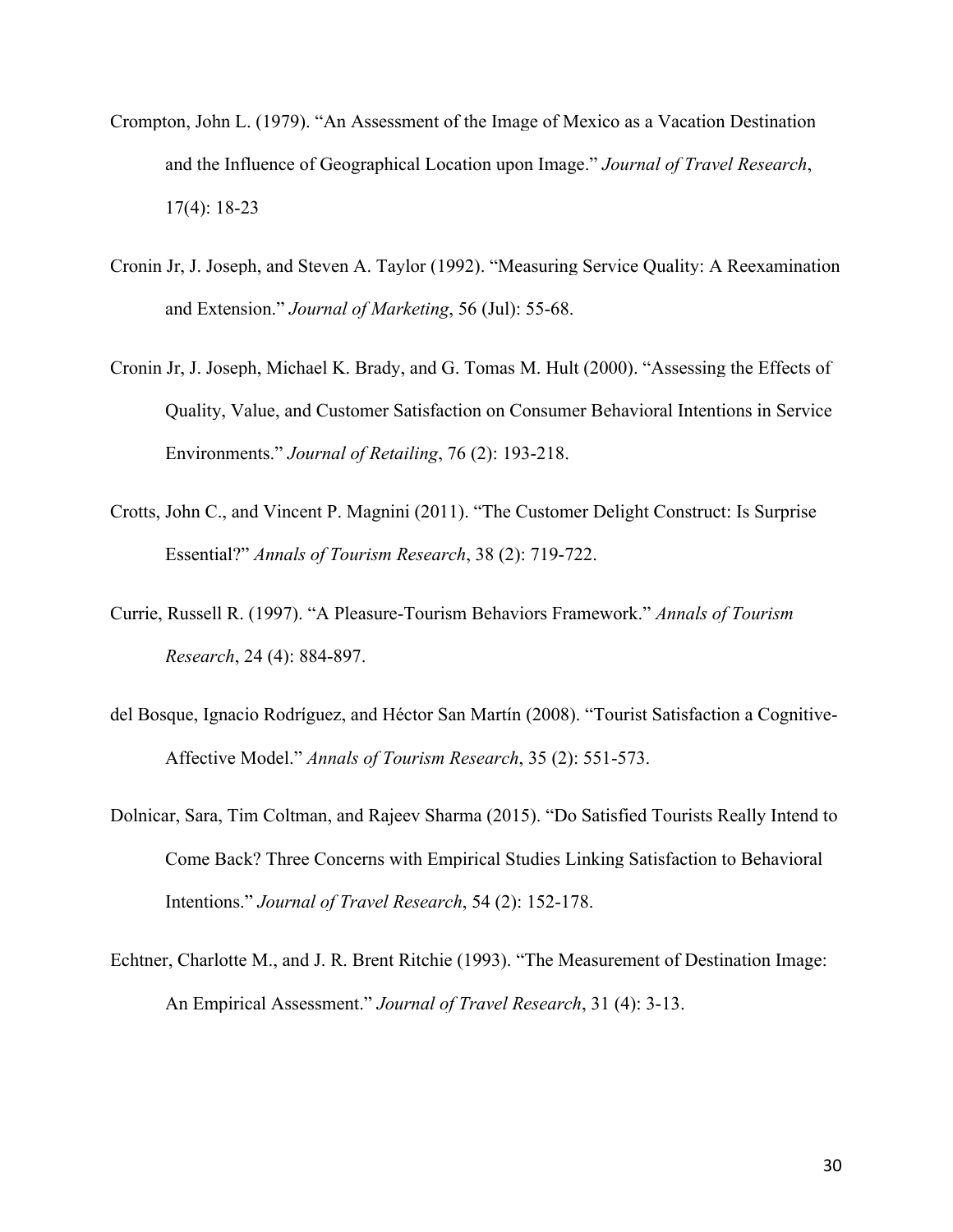- [Crompton, John L. \(1979\). "An Assessment of the Image of Mexico as a Vacation Destination](https://www.researchgate.net/publication/258160676_An_Assessment_of_the_Image_of_Mexico_as_a_Vacation_Destination_and_the_Influence_of_Geographical_Location_Upon_That_Image?el=1_x_8&enrichId=rgreq-7bbebf15-bd67-4ef8-9c79-6d076f69b6b5&enrichSource=Y292ZXJQYWdlOzI4ODA1NjM5OTtBUzozMTU1NTAzNTIyNDg4MzRAMTQ1MjI0NDQ3NDY5Ng==) [and the Influence of Geographical Location upon Image."](https://www.researchgate.net/publication/258160676_An_Assessment_of_the_Image_of_Mexico_as_a_Vacation_Destination_and_the_Influence_of_Geographical_Location_Upon_That_Image?el=1_x_8&enrichId=rgreq-7bbebf15-bd67-4ef8-9c79-6d076f69b6b5&enrichSource=Y292ZXJQYWdlOzI4ODA1NjM5OTtBUzozMTU1NTAzNTIyNDg4MzRAMTQ1MjI0NDQ3NDY5Ng==) *Journal of Travel Research*, [17\(4\): 18-23](https://www.researchgate.net/publication/258160676_An_Assessment_of_the_Image_of_Mexico_as_a_Vacation_Destination_and_the_Influence_of_Geographical_Location_Upon_That_Image?el=1_x_8&enrichId=rgreq-7bbebf15-bd67-4ef8-9c79-6d076f69b6b5&enrichSource=Y292ZXJQYWdlOzI4ODA1NjM5OTtBUzozMTU1NTAzNTIyNDg4MzRAMTQ1MjI0NDQ3NDY5Ng==)
- [Cronin Jr, J. Joseph, and Steven A. Taylor \(1992\). "Measuring Service Quality: A Reexamination](https://www.researchgate.net/publication/225083621_Measuring_Service_Quality_-_A_Reexamination_And_Extension?el=1_x_8&enrichId=rgreq-7bbebf15-bd67-4ef8-9c79-6d076f69b6b5&enrichSource=Y292ZXJQYWdlOzI4ODA1NjM5OTtBUzozMTU1NTAzNTIyNDg4MzRAMTQ1MjI0NDQ3NDY5Ng==) and Extension." *[Journal of Marketing](https://www.researchgate.net/publication/225083621_Measuring_Service_Quality_-_A_Reexamination_And_Extension?el=1_x_8&enrichId=rgreq-7bbebf15-bd67-4ef8-9c79-6d076f69b6b5&enrichSource=Y292ZXJQYWdlOzI4ODA1NjM5OTtBUzozMTU1NTAzNTIyNDg4MzRAMTQ1MjI0NDQ3NDY5Ng==)*, 56 (Jul): 55-68.
- [Cronin Jr, J. Joseph, Michael K. Brady, and G. Tomas M. Hult \(2000\). "Assessing the Effects of](https://www.researchgate.net/publication/null?el=1_x_8&enrichId=rgreq-7bbebf15-bd67-4ef8-9c79-6d076f69b6b5&enrichSource=Y292ZXJQYWdlOzI4ODA1NjM5OTtBUzozMTU1NTAzNTIyNDg4MzRAMTQ1MjI0NDQ3NDY5Ng==) [Quality, Value, and Customer Satisfaction on Consumer Behavioral Intentions in Service](https://www.researchgate.net/publication/null?el=1_x_8&enrichId=rgreq-7bbebf15-bd67-4ef8-9c79-6d076f69b6b5&enrichSource=Y292ZXJQYWdlOzI4ODA1NjM5OTtBUzozMTU1NTAzNTIyNDg4MzRAMTQ1MjI0NDQ3NDY5Ng==)  Environments." *[Journal of Retailing](https://www.researchgate.net/publication/null?el=1_x_8&enrichId=rgreq-7bbebf15-bd67-4ef8-9c79-6d076f69b6b5&enrichSource=Y292ZXJQYWdlOzI4ODA1NjM5OTtBUzozMTU1NTAzNTIyNDg4MzRAMTQ1MjI0NDQ3NDY5Ng==)*, 76 (2): 193-218.
- Crotts, John C., and Vincent P. Magnini (2011). "The Customer Delight Construct: Is Surprise Essential?" *Annals of Tourism Research*, 38 (2): 719-722.
- [Currie, Russell R. \(1997\). "A Pleasure-Tourism Behaviors Framework."](https://www.researchgate.net/publication/null?el=1_x_8&enrichId=rgreq-7bbebf15-bd67-4ef8-9c79-6d076f69b6b5&enrichSource=Y292ZXJQYWdlOzI4ODA1NjM5OTtBUzozMTU1NTAzNTIyNDg4MzRAMTQ1MjI0NDQ3NDY5Ng==) *Annals of Tourism Research*[, 24 \(4\): 884-897.](https://www.researchgate.net/publication/null?el=1_x_8&enrichId=rgreq-7bbebf15-bd67-4ef8-9c79-6d076f69b6b5&enrichSource=Y292ZXJQYWdlOzI4ODA1NjM5OTtBUzozMTU1NTAzNTIyNDg4MzRAMTQ1MjI0NDQ3NDY5Ng==)
- del Bosque, Ignacio Rodríguez, and Héctor San Martín (2008). "Tourist Satisfaction a Cognitive-Affective Model." *Annals of Tourism Research*, 35 (2): 551-573.
- [Dolnicar, Sara, Tim Coltman, and Rajeev Sharma \(2015\). "Do Satisfied Tourists Really Intend to](https://www.researchgate.net/publication/270710711_Do_Satisfied_Tourists_Really_Intend_to_Come_Back_Three_Concerns_with_Empirical_Studies_of_the_Link_between_Satisfaction_and_Behavioral_Intention?el=1_x_8&enrichId=rgreq-7bbebf15-bd67-4ef8-9c79-6d076f69b6b5&enrichSource=Y292ZXJQYWdlOzI4ODA1NjM5OTtBUzozMTU1NTAzNTIyNDg4MzRAMTQ1MjI0NDQ3NDY5Ng==) [Come Back? Three Concerns with Empirical Studies Linking Satisfaction to Behavioral](https://www.researchgate.net/publication/270710711_Do_Satisfied_Tourists_Really_Intend_to_Come_Back_Three_Concerns_with_Empirical_Studies_of_the_Link_between_Satisfaction_and_Behavioral_Intention?el=1_x_8&enrichId=rgreq-7bbebf15-bd67-4ef8-9c79-6d076f69b6b5&enrichSource=Y292ZXJQYWdlOzI4ODA1NjM5OTtBUzozMTU1NTAzNTIyNDg4MzRAMTQ1MjI0NDQ3NDY5Ng==)  Intentions." *[Journal of Travel Research](https://www.researchgate.net/publication/270710711_Do_Satisfied_Tourists_Really_Intend_to_Come_Back_Three_Concerns_with_Empirical_Studies_of_the_Link_between_Satisfaction_and_Behavioral_Intention?el=1_x_8&enrichId=rgreq-7bbebf15-bd67-4ef8-9c79-6d076f69b6b5&enrichSource=Y292ZXJQYWdlOzI4ODA1NjM5OTtBUzozMTU1NTAzNTIyNDg4MzRAMTQ1MjI0NDQ3NDY5Ng==)*, 54 (2): 152-178.
- [Echtner, Charlotte M., and J. R. Brent Ritchie \(1993\). "The Measurement of Destination Image:](https://www.researchgate.net/publication/249700840_The_Measurement_of_Destination_Image_An_Empirical_Assessment?el=1_x_8&enrichId=rgreq-7bbebf15-bd67-4ef8-9c79-6d076f69b6b5&enrichSource=Y292ZXJQYWdlOzI4ODA1NjM5OTtBUzozMTU1NTAzNTIyNDg4MzRAMTQ1MjI0NDQ3NDY5Ng==)  [An Empirical Assessment."](https://www.researchgate.net/publication/249700840_The_Measurement_of_Destination_Image_An_Empirical_Assessment?el=1_x_8&enrichId=rgreq-7bbebf15-bd67-4ef8-9c79-6d076f69b6b5&enrichSource=Y292ZXJQYWdlOzI4ODA1NjM5OTtBUzozMTU1NTAzNTIyNDg4MzRAMTQ1MjI0NDQ3NDY5Ng==) *Journal of Travel Research*, 31 (4): 3-13.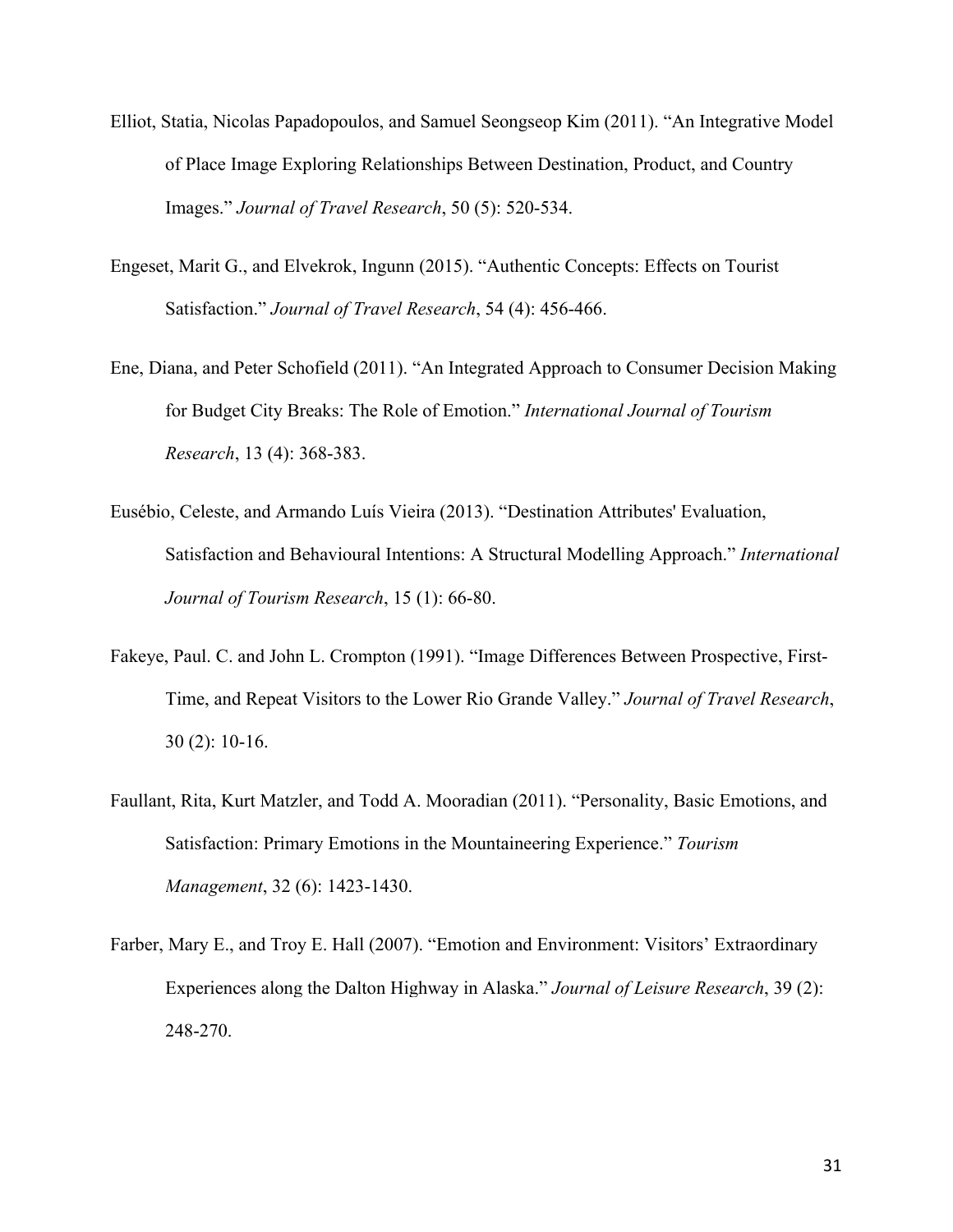- Elliot, Statia, Nicolas Papadopoulos, and Samuel Seongseop Kim (2011). "An Integrative Model of Place Image Exploring Relationships Between Destination, Product, and Country Images." *Journal of Travel Research*, 50 (5): 520-534.
- Engeset, Marit G., and Elvekrok, Ingunn (2015). "Authentic Concepts: Effects on Tourist Satisfaction." *Journal of Travel Research*, 54 (4): 456-466.
- Ene, Diana, and Peter Schofield (2011). "An Integrated Approach to Consumer Decision Making for Budget City Breaks: The Role of Emotion." *International Journal of Tourism Research*, 13 (4): 368-383.
- Eusébio, Celeste, and Armando Luís Vieira (2013). "Destination Attributes' Evaluation, Satisfaction and Behavioural Intentions: A Structural Modelling Approach." *International Journal of Tourism Research*, 15 (1): 66-80.
- Fakeye, Paul. C. [and John L. Crompton \(1991\). "Image Differences Between Prospective, First-](https://www.researchgate.net/publication/249700751_Image_Differences_Between_Prospective_First-Time_and_Repeat_Visitors_to_the_Lower_Rio_Grande_Valley?el=1_x_8&enrichId=rgreq-7bbebf15-bd67-4ef8-9c79-6d076f69b6b5&enrichSource=Y292ZXJQYWdlOzI4ODA1NjM5OTtBUzozMTU1NTAzNTIyNDg4MzRAMTQ1MjI0NDQ3NDY5Ng==)[Time, and Repeat Visitors to the Lower Rio Grande Valley."](https://www.researchgate.net/publication/249700751_Image_Differences_Between_Prospective_First-Time_and_Repeat_Visitors_to_the_Lower_Rio_Grande_Valley?el=1_x_8&enrichId=rgreq-7bbebf15-bd67-4ef8-9c79-6d076f69b6b5&enrichSource=Y292ZXJQYWdlOzI4ODA1NjM5OTtBUzozMTU1NTAzNTIyNDg4MzRAMTQ1MjI0NDQ3NDY5Ng==) *Journal of Travel Research*, 30 [\(2\): 10-16.](https://www.researchgate.net/publication/249700751_Image_Differences_Between_Prospective_First-Time_and_Repeat_Visitors_to_the_Lower_Rio_Grande_Valley?el=1_x_8&enrichId=rgreq-7bbebf15-bd67-4ef8-9c79-6d076f69b6b5&enrichSource=Y292ZXJQYWdlOzI4ODA1NjM5OTtBUzozMTU1NTAzNTIyNDg4MzRAMTQ1MjI0NDQ3NDY5Ng==)
- [Faullant, Rita, Kurt Matzler, and Todd A. Mooradian \(2011\). "Personality, Basic Emotions, and](https://www.researchgate.net/publication/233833166_Personality_basic_emotions_and_satisfaction_Primary_emotions_in_the_mountaineering_experience?el=1_x_8&enrichId=rgreq-7bbebf15-bd67-4ef8-9c79-6d076f69b6b5&enrichSource=Y292ZXJQYWdlOzI4ODA1NjM5OTtBUzozMTU1NTAzNTIyNDg4MzRAMTQ1MjI0NDQ3NDY5Ng==)  [Satisfaction: Primary Emotions in the Mountaineering Experience."](https://www.researchgate.net/publication/233833166_Personality_basic_emotions_and_satisfaction_Primary_emotions_in_the_mountaineering_experience?el=1_x_8&enrichId=rgreq-7bbebf15-bd67-4ef8-9c79-6d076f69b6b5&enrichSource=Y292ZXJQYWdlOzI4ODA1NjM5OTtBUzozMTU1NTAzNTIyNDg4MzRAMTQ1MjI0NDQ3NDY5Ng==) *Tourism Management*[, 32 \(6\): 1423-1430.](https://www.researchgate.net/publication/233833166_Personality_basic_emotions_and_satisfaction_Primary_emotions_in_the_mountaineering_experience?el=1_x_8&enrichId=rgreq-7bbebf15-bd67-4ef8-9c79-6d076f69b6b5&enrichSource=Y292ZXJQYWdlOzI4ODA1NjM5OTtBUzozMTU1NTAzNTIyNDg4MzRAMTQ1MjI0NDQ3NDY5Ng==)
- [Farber, Mary E., and Troy E. Hall \(2007\). "Emotion and Environment: Visitors' Extraordinary](https://www.researchgate.net/publication/283157017_Emotion_and_environment_Visitors)  [Experiences along the Dalton Highway in Alaska."](https://www.researchgate.net/publication/283157017_Emotion_and_environment_Visitors) *Journal of Leisure Research*, 39 (2): [248-270.](https://www.researchgate.net/publication/283157017_Emotion_and_environment_Visitors)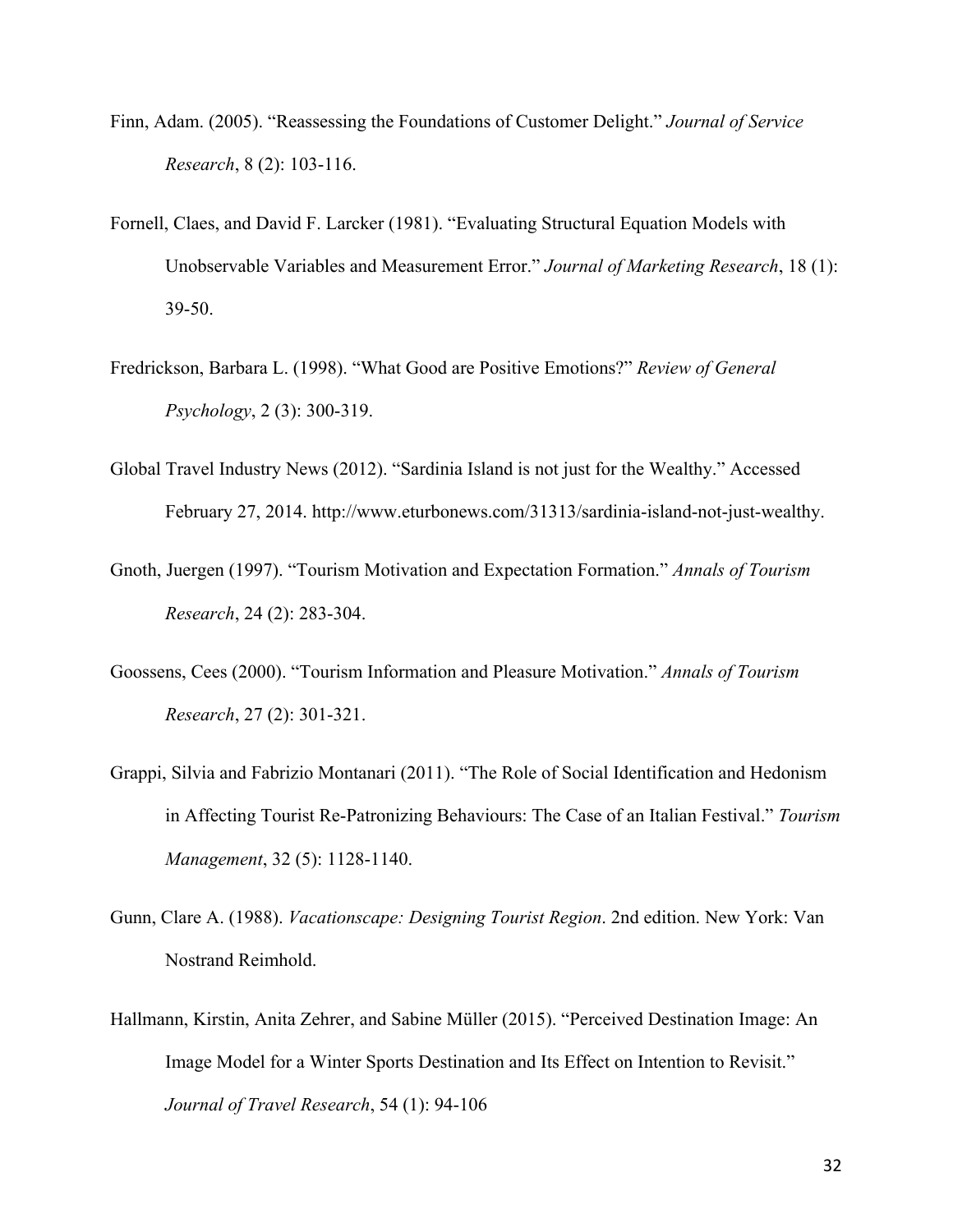- Finn, Adam. (2005). "Reassessing the Foundations of Customer Delight." *Journal of Service Research*, 8 (2): 103-116.
- Fornell, Claes, and David F. Larcker (1981). "Evaluating Structural Equation Models with Unobservable Variables and Measurement Error." *Journal of Marketing Research*, 18 (1): 39-50.
- Fredrickson, Barbara L. (1998). "What Good are Positive Emotions?" *Review of General Psychology*, 2 (3): 300-319.
- Global Travel Industry News (2012). "Sardinia Island is not just for the Wealthy." Accessed February 27, 2014. http://www.eturbonews.com/31313/sardinia-island-not-just-wealthy.
- Gnoth, Juergen (1997). "Tourism Motivation and Expectation Formation." *Annals of Tourism Research*, 24 (2): 283-304.
- Goossens, Cees (2000). "Tourism Information and Pleasure Motivation." *Annals of Tourism Research*, 27 (2): 301-321.
- Grappi, Silvia and Fabrizio Montanari (2011). "The Role of Social Identification and Hedonism in Affecting Tourist Re-Patronizing Behaviours: The Case of an Italian Festival." *Tourism Management*, 32 (5): 1128-1140.
- Gunn, Clare A. (1988). *Vacationscape: Designing Tourist Region*. 2nd edition. New York: Van Nostrand Reimhold.
- Hallmann, Kirstin, Anita Zehrer, and Sabine Müller (2015). "Perceived Destination Image: An Image Model for a Winter Sports Destination and Its Effect on Intention to Revisit." *Journal of Travel Research*, 54 (1): 94-106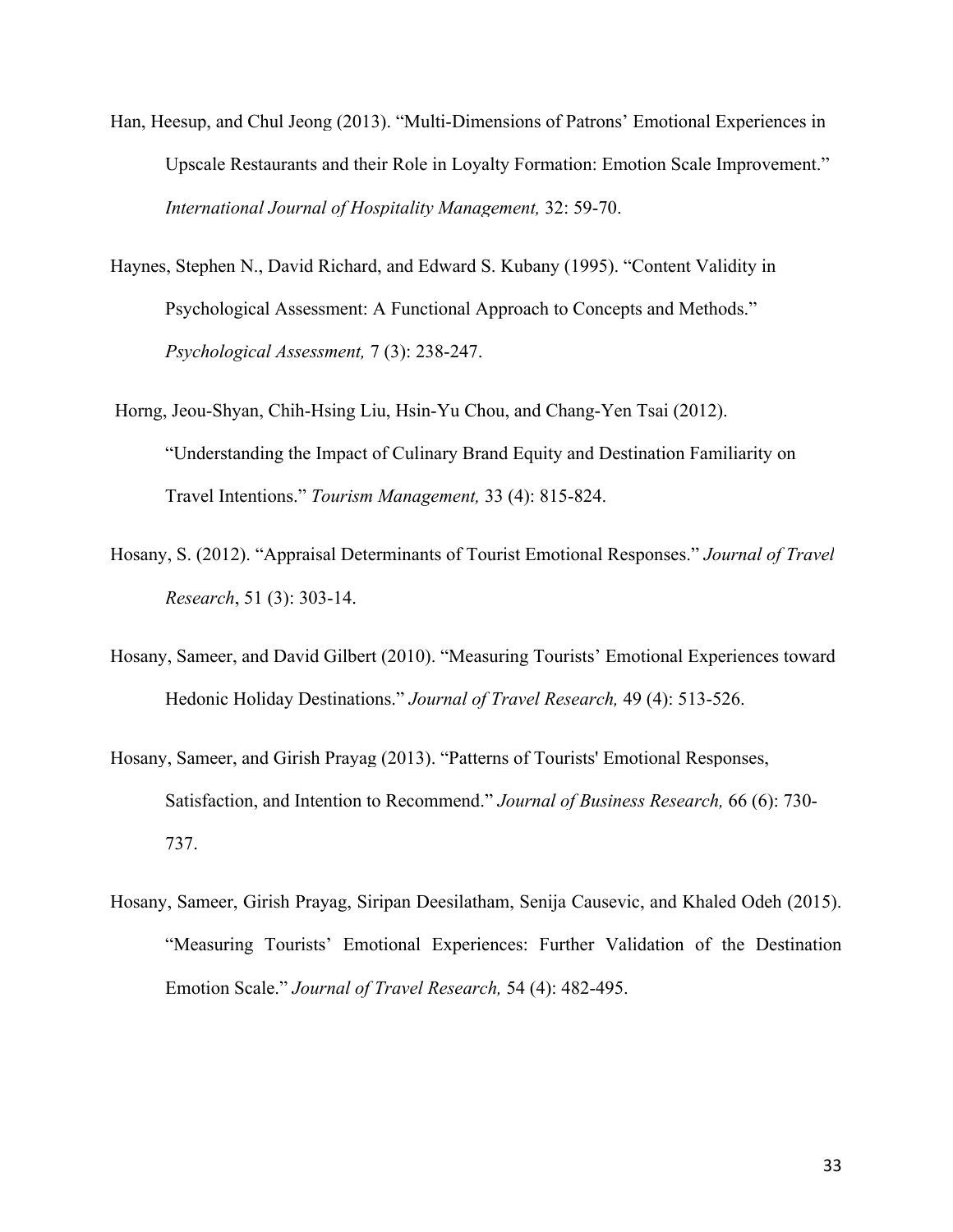- [Han, Heesup, and Chul Jeong \(2013\). "Multi-Dimensions of Patrons' Emotional Experiences in](https://www.researchgate.net/publication/271574424_Multi-dimensions_of_patrons)  [Upscale Restaurants and their Role in Loyalty Formation: Emotion Scale Improvement."](https://www.researchgate.net/publication/271574424_Multi-dimensions_of_patrons) *[International Journal of Hospitality Management,](https://www.researchgate.net/publication/271574424_Multi-dimensions_of_patrons)* 32: 59-70.
- Haynes, Stephen N., David Richard, and Edward S. Kubany (1995). "Content Validity in Psychological Assessment: A Functional Approach to Concepts and Methods." *Psychological Assessment,* 7 (3): 238-247.
- Horng, Jeou-Shyan, Chih-Hsing Liu, Hsin-Yu Chou, and Chang-Yen Tsai (2012). "Understanding the Impact of Culinary Brand Equity and Destination Familiarity on Travel Intentions." *Tourism Management,* 33 (4): 815-824.
- [Hosany, S. \(2012\). "Appraisal Determinants of Tourist Emotional Responses."](https://www.researchgate.net/publication/258161247_Appraisal_Determinants_of_Tourist_Emotional_Responses?el=1_x_8&enrichId=rgreq-7bbebf15-bd67-4ef8-9c79-6d076f69b6b5&enrichSource=Y292ZXJQYWdlOzI4ODA1NjM5OTtBUzozMTU1NTAzNTIyNDg4MzRAMTQ1MjI0NDQ3NDY5Ng==) *Journal of Travel Research*[, 51 \(3\): 303-14.](https://www.researchgate.net/publication/258161247_Appraisal_Determinants_of_Tourist_Emotional_Responses?el=1_x_8&enrichId=rgreq-7bbebf15-bd67-4ef8-9c79-6d076f69b6b5&enrichSource=Y292ZXJQYWdlOzI4ODA1NjM5OTtBUzozMTU1NTAzNTIyNDg4MzRAMTQ1MjI0NDQ3NDY5Ng==)
- Hosany, Sameer, and David Gilbert (2010). "Measuring Tourists' Emotional Experiences toward Hedonic Holiday Destinations." *Journal of Travel Research,* 49 (4): 513-526.
- [Hosany, Sameer, and Girish Prayag \(2013\). "Patterns of Tourists' Emotional Responses,](https://www.researchgate.net/publication/251511514_Patterns_of_tourists) [Satisfaction, and Intention to Recommend."](https://www.researchgate.net/publication/251511514_Patterns_of_tourists) *Journal of Business Research,* 66 (6): 730- [737.](https://www.researchgate.net/publication/251511514_Patterns_of_tourists)
- Hosany, Sameer, Girish Prayag, Siripan Deesilatham, Senija Causevic, and Khaled Odeh (2015). "Measuring Tourists' Emotional Experiences: Further Validation of the Destination Emotion Scale." *Journal of Travel Research,* 54 (4): 482-495.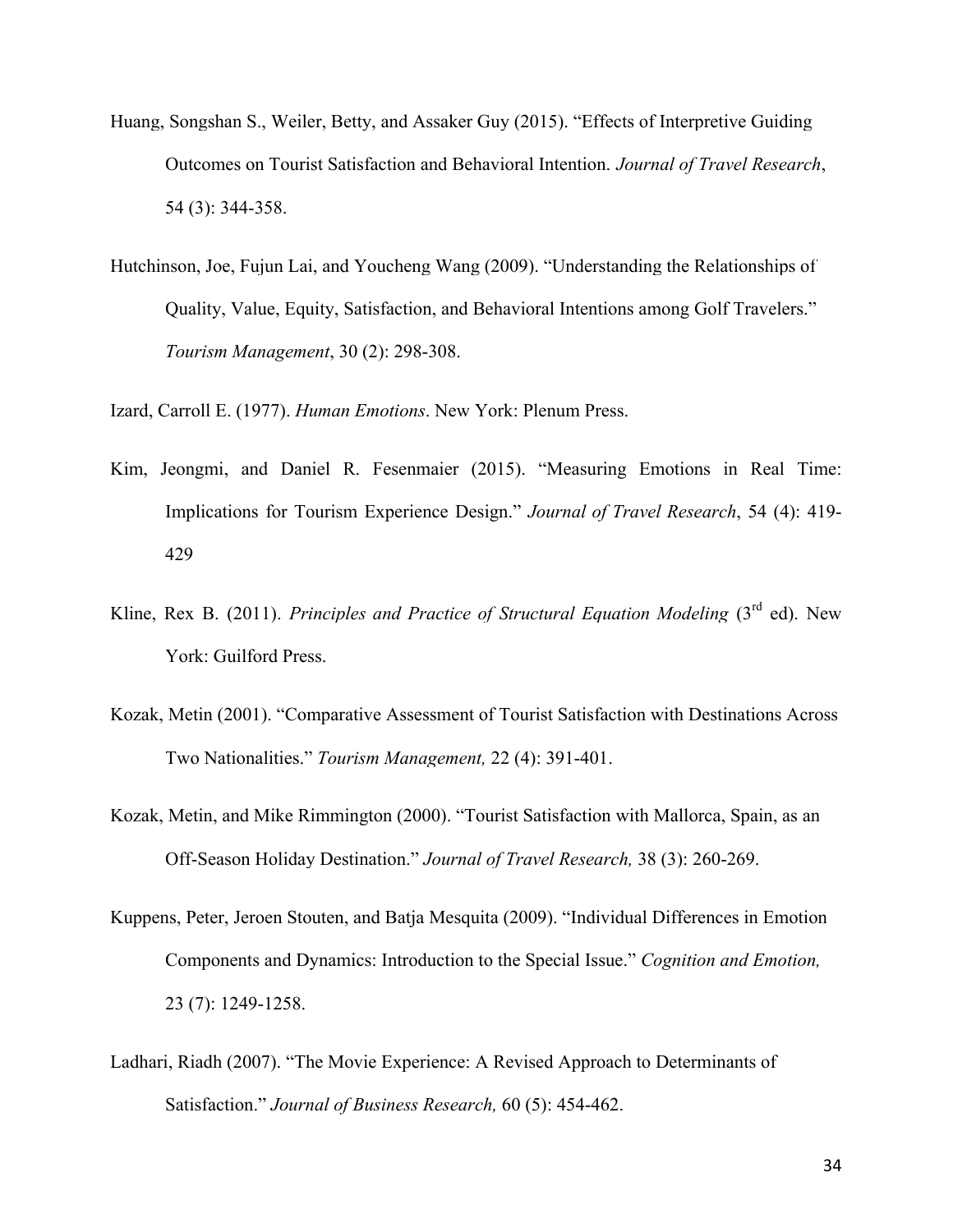- [Huang, Songshan S., Weiler, Betty, and Assaker Guy \(2015\). "Effects of Interpretive Guiding](https://www.researchgate.net/publication/263314627_Effects_of_Interpretive_Guiding_Outcomes_on_Tourist_Satisfaction_and_Behavioral_Intention?el=1_x_8&enrichId=rgreq-7bbebf15-bd67-4ef8-9c79-6d076f69b6b5&enrichSource=Y292ZXJQYWdlOzI4ODA1NjM5OTtBUzozMTU1NTAzNTIyNDg4MzRAMTQ1MjI0NDQ3NDY5Ng==) [Outcomes on Tourist Satisfaction and Behavioral Intention.](https://www.researchgate.net/publication/263314627_Effects_of_Interpretive_Guiding_Outcomes_on_Tourist_Satisfaction_and_Behavioral_Intention?el=1_x_8&enrichId=rgreq-7bbebf15-bd67-4ef8-9c79-6d076f69b6b5&enrichSource=Y292ZXJQYWdlOzI4ODA1NjM5OTtBUzozMTU1NTAzNTIyNDg4MzRAMTQ1MjI0NDQ3NDY5Ng==) *Journal of Travel Research*, 54 (3): [344-358.](https://www.researchgate.net/publication/263314627_Effects_of_Interpretive_Guiding_Outcomes_on_Tourist_Satisfaction_and_Behavioral_Intention?el=1_x_8&enrichId=rgreq-7bbebf15-bd67-4ef8-9c79-6d076f69b6b5&enrichSource=Y292ZXJQYWdlOzI4ODA1NjM5OTtBUzozMTU1NTAzNTIyNDg4MzRAMTQ1MjI0NDQ3NDY5Ng==)
- [Hutchinson, Joe, Fujun Lai, and Youcheng Wang \(2009\). "Understanding the Relationships of](https://www.researchgate.net/publication/223940363_Understanding_the_relationships_of_quality_value_equity_satisfaction_and_behavioral_intentions_among_golf_travelers?el=1_x_8&enrichId=rgreq-7bbebf15-bd67-4ef8-9c79-6d076f69b6b5&enrichSource=Y292ZXJQYWdlOzI4ODA1NjM5OTtBUzozMTU1NTAzNTIyNDg4MzRAMTQ1MjI0NDQ3NDY5Ng==) [Quality, Value, Equity, Satisfaction, and Behavioral Intentions among Golf Travelers."](https://www.researchgate.net/publication/223940363_Understanding_the_relationships_of_quality_value_equity_satisfaction_and_behavioral_intentions_among_golf_travelers?el=1_x_8&enrichId=rgreq-7bbebf15-bd67-4ef8-9c79-6d076f69b6b5&enrichSource=Y292ZXJQYWdlOzI4ODA1NjM5OTtBUzozMTU1NTAzNTIyNDg4MzRAMTQ1MjI0NDQ3NDY5Ng==)  *[Tourism Management](https://www.researchgate.net/publication/223940363_Understanding_the_relationships_of_quality_value_equity_satisfaction_and_behavioral_intentions_among_golf_travelers?el=1_x_8&enrichId=rgreq-7bbebf15-bd67-4ef8-9c79-6d076f69b6b5&enrichSource=Y292ZXJQYWdlOzI4ODA1NjM5OTtBUzozMTU1NTAzNTIyNDg4MzRAMTQ1MjI0NDQ3NDY5Ng==)*, 30 (2): 298-308.

Izard, Carroll E. (1977). *Human Emotions*. New York: Plenum Press.

- Kim, Jeongmi, and Daniel R. Fesenmaier (2015). "Measuring Emotions in Real Time: Implications for Tourism Experience Design." *Journal of Travel Research*, 54 (4): 419- 429
- Kline, Rex B. (2011). *[Principles and Practice of Structural Equation Modeling](https://www.researchgate.net/publication/235932894_Principles_And_Practice_Of_Structural_Equation_Modeling?el=1_x_8&enrichId=rgreq-7bbebf15-bd67-4ef8-9c79-6d076f69b6b5&enrichSource=Y292ZXJQYWdlOzI4ODA1NjM5OTtBUzozMTU1NTAzNTIyNDg4MzRAMTQ1MjI0NDQ3NDY5Ng==)* ( $3<sup>rd</sup>$  $3<sup>rd</sup>$  $3<sup>rd</sup>$  ed). New [York: Guilford Press.](https://www.researchgate.net/publication/235932894_Principles_And_Practice_Of_Structural_Equation_Modeling?el=1_x_8&enrichId=rgreq-7bbebf15-bd67-4ef8-9c79-6d076f69b6b5&enrichSource=Y292ZXJQYWdlOzI4ODA1NjM5OTtBUzozMTU1NTAzNTIyNDg4MzRAMTQ1MjI0NDQ3NDY5Ng==)
- [Kozak, Metin \(2001\). "Comparative Assessment of Tourist Satisfaction with Destinations Across](https://www.researchgate.net/publication/null?el=1_x_8&enrichId=rgreq-7bbebf15-bd67-4ef8-9c79-6d076f69b6b5&enrichSource=Y292ZXJQYWdlOzI4ODA1NjM5OTtBUzozMTU1NTAzNTIyNDg4MzRAMTQ1MjI0NDQ3NDY5Ng==)  Two Nationalities." *[Tourism Management,](https://www.researchgate.net/publication/null?el=1_x_8&enrichId=rgreq-7bbebf15-bd67-4ef8-9c79-6d076f69b6b5&enrichSource=Y292ZXJQYWdlOzI4ODA1NjM5OTtBUzozMTU1NTAzNTIyNDg4MzRAMTQ1MjI0NDQ3NDY5Ng==)* 22 (4): 391-401.
- [Kozak, Metin, and Mike Rimmington \(2000\). "Tourist Satisfaction with Mallorca, Spain, as an](https://www.researchgate.net/publication/249701056_Tourist_Satisfaction_With_Mallorca_Spain_as_an_Off-Season_Holiday_Destination?el=1_x_8&enrichId=rgreq-7bbebf15-bd67-4ef8-9c79-6d076f69b6b5&enrichSource=Y292ZXJQYWdlOzI4ODA1NjM5OTtBUzozMTU1NTAzNTIyNDg4MzRAMTQ1MjI0NDQ3NDY5Ng==) [Off-Season Holiday Destination."](https://www.researchgate.net/publication/249701056_Tourist_Satisfaction_With_Mallorca_Spain_as_an_Off-Season_Holiday_Destination?el=1_x_8&enrichId=rgreq-7bbebf15-bd67-4ef8-9c79-6d076f69b6b5&enrichSource=Y292ZXJQYWdlOzI4ODA1NjM5OTtBUzozMTU1NTAzNTIyNDg4MzRAMTQ1MjI0NDQ3NDY5Ng==) *Journal of Travel Research,* 38 (3): 260-269.
- [Kuppens, Peter, Jeroen Stouten, and Batja Mesquita \(2009\). "Individual Differences in Emotion](https://www.researchgate.net/publication/232724683_Individual_differences_in_emotion_components_and_dynamics_Introduction_to_the_Special_Issue?el=1_x_8&enrichId=rgreq-7bbebf15-bd67-4ef8-9c79-6d076f69b6b5&enrichSource=Y292ZXJQYWdlOzI4ODA1NjM5OTtBUzozMTU1NTAzNTIyNDg4MzRAMTQ1MjI0NDQ3NDY5Ng==)  [Components and Dynamics: Introduction to the Special Issue."](https://www.researchgate.net/publication/232724683_Individual_differences_in_emotion_components_and_dynamics_Introduction_to_the_Special_Issue?el=1_x_8&enrichId=rgreq-7bbebf15-bd67-4ef8-9c79-6d076f69b6b5&enrichSource=Y292ZXJQYWdlOzI4ODA1NjM5OTtBUzozMTU1NTAzNTIyNDg4MzRAMTQ1MjI0NDQ3NDY5Ng==) *Cognition and Emotion,* [23 \(7\): 1249-1258.](https://www.researchgate.net/publication/232724683_Individual_differences_in_emotion_components_and_dynamics_Introduction_to_the_Special_Issue?el=1_x_8&enrichId=rgreq-7bbebf15-bd67-4ef8-9c79-6d076f69b6b5&enrichSource=Y292ZXJQYWdlOzI4ODA1NjM5OTtBUzozMTU1NTAzNTIyNDg4MzRAMTQ1MjI0NDQ3NDY5Ng==)
- Ladhari, Riadh (2007). "The Movie Experience: A Revised Approach to Determinants of Satisfaction." *Journal of Business Research,* 60 (5): 454-462.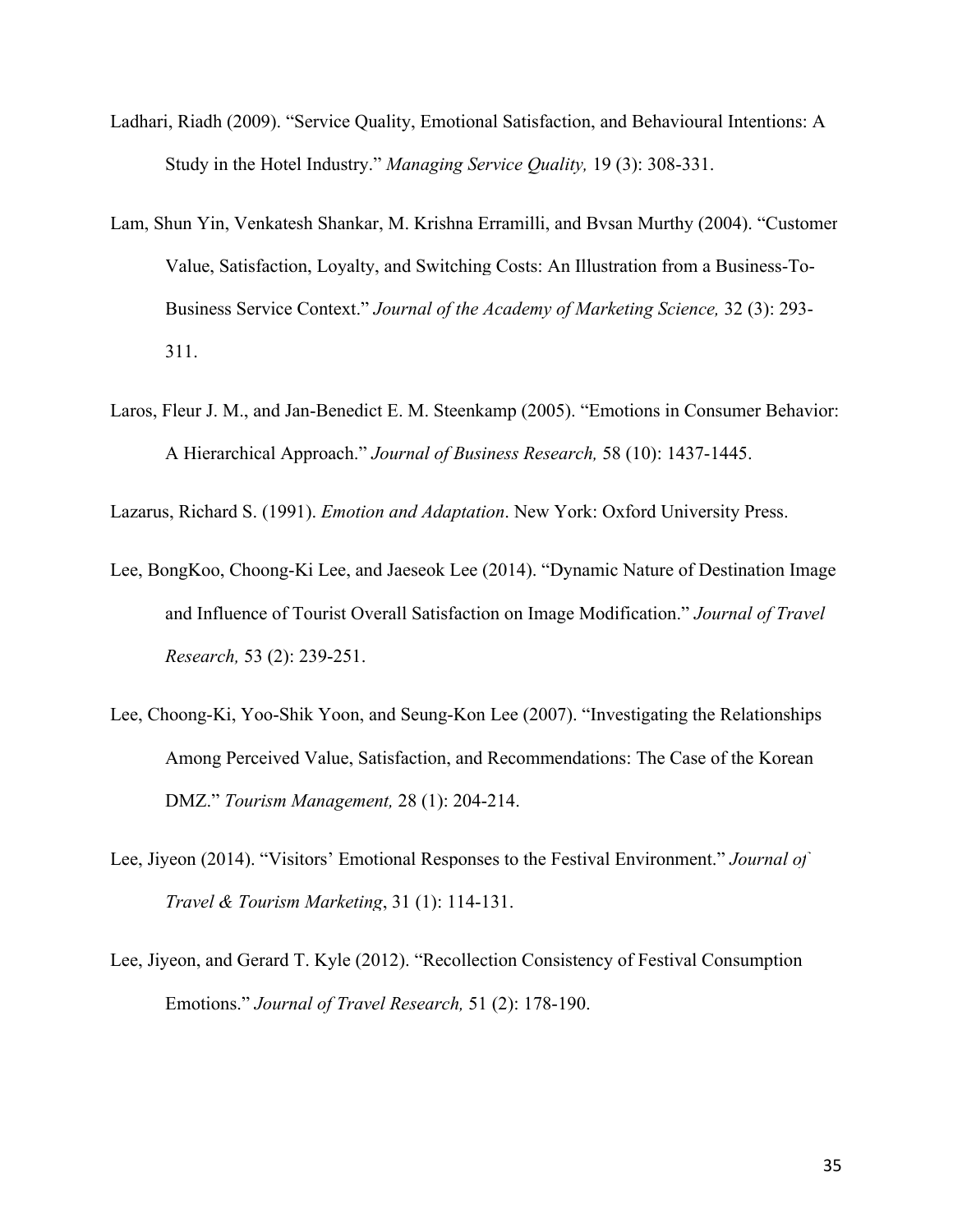- Ladhari, Riadh (2009). "Service Quality, Emotional Satisfaction, and Behavioural Intentions: A Study in the Hotel Industry." *Managing Service Quality,* 19 (3): 308-331.
- [Lam, Shun Yin, Venkatesh Shankar, M. Krishna Erramilli, and Bvsan Murthy \(2004\). "Customer](https://www.researchgate.net/publication/246926657_Customer_Value_Satisfaction_Loyalty_and_Switching_Costs_An_Illustration_From_a_Business-to-Business_Service_Context?el=1_x_8&enrichId=rgreq-7bbebf15-bd67-4ef8-9c79-6d076f69b6b5&enrichSource=Y292ZXJQYWdlOzI4ODA1NjM5OTtBUzozMTU1NTAzNTIyNDg4MzRAMTQ1MjI0NDQ3NDY5Ng==)  [Value, Satisfaction, Loyalty, and Switching Costs: An Illustration from a Business-To-](https://www.researchgate.net/publication/246926657_Customer_Value_Satisfaction_Loyalty_and_Switching_Costs_An_Illustration_From_a_Business-to-Business_Service_Context?el=1_x_8&enrichId=rgreq-7bbebf15-bd67-4ef8-9c79-6d076f69b6b5&enrichSource=Y292ZXJQYWdlOzI4ODA1NjM5OTtBUzozMTU1NTAzNTIyNDg4MzRAMTQ1MjI0NDQ3NDY5Ng==)Business Service Context." *[Journal of the Academy of Marketing Science,](https://www.researchgate.net/publication/246926657_Customer_Value_Satisfaction_Loyalty_and_Switching_Costs_An_Illustration_From_a_Business-to-Business_Service_Context?el=1_x_8&enrichId=rgreq-7bbebf15-bd67-4ef8-9c79-6d076f69b6b5&enrichSource=Y292ZXJQYWdlOzI4ODA1NjM5OTtBUzozMTU1NTAzNTIyNDg4MzRAMTQ1MjI0NDQ3NDY5Ng==)* 32 (3): 293- [311.](https://www.researchgate.net/publication/246926657_Customer_Value_Satisfaction_Loyalty_and_Switching_Costs_An_Illustration_From_a_Business-to-Business_Service_Context?el=1_x_8&enrichId=rgreq-7bbebf15-bd67-4ef8-9c79-6d076f69b6b5&enrichSource=Y292ZXJQYWdlOzI4ODA1NjM5OTtBUzozMTU1NTAzNTIyNDg4MzRAMTQ1MjI0NDQ3NDY5Ng==)
- Laros, Fleur J. M., and Jan-Benedict E. M. Steenkamp (2005). "Emotions in Consumer Behavior: A Hierarchical Approach." *Journal of Business Research,* 58 (10): 1437-1445.

Lazarus, Richard S. (1991). *Emotion and Adaptation*. New York: Oxford University Press.

- Lee, BongKoo, Choong-Ki Lee, and Jaeseok Lee (2014). "Dynamic Nature of Destination Image and Influence of Tourist Overall Satisfaction on Image Modification." *Journal of Travel Research,* 53 (2): 239-251.
- Lee, Choong-Ki, Yoo-Shik Yoon, and Seung-Kon Lee (2007). "Investigating the Relationships Among Perceived Value, Satisfaction, and Recommendations: The Case of the Korean DMZ." *Tourism Management,* 28 (1): 204-214.
- [Lee, Jiyeon \(2014\). "Visitors' Emotional Responses to the Festival Environment."](https://www.researchgate.net/publication/285263337_Visitors) *Journal of [Travel & Tourism Marketing](https://www.researchgate.net/publication/285263337_Visitors)*, 31 (1): 114-131.
- Lee, Jiyeon, and Gerard T. Kyle (2012). "Recollection Consistency of Festival Consumption Emotions." *Journal of Travel Research,* 51 (2): 178-190.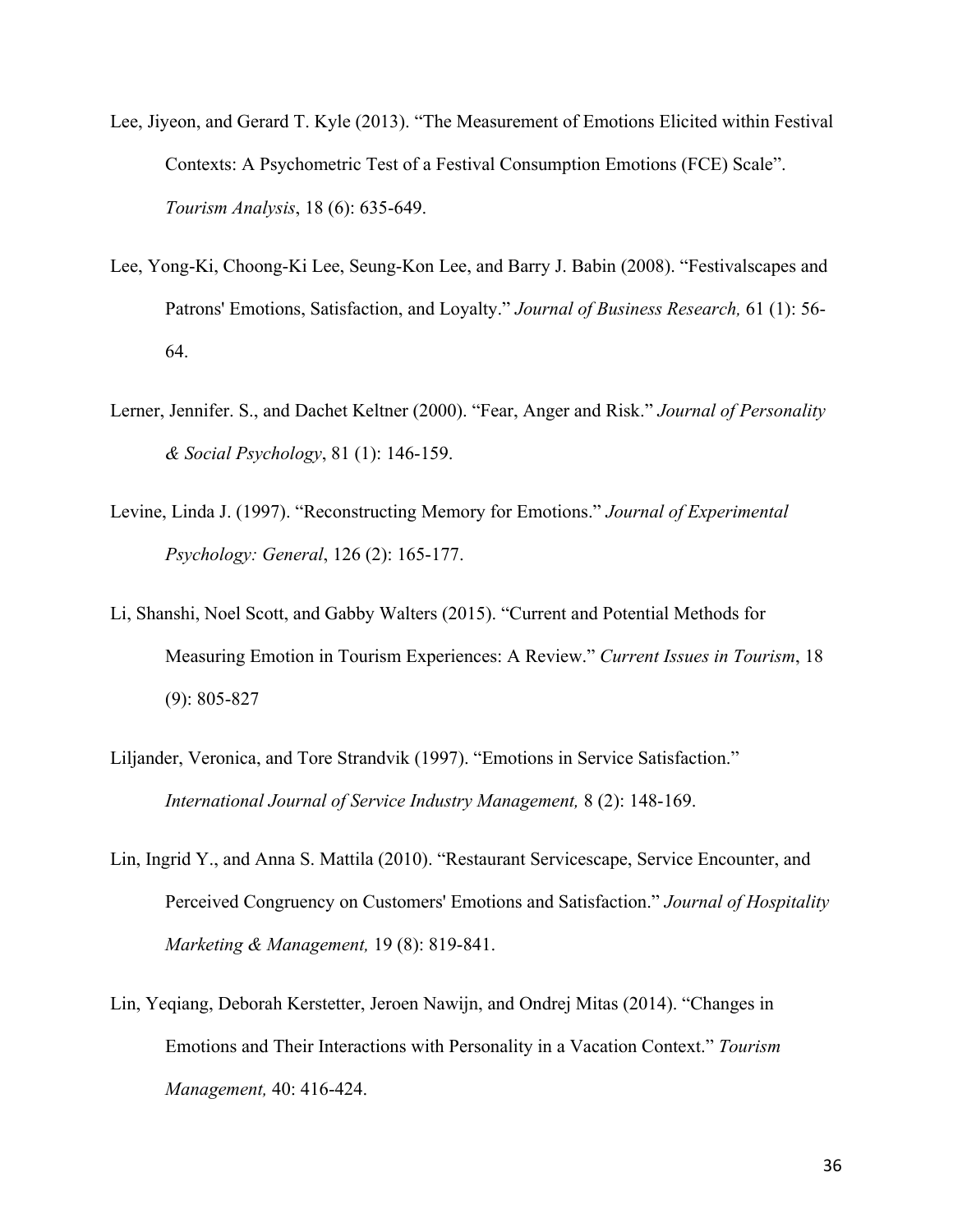- Lee, Jiyeon, and Gerard T. Kyle (2013). "The Measurement of Emotions Elicited within Festival Contexts: A Psychometric Test of a Festival Consumption Emotions (FCE) Scale". *Tourism Analysis*, 18 (6): 635-649.
- Lee, Yong-Ki, Choong-Ki Lee, Seung-Kon Lee, and Barry J. Babin (2008). "Festivalscapes and Patrons' Emotions, Satisfaction, and Loyalty." *Journal of Business Research,* 61 (1): 56- 64.
- Lerner, Jennifer. S., and Dachet Keltner (2000). "Fear, Anger and Risk." *Journal of Personality & Social Psychology*, 81 (1): 146-159.
- Levine, Linda J. (1997). "Reconstructing Memory for Emotions." *Journal of Experimental Psychology: General*, 126 (2): 165-177.
- Li, Shanshi, Noel Scott, and Gabby Walters (2015). "Current and Potential Methods for Measuring Emotion in Tourism Experiences: A Review." *Current Issues in Tourism*, 18 (9): 805-827
- Liljander, Veronica, and Tore Strandvik (1997). "Emotions in Service Satisfaction." *International Journal of Service Industry Management,* 8 (2): 148-169.
- Lin, Ingrid Y., and Anna S. Mattila (2010). "Restaurant Servicescape, Service Encounter, and Perceived Congruency on Customers' Emotions and Satisfaction." *Journal of Hospitality Marketing & Management,* 19 (8): 819-841.
- Lin, Yeqiang, Deborah Kerstetter, Jeroen Nawijn, and Ondrej Mitas (2014). "Changes in Emotions and Their Interactions with Personality in a Vacation Context." *Tourism Management,* 40: 416-424.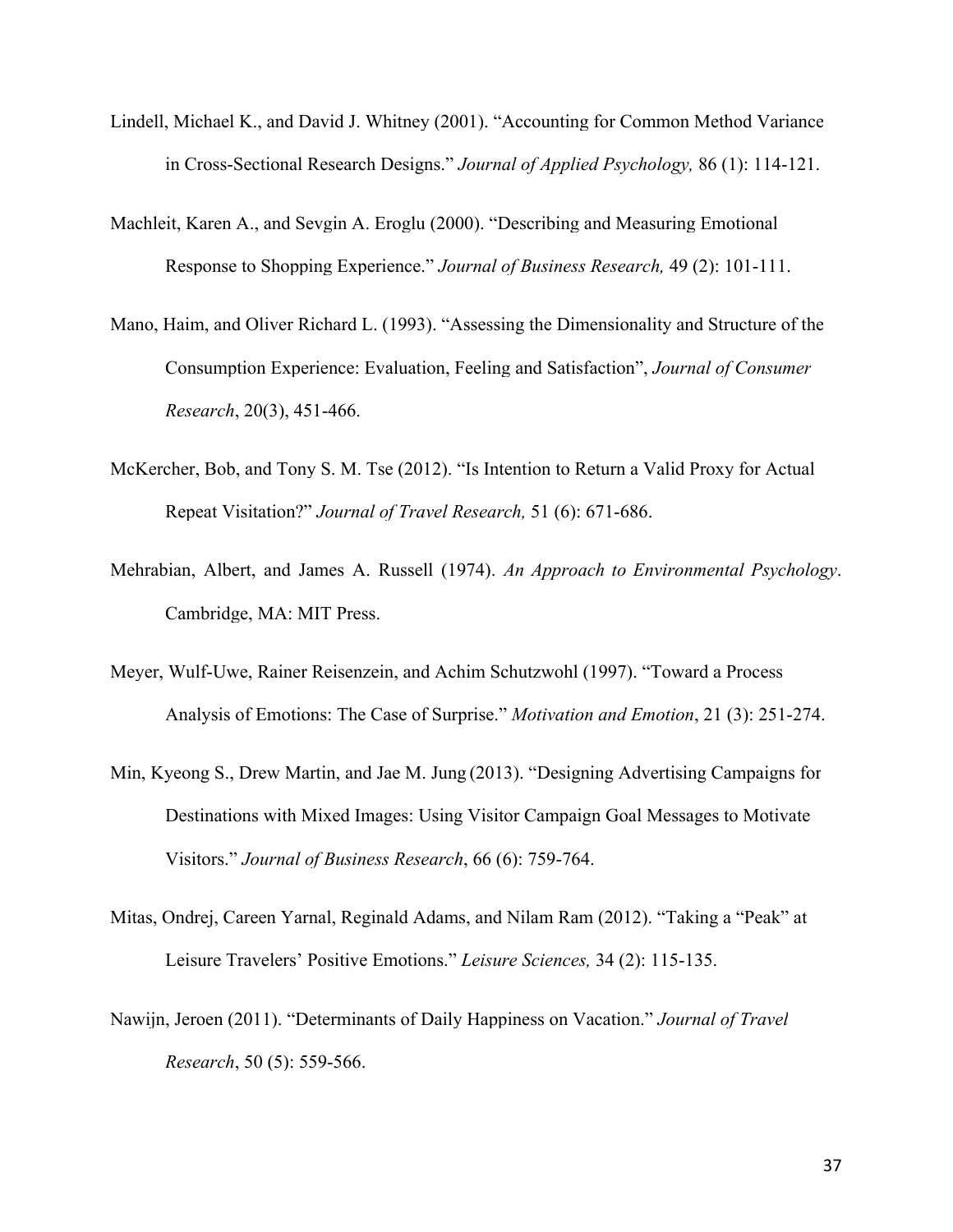- [Lindell, Michael K., and David J. Whitney \(2001\). "Accounting for Common Method Variance](https://www.researchgate.net/publication/null?el=1_x_8&enrichId=rgreq-7bbebf15-bd67-4ef8-9c79-6d076f69b6b5&enrichSource=Y292ZXJQYWdlOzI4ODA1NjM5OTtBUzozMTU1NTAzNTIyNDg4MzRAMTQ1MjI0NDQ3NDY5Ng==)  [in Cross-Sectional Research Designs."](https://www.researchgate.net/publication/null?el=1_x_8&enrichId=rgreq-7bbebf15-bd67-4ef8-9c79-6d076f69b6b5&enrichSource=Y292ZXJQYWdlOzI4ODA1NjM5OTtBUzozMTU1NTAzNTIyNDg4MzRAMTQ1MjI0NDQ3NDY5Ng==) *Journal of Applied Psychology,* 86 (1): 114-121.
- [Machleit, Karen A., and Sevgin A. Eroglu \(2000\). "Describing and Measuring Emotional](https://www.researchgate.net/publication/null?el=1_x_8&enrichId=rgreq-7bbebf15-bd67-4ef8-9c79-6d076f69b6b5&enrichSource=Y292ZXJQYWdlOzI4ODA1NjM5OTtBUzozMTU1NTAzNTIyNDg4MzRAMTQ1MjI0NDQ3NDY5Ng==) [Response to Shopping Experience."](https://www.researchgate.net/publication/null?el=1_x_8&enrichId=rgreq-7bbebf15-bd67-4ef8-9c79-6d076f69b6b5&enrichSource=Y292ZXJQYWdlOzI4ODA1NjM5OTtBUzozMTU1NTAzNTIyNDg4MzRAMTQ1MjI0NDQ3NDY5Ng==) *Journal of Business Research,* 49 (2): 101-111.
- [Mano, Haim, and Oliver Richard L. \(1993\). "Assessing the Dimensionality and Structure of the](https://www.researchgate.net/publication/null?el=1_x_8&enrichId=rgreq-7bbebf15-bd67-4ef8-9c79-6d076f69b6b5&enrichSource=Y292ZXJQYWdlOzI4ODA1NjM5OTtBUzozMTU1NTAzNTIyNDg4MzRAMTQ1MjI0NDQ3NDY5Ng==)  [Consumption Experience: Evaluation, Feeling and Satisfaction",](https://www.researchgate.net/publication/null?el=1_x_8&enrichId=rgreq-7bbebf15-bd67-4ef8-9c79-6d076f69b6b5&enrichSource=Y292ZXJQYWdlOzI4ODA1NjM5OTtBUzozMTU1NTAzNTIyNDg4MzRAMTQ1MjI0NDQ3NDY5Ng==) *Journal of Consumer Research*[, 20\(3\), 451-466.](https://www.researchgate.net/publication/null?el=1_x_8&enrichId=rgreq-7bbebf15-bd67-4ef8-9c79-6d076f69b6b5&enrichSource=Y292ZXJQYWdlOzI4ODA1NjM5OTtBUzozMTU1NTAzNTIyNDg4MzRAMTQ1MjI0NDQ3NDY5Ng==)
- [McKercher, Bob, and Tony S. M. Tse \(2012\). "Is Intention to Return a Valid Proxy for Actual](https://www.researchgate.net/publication/258160899_Is_Intention_to_Return_a_Valid_Proxy_for_Actual_Repeat_Visitation?el=1_x_8&enrichId=rgreq-7bbebf15-bd67-4ef8-9c79-6d076f69b6b5&enrichSource=Y292ZXJQYWdlOzI4ODA1NjM5OTtBUzozMTU1NTAzNTIyNDg4MzRAMTQ1MjI0NDQ3NDY5Ng==)  Repeat Visitation?" *[Journal of Travel Research,](https://www.researchgate.net/publication/258160899_Is_Intention_to_Return_a_Valid_Proxy_for_Actual_Repeat_Visitation?el=1_x_8&enrichId=rgreq-7bbebf15-bd67-4ef8-9c79-6d076f69b6b5&enrichSource=Y292ZXJQYWdlOzI4ODA1NjM5OTtBUzozMTU1NTAzNTIyNDg4MzRAMTQ1MjI0NDQ3NDY5Ng==)* 51 (6): 671-686.
- [Mehrabian, Albert, and James A. Russell \(1974\).](https://www.researchgate.net/publication/232487454_An_Approach_to_Environment_Psychology?el=1_x_8&enrichId=rgreq-7bbebf15-bd67-4ef8-9c79-6d076f69b6b5&enrichSource=Y292ZXJQYWdlOzI4ODA1NjM5OTtBUzozMTU1NTAzNTIyNDg4MzRAMTQ1MjI0NDQ3NDY5Ng==) *An Approach to Environmental Psychology*. [Cambridge, MA: MIT Press.](https://www.researchgate.net/publication/232487454_An_Approach_to_Environment_Psychology?el=1_x_8&enrichId=rgreq-7bbebf15-bd67-4ef8-9c79-6d076f69b6b5&enrichSource=Y292ZXJQYWdlOzI4ODA1NjM5OTtBUzozMTU1NTAzNTIyNDg4MzRAMTQ1MjI0NDQ3NDY5Ng==)
- [Meyer, Wulf-Uwe, Rainer Reisenzein, and Achim Schutzwohl \(1997\). "Toward a Process](https://www.researchgate.net/publication/225969606_Toward_a_Process_Analysis_of_Emotions_The_Case_of_Surprise?el=1_x_8&enrichId=rgreq-7bbebf15-bd67-4ef8-9c79-6d076f69b6b5&enrichSource=Y292ZXJQYWdlOzI4ODA1NjM5OTtBUzozMTU1NTAzNTIyNDg4MzRAMTQ1MjI0NDQ3NDY5Ng==) [Analysis of Emotions: The Case of Surprise."](https://www.researchgate.net/publication/225969606_Toward_a_Process_Analysis_of_Emotions_The_Case_of_Surprise?el=1_x_8&enrichId=rgreq-7bbebf15-bd67-4ef8-9c79-6d076f69b6b5&enrichSource=Y292ZXJQYWdlOzI4ODA1NjM5OTtBUzozMTU1NTAzNTIyNDg4MzRAMTQ1MjI0NDQ3NDY5Ng==) *Motivation and Emotion*, 21 (3): 251-274.
- [Min, Kyeong S., Drew Martin, and Jae M. Jung](https://www.researchgate.net/publication/251511517_Designing_advertising_campaigns_for_destinations_with_mixed_images_Using_visitor_campaign_goal_messages_to_motivate_visitors?el=1_x_8&enrichId=rgreq-7bbebf15-bd67-4ef8-9c79-6d076f69b6b5&enrichSource=Y292ZXJQYWdlOzI4ODA1NjM5OTtBUzozMTU1NTAzNTIyNDg4MzRAMTQ1MjI0NDQ3NDY5Ng==) (2013). "Designing Advertising Campaigns for [Destinations with Mixed Images: Using Visitor Campaign Goal Messages to Motivate](https://www.researchgate.net/publication/251511517_Designing_advertising_campaigns_for_destinations_with_mixed_images_Using_visitor_campaign_goal_messages_to_motivate_visitors?el=1_x_8&enrichId=rgreq-7bbebf15-bd67-4ef8-9c79-6d076f69b6b5&enrichSource=Y292ZXJQYWdlOzI4ODA1NjM5OTtBUzozMTU1NTAzNTIyNDg4MzRAMTQ1MjI0NDQ3NDY5Ng==)  Visitors." *[Journal of Business Research](https://www.researchgate.net/publication/251511517_Designing_advertising_campaigns_for_destinations_with_mixed_images_Using_visitor_campaign_goal_messages_to_motivate_visitors?el=1_x_8&enrichId=rgreq-7bbebf15-bd67-4ef8-9c79-6d076f69b6b5&enrichSource=Y292ZXJQYWdlOzI4ODA1NjM5OTtBUzozMTU1NTAzNTIyNDg4MzRAMTQ1MjI0NDQ3NDY5Ng==)*, 66 (6): 759-764.
- Mitas, Ondrej, Careen Yarnal, Reginald Adams, and Nilam Ram (2012). "Taking a "Peak" at Leisure Travelers' Positive Emotions." *Leisure Sciences,* 34 (2): 115-135.
- [Nawijn, Jeroen \(2011\). "Determinants of Daily Happiness on Vacation."](https://www.researchgate.net/publication/255708350_Determinants_of_Daily_Happiness_on_Vacation?el=1_x_8&enrichId=rgreq-7bbebf15-bd67-4ef8-9c79-6d076f69b6b5&enrichSource=Y292ZXJQYWdlOzI4ODA1NjM5OTtBUzozMTU1NTAzNTIyNDg4MzRAMTQ1MjI0NDQ3NDY5Ng==) *Journal of Travel Research*[, 50 \(5\): 559-566.](https://www.researchgate.net/publication/255708350_Determinants_of_Daily_Happiness_on_Vacation?el=1_x_8&enrichId=rgreq-7bbebf15-bd67-4ef8-9c79-6d076f69b6b5&enrichSource=Y292ZXJQYWdlOzI4ODA1NjM5OTtBUzozMTU1NTAzNTIyNDg4MzRAMTQ1MjI0NDQ3NDY5Ng==)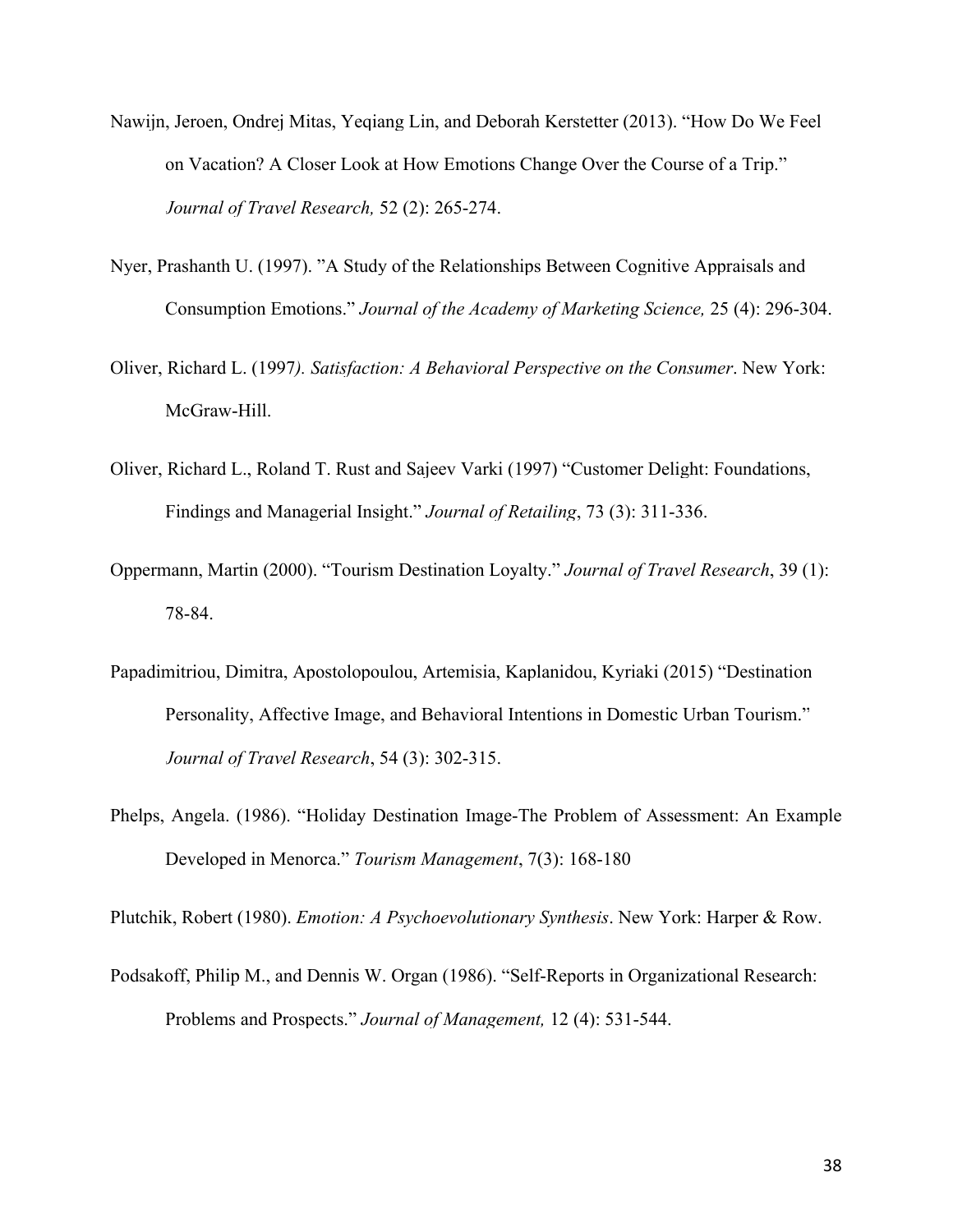- [Nawijn, Jeroen, Ondrej Mitas, Yeqiang Lin, and Deborah Kerstetter \(2013\). "How Do We Feel](https://www.researchgate.net/publication/255708351_How_Do_We_Feel_on_Vacation_A_Closer_Look_at_How_Emotions_Change_over_the_Course_of_a_Trip?el=1_x_8&enrichId=rgreq-7bbebf15-bd67-4ef8-9c79-6d076f69b6b5&enrichSource=Y292ZXJQYWdlOzI4ODA1NjM5OTtBUzozMTU1NTAzNTIyNDg4MzRAMTQ1MjI0NDQ3NDY5Ng==) [on Vacation? A Closer Look at How Emotions Change Over the Course of a Trip."](https://www.researchgate.net/publication/255708351_How_Do_We_Feel_on_Vacation_A_Closer_Look_at_How_Emotions_Change_over_the_Course_of_a_Trip?el=1_x_8&enrichId=rgreq-7bbebf15-bd67-4ef8-9c79-6d076f69b6b5&enrichSource=Y292ZXJQYWdlOzI4ODA1NjM5OTtBUzozMTU1NTAzNTIyNDg4MzRAMTQ1MjI0NDQ3NDY5Ng==)  *[Journal of Travel Research,](https://www.researchgate.net/publication/255708351_How_Do_We_Feel_on_Vacation_A_Closer_Look_at_How_Emotions_Change_over_the_Course_of_a_Trip?el=1_x_8&enrichId=rgreq-7bbebf15-bd67-4ef8-9c79-6d076f69b6b5&enrichSource=Y292ZXJQYWdlOzI4ODA1NjM5OTtBUzozMTU1NTAzNTIyNDg4MzRAMTQ1MjI0NDQ3NDY5Ng==)* 52 (2): 265-274.
- [Nyer, Prashanth U. \(1997\). "A Study of the Relationships Between Cognitive Appraisals and](https://www.researchgate.net/publication/226305740_A_Study_of_the_Relationships_between_Cognitive_Appraisals_and_Consumption_Emotions?el=1_x_8&enrichId=rgreq-7bbebf15-bd67-4ef8-9c79-6d076f69b6b5&enrichSource=Y292ZXJQYWdlOzI4ODA1NjM5OTtBUzozMTU1NTAzNTIyNDg4MzRAMTQ1MjI0NDQ3NDY5Ng==)  Consumption Emotions." *[Journal of the Academy of Marketing Science,](https://www.researchgate.net/publication/226305740_A_Study_of_the_Relationships_between_Cognitive_Appraisals_and_Consumption_Emotions?el=1_x_8&enrichId=rgreq-7bbebf15-bd67-4ef8-9c79-6d076f69b6b5&enrichSource=Y292ZXJQYWdlOzI4ODA1NjM5OTtBUzozMTU1NTAzNTIyNDg4MzRAMTQ1MjI0NDQ3NDY5Ng==)* 25 (4): 296-304.
- Oliver, Richard L. (1997*[\). Satisfaction: A Behavioral Perspective on the Consumer](https://www.researchgate.net/publication/243771691_Satisfaction_A_Behavioral_Perspective_on_The_Consumer?el=1_x_8&enrichId=rgreq-7bbebf15-bd67-4ef8-9c79-6d076f69b6b5&enrichSource=Y292ZXJQYWdlOzI4ODA1NjM5OTtBUzozMTU1NTAzNTIyNDg4MzRAMTQ1MjI0NDQ3NDY5Ng==)*. New York: [McGraw-Hill.](https://www.researchgate.net/publication/243771691_Satisfaction_A_Behavioral_Perspective_on_The_Consumer?el=1_x_8&enrichId=rgreq-7bbebf15-bd67-4ef8-9c79-6d076f69b6b5&enrichSource=Y292ZXJQYWdlOzI4ODA1NjM5OTtBUzozMTU1NTAzNTIyNDg4MzRAMTQ1MjI0NDQ3NDY5Ng==)
- [Oliver, Richard L., Roland T. Rust and Sajeev Varki \(1997\) "Customer Delight: Foundations,](https://www.researchgate.net/publication/null?el=1_x_8&enrichId=rgreq-7bbebf15-bd67-4ef8-9c79-6d076f69b6b5&enrichSource=Y292ZXJQYWdlOzI4ODA1NjM5OTtBUzozMTU1NTAzNTIyNDg4MzRAMTQ1MjI0NDQ3NDY5Ng==) [Findings and Managerial Insight."](https://www.researchgate.net/publication/null?el=1_x_8&enrichId=rgreq-7bbebf15-bd67-4ef8-9c79-6d076f69b6b5&enrichSource=Y292ZXJQYWdlOzI4ODA1NjM5OTtBUzozMTU1NTAzNTIyNDg4MzRAMTQ1MjI0NDQ3NDY5Ng==) *Journal of Retailing*, 73 (3): 311-336.
- [Oppermann, Martin \(2000\). "Tourism Destination Loyalty."](https://www.researchgate.net/publication/249700967_Tourism_Destination_Loyalty?el=1_x_8&enrichId=rgreq-7bbebf15-bd67-4ef8-9c79-6d076f69b6b5&enrichSource=Y292ZXJQYWdlOzI4ODA1NjM5OTtBUzozMTU1NTAzNTIyNDg4MzRAMTQ1MjI0NDQ3NDY5Ng==) *Journal of Travel Research*, 39 (1): [78-84.](https://www.researchgate.net/publication/249700967_Tourism_Destination_Loyalty?el=1_x_8&enrichId=rgreq-7bbebf15-bd67-4ef8-9c79-6d076f69b6b5&enrichSource=Y292ZXJQYWdlOzI4ODA1NjM5OTtBUzozMTU1NTAzNTIyNDg4MzRAMTQ1MjI0NDQ3NDY5Ng==)
- [Papadimitriou, Dimitra, Apostolopoulou, Artemisia, Kaplanidou, Kyriaki \(2015\) "Destination](https://www.researchgate.net/publication/270710809_Destination_Personality_Affective_Image_and_Behavioral_Intentions_in_Domestic_Urban_Tourism?el=1_x_8&enrichId=rgreq-7bbebf15-bd67-4ef8-9c79-6d076f69b6b5&enrichSource=Y292ZXJQYWdlOzI4ODA1NjM5OTtBUzozMTU1NTAzNTIyNDg4MzRAMTQ1MjI0NDQ3NDY5Ng==) [Personality, Affective Image, and Behavioral Intentions in Domestic Urban Tourism."](https://www.researchgate.net/publication/270710809_Destination_Personality_Affective_Image_and_Behavioral_Intentions_in_Domestic_Urban_Tourism?el=1_x_8&enrichId=rgreq-7bbebf15-bd67-4ef8-9c79-6d076f69b6b5&enrichSource=Y292ZXJQYWdlOzI4ODA1NjM5OTtBUzozMTU1NTAzNTIyNDg4MzRAMTQ1MjI0NDQ3NDY5Ng==)  *[Journal of Travel Research](https://www.researchgate.net/publication/270710809_Destination_Personality_Affective_Image_and_Behavioral_Intentions_in_Domestic_Urban_Tourism?el=1_x_8&enrichId=rgreq-7bbebf15-bd67-4ef8-9c79-6d076f69b6b5&enrichSource=Y292ZXJQYWdlOzI4ODA1NjM5OTtBUzozMTU1NTAzNTIyNDg4MzRAMTQ1MjI0NDQ3NDY5Ng==)*, 54 (3): 302-315.
- Phelps, Angela. (1986). "Holiday Destination Image-The Problem of Assessment: An Example Developed in Menorca." *Tourism Management*, 7(3): 168-180

Plutchik, Robert (1980). *Emotion: A Psychoevolutionary Synthesis*. New York: Harper & Row.

[Podsakoff, Philip M., and Dennis W. Organ \(1986\). "Self-Reports in Organizational Research:](https://www.researchgate.net/publication/284041695_Self-Report_in_Organisational_Research_Problems_and_Prospects?el=1_x_8&enrichId=rgreq-7bbebf15-bd67-4ef8-9c79-6d076f69b6b5&enrichSource=Y292ZXJQYWdlOzI4ODA1NjM5OTtBUzozMTU1NTAzNTIyNDg4MzRAMTQ1MjI0NDQ3NDY5Ng==) [Problems and Prospects."](https://www.researchgate.net/publication/284041695_Self-Report_in_Organisational_Research_Problems_and_Prospects?el=1_x_8&enrichId=rgreq-7bbebf15-bd67-4ef8-9c79-6d076f69b6b5&enrichSource=Y292ZXJQYWdlOzI4ODA1NjM5OTtBUzozMTU1NTAzNTIyNDg4MzRAMTQ1MjI0NDQ3NDY5Ng==) *Journal of Management,* 12 (4): 531-544.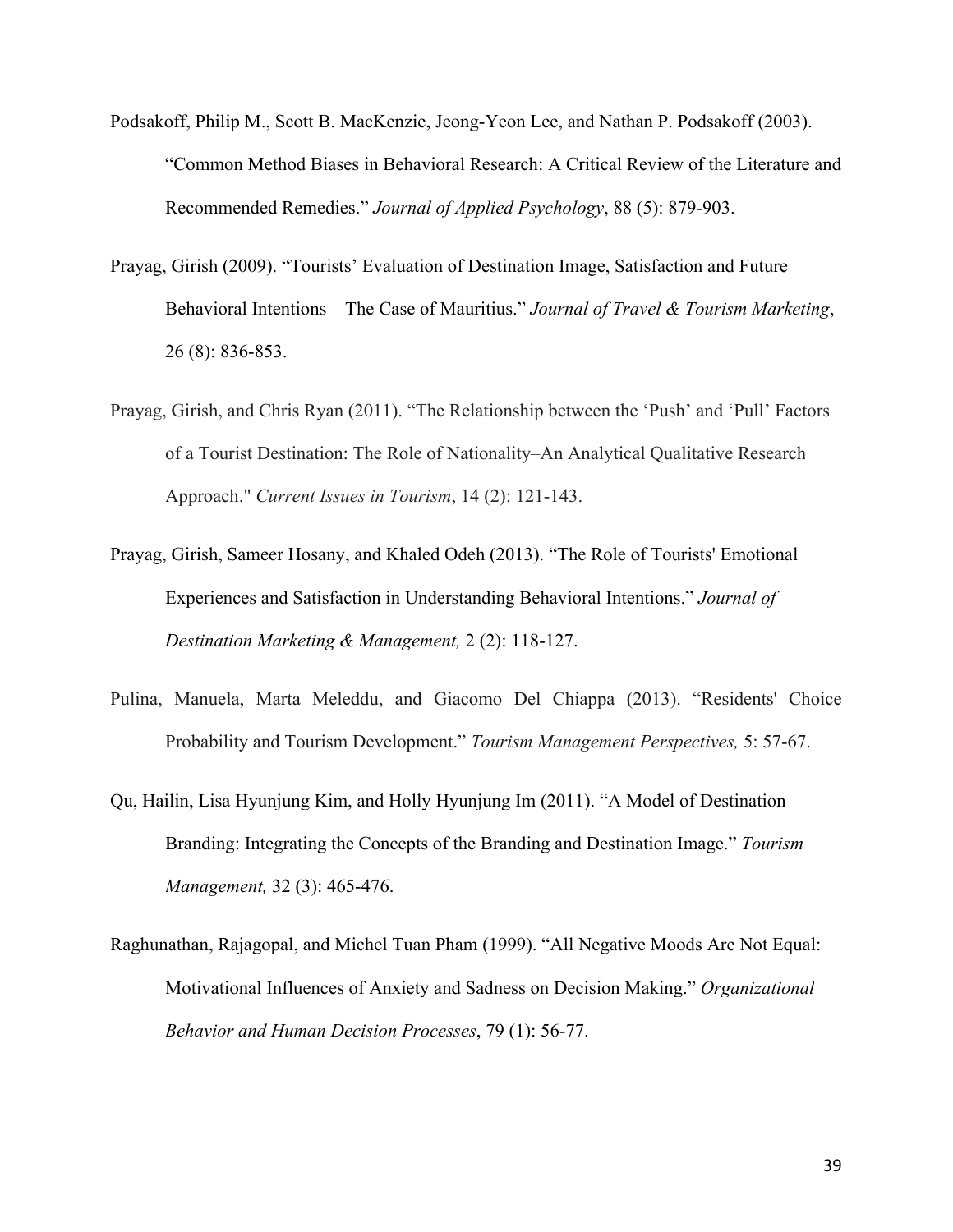- Podsakoff, Philip M., Scott B. MacKenzie, Jeong-Yeon Lee, and Nathan P. Podsakoff (2003). "Common Method Biases in Behavioral Research: A Critical Review of the Literature and Recommended Remedies." *Journal of Applied Psychology*, 88 (5): 879-903.
- Prayag, Girish (2009). "Tourists' Evaluation of Destination Image, Satisfaction and Future Behavioral Intentions—The Case of Mauritius." *Journal of Travel & Tourism Marketing*, 26 (8): 836-853.
- Prayag, Girish, and Chris Ryan [\(2011\). "The Relationship between the 'Push'](https://www.researchgate.net/publication/null?el=1_x_8&enrichId=rgreq-7bbebf15-bd67-4ef8-9c79-6d076f69b6b5&enrichSource=Y292ZXJQYWdlOzI4ODA1NjM5OTtBUzozMTU1NTAzNTIyNDg4MzRAMTQ1MjI0NDQ3NDY5Ng==) and 'Pull' Factors of a [Tourist Destination: The Role of Nationality–An Analytical Qualitative Research](https://www.researchgate.net/publication/null?el=1_x_8&enrichId=rgreq-7bbebf15-bd67-4ef8-9c79-6d076f69b6b5&enrichSource=Y292ZXJQYWdlOzI4ODA1NjM5OTtBUzozMTU1NTAzNTIyNDg4MzRAMTQ1MjI0NDQ3NDY5Ng==) Approach." *[Current Issues in Tourism](https://www.researchgate.net/publication/null?el=1_x_8&enrichId=rgreq-7bbebf15-bd67-4ef8-9c79-6d076f69b6b5&enrichSource=Y292ZXJQYWdlOzI4ODA1NjM5OTtBUzozMTU1NTAzNTIyNDg4MzRAMTQ1MjI0NDQ3NDY5Ng==)*, 14 (2): 121-143.
- Prayag, Girish, Sameer Hosany, and Khaled Odeh (2013). "The Role of Tourists' Emotional Experiences and Satisfaction in Understanding Behavioral Intentions." *Journal of Destination Marketing & Management,* 2 (2): 118-127.
- [Pulina, Manuela, Marta Meleddu, and Giacomo Del Chiappa \(2013\). "Residents' Choice](https://www.researchgate.net/publication/257743456_Residents)  [Probability and Tourism Development."](https://www.researchgate.net/publication/257743456_Residents) *Tourism Management Perspectives,* 5: 57-67.
- [Qu, Hailin, Lisa Hyunjung Kim, and Holly Hyunjung Im \(2011\). "A](https://www.researchgate.net/publication/null?el=1_x_8&enrichId=rgreq-7bbebf15-bd67-4ef8-9c79-6d076f69b6b5&enrichSource=Y292ZXJQYWdlOzI4ODA1NjM5OTtBUzozMTU1NTAzNTIyNDg4MzRAMTQ1MjI0NDQ3NDY5Ng==) Model of Destination [Branding: Integrating the Concepts of the Branding and Destination Image."](https://www.researchgate.net/publication/null?el=1_x_8&enrichId=rgreq-7bbebf15-bd67-4ef8-9c79-6d076f69b6b5&enrichSource=Y292ZXJQYWdlOzI4ODA1NjM5OTtBUzozMTU1NTAzNTIyNDg4MzRAMTQ1MjI0NDQ3NDY5Ng==) *Tourism Management,* [32 \(3\): 465-476.](https://www.researchgate.net/publication/null?el=1_x_8&enrichId=rgreq-7bbebf15-bd67-4ef8-9c79-6d076f69b6b5&enrichSource=Y292ZXJQYWdlOzI4ODA1NjM5OTtBUzozMTU1NTAzNTIyNDg4MzRAMTQ1MjI0NDQ3NDY5Ng==)
- [Raghunathan, Rajagopal, and Michel Tuan Pham \(1999\). "All Negative Moods Are Not Equal:](https://www.researchgate.net/publication/null?el=1_x_8&enrichId=rgreq-7bbebf15-bd67-4ef8-9c79-6d076f69b6b5&enrichSource=Y292ZXJQYWdlOzI4ODA1NjM5OTtBUzozMTU1NTAzNTIyNDg4MzRAMTQ1MjI0NDQ3NDY5Ng==)  Motivational Influences of Anxiety [and Sadness on Decision Making."](https://www.researchgate.net/publication/null?el=1_x_8&enrichId=rgreq-7bbebf15-bd67-4ef8-9c79-6d076f69b6b5&enrichSource=Y292ZXJQYWdlOzI4ODA1NjM5OTtBUzozMTU1NTAzNTIyNDg4MzRAMTQ1MjI0NDQ3NDY5Ng==) *Organizational [Behavior and Human Decision Processes](https://www.researchgate.net/publication/null?el=1_x_8&enrichId=rgreq-7bbebf15-bd67-4ef8-9c79-6d076f69b6b5&enrichSource=Y292ZXJQYWdlOzI4ODA1NjM5OTtBUzozMTU1NTAzNTIyNDg4MzRAMTQ1MjI0NDQ3NDY5Ng==)*, 79 (1): 56-77.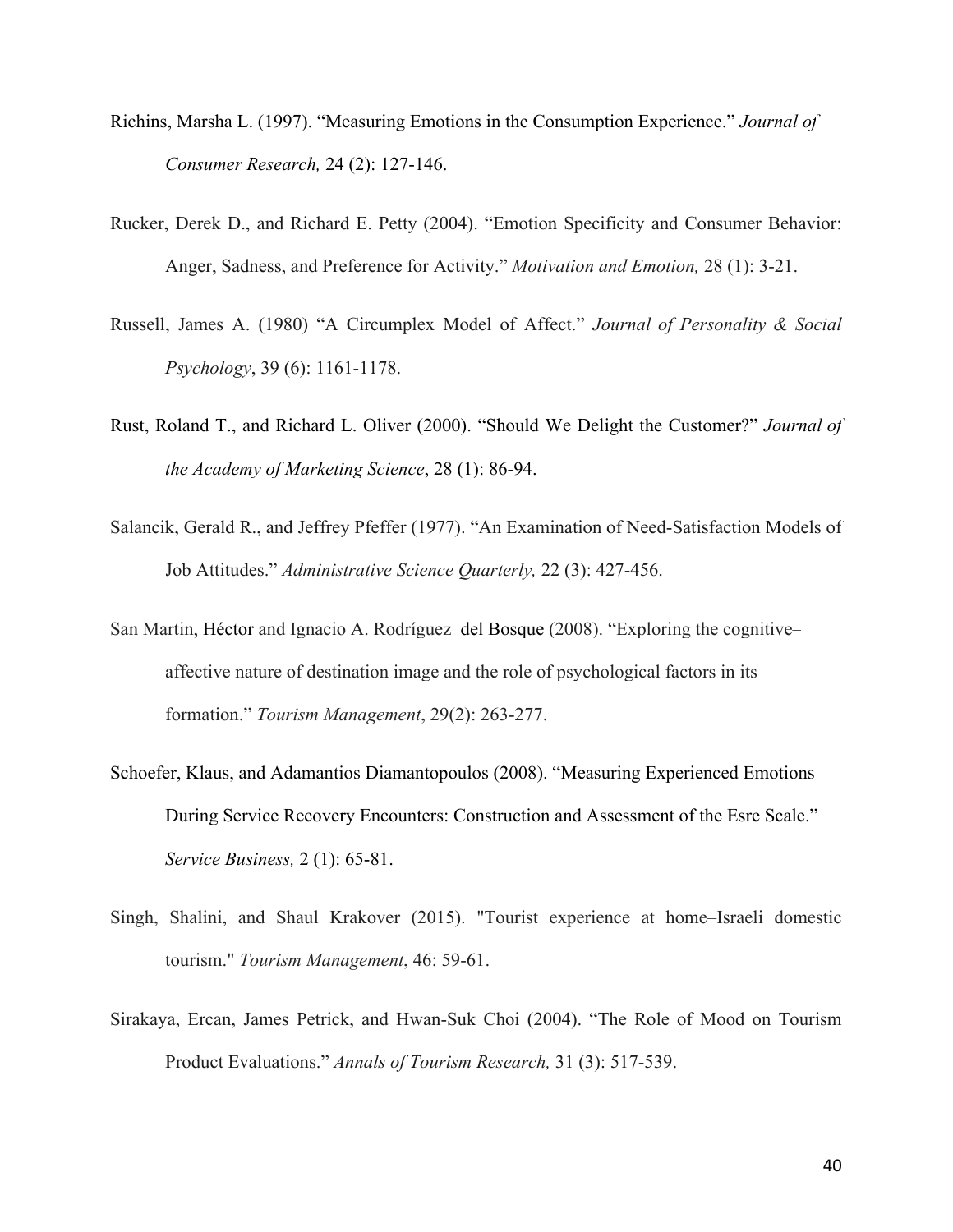- [Richins, Marsha L. \(1997\). "Measuring Emotions in the Consumption Experience."](https://www.researchgate.net/publication/null?el=1_x_8&enrichId=rgreq-7bbebf15-bd67-4ef8-9c79-6d076f69b6b5&enrichSource=Y292ZXJQYWdlOzI4ODA1NjM5OTtBUzozMTU1NTAzNTIyNDg4MzRAMTQ1MjI0NDQ3NDY5Ng==) *Journal of [Consumer Research,](https://www.researchgate.net/publication/null?el=1_x_8&enrichId=rgreq-7bbebf15-bd67-4ef8-9c79-6d076f69b6b5&enrichSource=Y292ZXJQYWdlOzI4ODA1NjM5OTtBUzozMTU1NTAzNTIyNDg4MzRAMTQ1MjI0NDQ3NDY5Ng==)* 24 (2): 127-146.
- Rucker, Derek D., and Richard E. Petty (2004). "Emotion Specificity and Consumer Behavior: Anger, Sadness, and Preference for Activity." *Motivation and Emotion,* 28 (1): 3-21.
- Russell, James A. (1980) "A Circumplex Model of Affect." *Journal of Personality & Social Psychology*, 39 (6): 1161-1178.
- [Rust, Roland T., and Richard L. Oliver \(2000\). "Should We Delight the Customer?"](https://www.researchgate.net/publication/235360992_Should_We_Delight_the_Customer?el=1_x_8&enrichId=rgreq-7bbebf15-bd67-4ef8-9c79-6d076f69b6b5&enrichSource=Y292ZXJQYWdlOzI4ODA1NjM5OTtBUzozMTU1NTAzNTIyNDg4MzRAMTQ1MjI0NDQ3NDY5Ng==) *Journal of [the Academy of Marketing Science](https://www.researchgate.net/publication/235360992_Should_We_Delight_the_Customer?el=1_x_8&enrichId=rgreq-7bbebf15-bd67-4ef8-9c79-6d076f69b6b5&enrichSource=Y292ZXJQYWdlOzI4ODA1NjM5OTtBUzozMTU1NTAzNTIyNDg4MzRAMTQ1MjI0NDQ3NDY5Ng==)*, 28 (1): 86-94.
- [Salancik, Gerald R., and Jeffrey Pfeffer \(1977\). "An Examination of Need-Satisfaction Models of](https://www.researchgate.net/publication/271760792_An_Examination_of_Need-Satisfaction_Models_of_Job_Attitudes?el=1_x_8&enrichId=rgreq-7bbebf15-bd67-4ef8-9c79-6d076f69b6b5&enrichSource=Y292ZXJQYWdlOzI4ODA1NjM5OTtBUzozMTU1NTAzNTIyNDg4MzRAMTQ1MjI0NDQ3NDY5Ng==)  Job Attitudes." *[Administrative Science Quarterly,](https://www.researchgate.net/publication/271760792_An_Examination_of_Need-Satisfaction_Models_of_Job_Attitudes?el=1_x_8&enrichId=rgreq-7bbebf15-bd67-4ef8-9c79-6d076f69b6b5&enrichSource=Y292ZXJQYWdlOzI4ODA1NjM5OTtBUzozMTU1NTAzNTIyNDg4MzRAMTQ1MjI0NDQ3NDY5Ng==)* 22 (3): 427-456.
- San Martin, Héctor [and Ignacio A. Rodríguez del Bosque \(2008\). "Exploring the cognitive–](https://www.researchgate.net/publication/null?el=1_x_8&enrichId=rgreq-7bbebf15-bd67-4ef8-9c79-6d076f69b6b5&enrichSource=Y292ZXJQYWdlOzI4ODA1NjM5OTtBUzozMTU1NTAzNTIyNDg4MzRAMTQ1MjI0NDQ3NDY5Ng==) [affective nature of destination image and the role of psychological factors in its](https://www.researchgate.net/publication/null?el=1_x_8&enrichId=rgreq-7bbebf15-bd67-4ef8-9c79-6d076f69b6b5&enrichSource=Y292ZXJQYWdlOzI4ODA1NjM5OTtBUzozMTU1NTAzNTIyNDg4MzRAMTQ1MjI0NDQ3NDY5Ng==)  formation." *[Tourism Management](https://www.researchgate.net/publication/null?el=1_x_8&enrichId=rgreq-7bbebf15-bd67-4ef8-9c79-6d076f69b6b5&enrichSource=Y292ZXJQYWdlOzI4ODA1NjM5OTtBUzozMTU1NTAzNTIyNDg4MzRAMTQ1MjI0NDQ3NDY5Ng==)*, 29(2): 263-277.
- Schoefer, Klaus, and Adamantios Diamantopoulos (2008). "Measuring Experienced Emotions During Service Recovery Encounters: Construction and Assessment of the Esre Scale." *Service Business,* 2 (1): 65-81.
- [Singh, Shalini, and Shaul Krakover \(2015\). "Tourist experience at home–Israeli domestic](https://www.researchgate.net/publication/265128658_Tourist_experience_at_home_-_Israeli_domestic_tourism?el=1_x_8&enrichId=rgreq-7bbebf15-bd67-4ef8-9c79-6d076f69b6b5&enrichSource=Y292ZXJQYWdlOzI4ODA1NjM5OTtBUzozMTU1NTAzNTIyNDg4MzRAMTQ1MjI0NDQ3NDY5Ng==)  tourism." *[Tourism Management](https://www.researchgate.net/publication/265128658_Tourist_experience_at_home_-_Israeli_domestic_tourism?el=1_x_8&enrichId=rgreq-7bbebf15-bd67-4ef8-9c79-6d076f69b6b5&enrichSource=Y292ZXJQYWdlOzI4ODA1NjM5OTtBUzozMTU1NTAzNTIyNDg4MzRAMTQ1MjI0NDQ3NDY5Ng==)*, 46: 59-61.
- Sirakaya, Ercan, James Petrick, and Hwan-Suk Choi (2004). "The Role of Mood on Tourism Product Evaluations." *Annals of Tourism Research,* 31 (3): 517-539.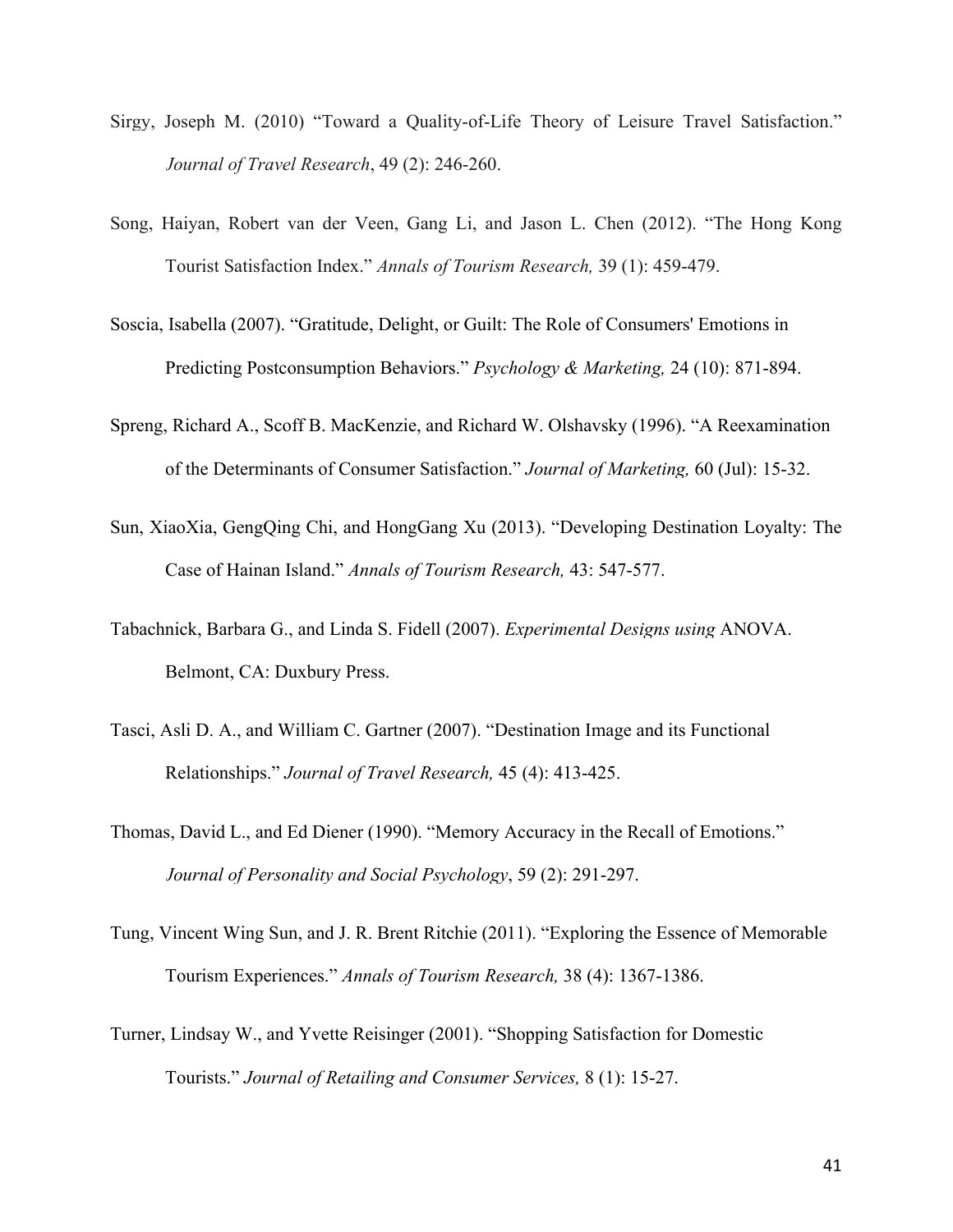- [Sirgy, Joseph M. \(2010\) "Toward a Quality-of-Life Theory of Leisure Travel Satisfaction."](https://www.researchgate.net/publication/240703645_Toward_a_Quality-of-Life_Theory_of_Leisure_Travel_Satisfaction?el=1_x_8&enrichId=rgreq-7bbebf15-bd67-4ef8-9c79-6d076f69b6b5&enrichSource=Y292ZXJQYWdlOzI4ODA1NjM5OTtBUzozMTU1NTAzNTIyNDg4MzRAMTQ1MjI0NDQ3NDY5Ng==)  *[Journal of Travel Research](https://www.researchgate.net/publication/240703645_Toward_a_Quality-of-Life_Theory_of_Leisure_Travel_Satisfaction?el=1_x_8&enrichId=rgreq-7bbebf15-bd67-4ef8-9c79-6d076f69b6b5&enrichSource=Y292ZXJQYWdlOzI4ODA1NjM5OTtBUzozMTU1NTAzNTIyNDg4MzRAMTQ1MjI0NDQ3NDY5Ng==)*, 49 (2): 246-260.
- Song, Haiyan, Robert van der Veen, Gang Li, and Jason L. Chen (2012). "The Hong Kong Tourist Satisfaction Index." *Annals of Tourism Research,* 39 (1): 459-479.
- Soscia, Isabella (2007). "Gratitude, Delight, or Guilt: The Role of Consumers' Emotions in Predicting Postconsumption Behaviors." *Psychology & Marketing,* 24 (10): 871-894.
- [Spreng, Richard A., Scoff B. MacKenzie, and Richard W. Olshavsky \(1996\). "A Reexamination](https://www.researchgate.net/publication/235361541_A_Reexamination_of_the_Determinants_of_Consumer_Satisfaction?el=1_x_8&enrichId=rgreq-7bbebf15-bd67-4ef8-9c79-6d076f69b6b5&enrichSource=Y292ZXJQYWdlOzI4ODA1NjM5OTtBUzozMTU1NTAzNTIyNDg4MzRAMTQ1MjI0NDQ3NDY5Ng==)  [of the Determinants of Consumer Satisfaction."](https://www.researchgate.net/publication/235361541_A_Reexamination_of_the_Determinants_of_Consumer_Satisfaction?el=1_x_8&enrichId=rgreq-7bbebf15-bd67-4ef8-9c79-6d076f69b6b5&enrichSource=Y292ZXJQYWdlOzI4ODA1NjM5OTtBUzozMTU1NTAzNTIyNDg4MzRAMTQ1MjI0NDQ3NDY5Ng==) *Journal of Marketing,* 60 (Jul): 15-32.
- [Sun, XiaoXia, GengQing Chi, and HongGang Xu \(2013\). "Developing Destination Loyalty: The](https://www.researchgate.net/publication/259098403_Developing_destination_loyalty_The_case_of_hainan_island?el=1_x_8&enrichId=rgreq-7bbebf15-bd67-4ef8-9c79-6d076f69b6b5&enrichSource=Y292ZXJQYWdlOzI4ODA1NjM5OTtBUzozMTU1NTAzNTIyNDg4MzRAMTQ1MjI0NDQ3NDY5Ng==)  Case of Hainan Island." *[Annals of Tourism Research,](https://www.researchgate.net/publication/259098403_Developing_destination_loyalty_The_case_of_hainan_island?el=1_x_8&enrichId=rgreq-7bbebf15-bd67-4ef8-9c79-6d076f69b6b5&enrichSource=Y292ZXJQYWdlOzI4ODA1NjM5OTtBUzozMTU1NTAzNTIyNDg4MzRAMTQ1MjI0NDQ3NDY5Ng==)* 43: 547-577.
- [Tabachnick, Barbara G., and Linda S. Fidell \(2007\).](https://www.researchgate.net/publication/259465542_Experimental_Designs_Using_ANOVA?el=1_x_8&enrichId=rgreq-7bbebf15-bd67-4ef8-9c79-6d076f69b6b5&enrichSource=Y292ZXJQYWdlOzI4ODA1NjM5OTtBUzozMTU1NTAzNTIyNDg4MzRAMTQ1MjI0NDQ3NDY5Ng==) *Experimental Designs using* ANOVA. [Belmont, CA: Duxbury Press.](https://www.researchgate.net/publication/259465542_Experimental_Designs_Using_ANOVA?el=1_x_8&enrichId=rgreq-7bbebf15-bd67-4ef8-9c79-6d076f69b6b5&enrichSource=Y292ZXJQYWdlOzI4ODA1NjM5OTtBUzozMTU1NTAzNTIyNDg4MzRAMTQ1MjI0NDQ3NDY5Ng==)
- Tasci, Asli D. A., and William C. Gartner (2007). "Destination Image and its Functional Relationships." *Journal of Travel Research,* 45 (4): 413-425.
- [Thomas, David L., and Ed Diener \(1990\). "Memory Accuracy in the Recall of Emotions."](https://www.researchgate.net/publication/232437414_Memory_Accuracy_in_the_Recall_of_Emotions?el=1_x_8&enrichId=rgreq-7bbebf15-bd67-4ef8-9c79-6d076f69b6b5&enrichSource=Y292ZXJQYWdlOzI4ODA1NjM5OTtBUzozMTU1NTAzNTIyNDg4MzRAMTQ1MjI0NDQ3NDY5Ng==) *[Journal of Personality and Social Psychology](https://www.researchgate.net/publication/232437414_Memory_Accuracy_in_the_Recall_of_Emotions?el=1_x_8&enrichId=rgreq-7bbebf15-bd67-4ef8-9c79-6d076f69b6b5&enrichSource=Y292ZXJQYWdlOzI4ODA1NjM5OTtBUzozMTU1NTAzNTIyNDg4MzRAMTQ1MjI0NDQ3NDY5Ng==)*, 59 (2): 291-297.
- Tung, Vincent Wing Sun, and J. R. Brent Ritchie (2011). "Exploring the Essence of Memorable Tourism Experiences." *Annals of Tourism Research,* 38 (4): 1367-1386.
- Turner, Lindsay W., and Yvette Reisinger (2001). "Shopping Satisfaction for Domestic Tourists." *Journal of Retailing and Consumer Services,* 8 (1): 15-27.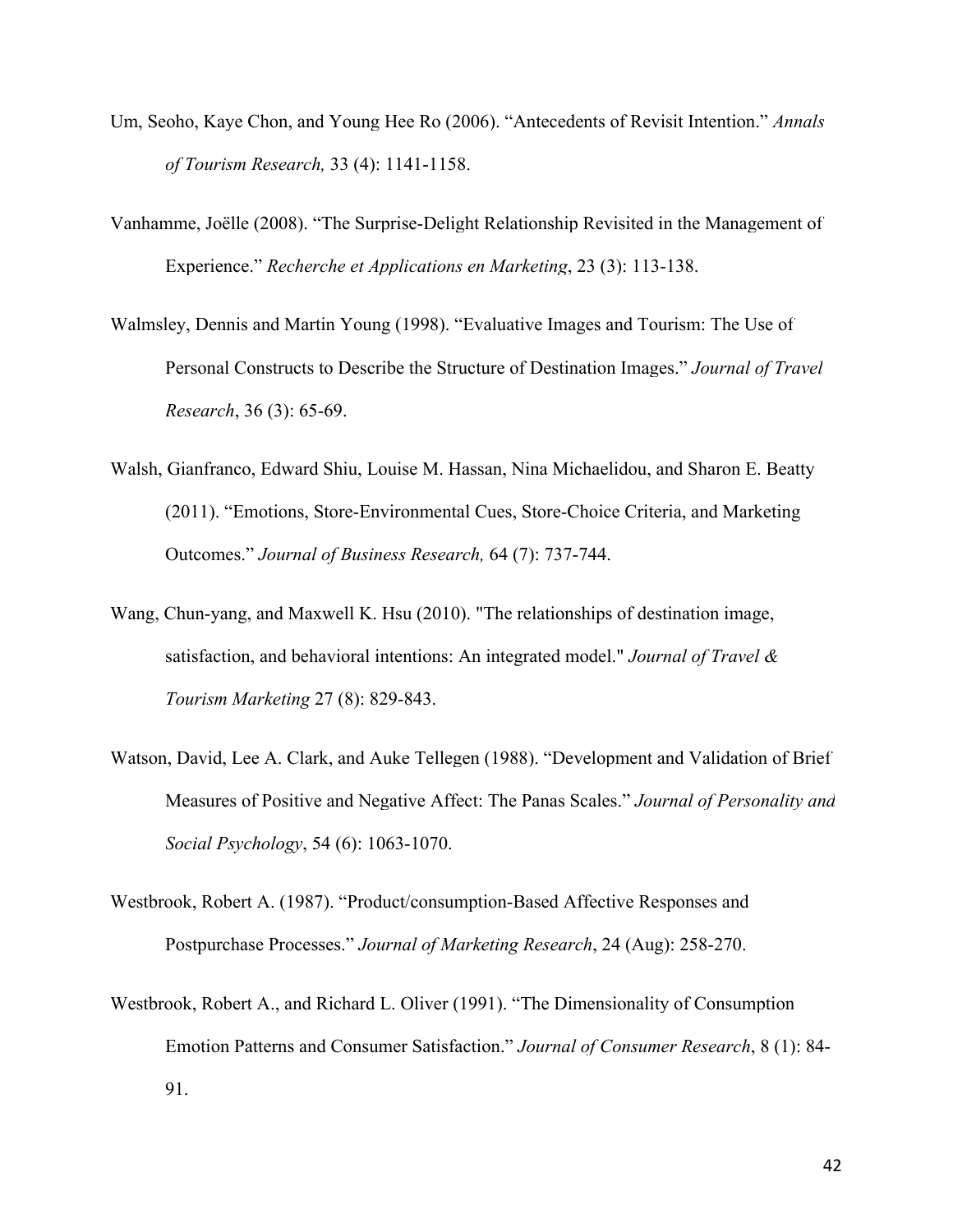- [Um, Seoho, Kaye Chon, and Young Hee Ro \(2006\). "Antecedents of Revisit Intention."](https://www.researchgate.net/publication/238378170_Antecedents_of_Revisit_Intention?el=1_x_8&enrichId=rgreq-7bbebf15-bd67-4ef8-9c79-6d076f69b6b5&enrichSource=Y292ZXJQYWdlOzI4ODA1NjM5OTtBUzozMTU1NTAzNTIyNDg4MzRAMTQ1MjI0NDQ3NDY5Ng==) *Annals [of Tourism Research,](https://www.researchgate.net/publication/238378170_Antecedents_of_Revisit_Intention?el=1_x_8&enrichId=rgreq-7bbebf15-bd67-4ef8-9c79-6d076f69b6b5&enrichSource=Y292ZXJQYWdlOzI4ODA1NjM5OTtBUzozMTU1NTAzNTIyNDg4MzRAMTQ1MjI0NDQ3NDY5Ng==)* 33 (4): 1141-1158.
- Vanhamme, Joëlle [\(2008\). "The Surprise-Delight Relationship Revisited in the Management of](https://www.researchgate.net/publication/273735175_The_Surprise-Delight_Relationship_Revisited_in_the_Management_of_Experience?el=1_x_8&enrichId=rgreq-7bbebf15-bd67-4ef8-9c79-6d076f69b6b5&enrichSource=Y292ZXJQYWdlOzI4ODA1NjM5OTtBUzozMTU1NTAzNTIyNDg4MzRAMTQ1MjI0NDQ3NDY5Ng==)  Experience." *[Recherche et Applications en Marketing](https://www.researchgate.net/publication/273735175_The_Surprise-Delight_Relationship_Revisited_in_the_Management_of_Experience?el=1_x_8&enrichId=rgreq-7bbebf15-bd67-4ef8-9c79-6d076f69b6b5&enrichSource=Y292ZXJQYWdlOzI4ODA1NjM5OTtBUzozMTU1NTAzNTIyNDg4MzRAMTQ1MjI0NDQ3NDY5Ng==)*, 23 (3): 113-138.
- Walmsley, Dennis and Martin Young [\(1998\). "Evaluative Images and Tourism: The Use of](https://www.researchgate.net/publication/249700931_Evaluative_Images_and_Tourism_The_Use_of_Personal_Constructs_to_Describe_the_Structure_of_Destination_Images?el=1_x_8&enrichId=rgreq-7bbebf15-bd67-4ef8-9c79-6d076f69b6b5&enrichSource=Y292ZXJQYWdlOzI4ODA1NjM5OTtBUzozMTU1NTAzNTIyNDg4MzRAMTQ1MjI0NDQ3NDY5Ng==) [Personal Constructs to Describe the Structure of Destination Images."](https://www.researchgate.net/publication/249700931_Evaluative_Images_and_Tourism_The_Use_of_Personal_Constructs_to_Describe_the_Structure_of_Destination_Images?el=1_x_8&enrichId=rgreq-7bbebf15-bd67-4ef8-9c79-6d076f69b6b5&enrichSource=Y292ZXJQYWdlOzI4ODA1NjM5OTtBUzozMTU1NTAzNTIyNDg4MzRAMTQ1MjI0NDQ3NDY5Ng==) *Journal of Travel Research*[, 36 \(3\): 65-69.](https://www.researchgate.net/publication/249700931_Evaluative_Images_and_Tourism_The_Use_of_Personal_Constructs_to_Describe_the_Structure_of_Destination_Images?el=1_x_8&enrichId=rgreq-7bbebf15-bd67-4ef8-9c79-6d076f69b6b5&enrichSource=Y292ZXJQYWdlOzI4ODA1NjM5OTtBUzozMTU1NTAzNTIyNDg4MzRAMTQ1MjI0NDQ3NDY5Ng==)
- Walsh, Gianfranco, Edward Shiu, Louise M. Hassan, Nina Michaelidou, and Sharon E. Beatty (2011). "Emotions, Store-Environmental Cues, Store-Choice Criteria, and Marketing Outcomes." *Journal of Business Research,* 64 (7): 737-744.
- Wang, Chun-yang, and Maxwell K. Hsu (2010). "The relationships of destination image, satisfaction, and behavioral intentions: An integrated model." *Journal of Travel & Tourism Marketing* 27 (8): 829-843.
- [Watson, David, Lee A. Clark, and Auke Tellegen \(1988\). "Development and Validation of Brief](https://www.researchgate.net/publication/235726247_Development_and_Validation_of_Brief_Measures_of_Positive_and_Negative_Affect_The_PANAS_Scales?el=1_x_8&enrichId=rgreq-7bbebf15-bd67-4ef8-9c79-6d076f69b6b5&enrichSource=Y292ZXJQYWdlOzI4ODA1NjM5OTtBUzozMTU1NTAzNTIyNDg4MzRAMTQ1MjI0NDQ3NDY5Ng==)  [Measures of Positive and Negative Affect: The Panas Scales."](https://www.researchgate.net/publication/235726247_Development_and_Validation_of_Brief_Measures_of_Positive_and_Negative_Affect_The_PANAS_Scales?el=1_x_8&enrichId=rgreq-7bbebf15-bd67-4ef8-9c79-6d076f69b6b5&enrichSource=Y292ZXJQYWdlOzI4ODA1NjM5OTtBUzozMTU1NTAzNTIyNDg4MzRAMTQ1MjI0NDQ3NDY5Ng==) *Journal of Personality and Social Psychology*[, 54 \(6\): 1063-1070.](https://www.researchgate.net/publication/235726247_Development_and_Validation_of_Brief_Measures_of_Positive_and_Negative_Affect_The_PANAS_Scales?el=1_x_8&enrichId=rgreq-7bbebf15-bd67-4ef8-9c79-6d076f69b6b5&enrichSource=Y292ZXJQYWdlOzI4ODA1NjM5OTtBUzozMTU1NTAzNTIyNDg4MzRAMTQ1MjI0NDQ3NDY5Ng==)
- Westbrook, Robert A. (1987). "Product/consumption-Based Affective Responses and Postpurchase Processes." *Journal of Marketing Research*, 24 (Aug): 258-270.
- [Westbrook, Robert A., and Richard L. Oliver \(1991\). "The Dimensionality of Consumption](https://www.researchgate.net/publication/null?el=1_x_8&enrichId=rgreq-7bbebf15-bd67-4ef8-9c79-6d076f69b6b5&enrichSource=Y292ZXJQYWdlOzI4ODA1NjM5OTtBUzozMTU1NTAzNTIyNDg4MzRAMTQ1MjI0NDQ3NDY5Ng==)  [Emotion Patterns and Consumer Satisfaction."](https://www.researchgate.net/publication/null?el=1_x_8&enrichId=rgreq-7bbebf15-bd67-4ef8-9c79-6d076f69b6b5&enrichSource=Y292ZXJQYWdlOzI4ODA1NjM5OTtBUzozMTU1NTAzNTIyNDg4MzRAMTQ1MjI0NDQ3NDY5Ng==) *Journal of Consumer Research*, 8 (1): 84- [91.](https://www.researchgate.net/publication/null?el=1_x_8&enrichId=rgreq-7bbebf15-bd67-4ef8-9c79-6d076f69b6b5&enrichSource=Y292ZXJQYWdlOzI4ODA1NjM5OTtBUzozMTU1NTAzNTIyNDg4MzRAMTQ1MjI0NDQ3NDY5Ng==)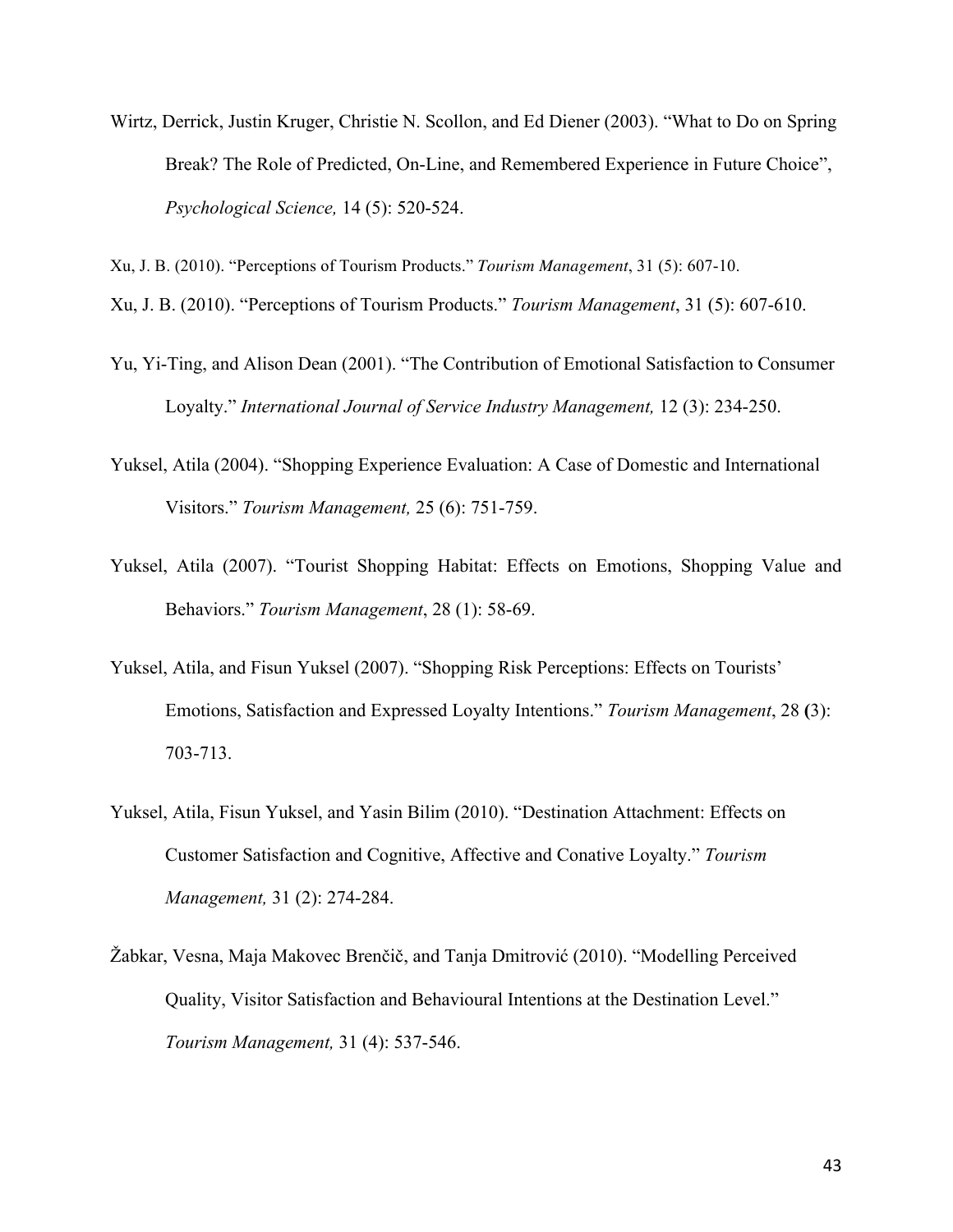Wirtz, Derrick, Justin Kruger, Christie N. Scollon, and Ed Diener (2003). "What to Do on Spring Break? The Role of Predicted, On-Line, and Remembered Experience in Future Choice", *Psychological Science,* 14 (5): 520-524.

Xu, J. B. (2010). "Perceptions of Tourism Products." *Tourism Management*, 31 (5): 607-10.

[Xu, J. B. \(2010\). "Perceptions of Tourism Products."](https://www.researchgate.net/publication/232389700_Perceptions_of_tourism_products?el=1_x_8&enrichId=rgreq-7bbebf15-bd67-4ef8-9c79-6d076f69b6b5&enrichSource=Y292ZXJQYWdlOzI4ODA1NjM5OTtBUzozMTU1NTAzNTIyNDg4MzRAMTQ1MjI0NDQ3NDY5Ng==) *Tourism Management*, 31 (5): 607-610.

- Yu, Yi-Ting, and Alison Dean (2001). "The Contribution of Emotional Satisfaction to Consumer Loyalty." *International Journal of Service Industry Management,* 12 (3): 234-250.
- Yuksel, Atila (2004). ["Shopping Experience Evaluation: A Case of Domestic and International](https://www.researchgate.net/publication/223758519_Shopping_Experience_Evaluation_A_Case_of_Domestic_and_International_Visitors?el=1_x_8&enrichId=rgreq-7bbebf15-bd67-4ef8-9c79-6d076f69b6b5&enrichSource=Y292ZXJQYWdlOzI4ODA1NjM5OTtBUzozMTU1NTAzNTIyNDg4MzRAMTQ1MjI0NDQ3NDY5Ng==) Visitors." *[Tourism Management,](https://www.researchgate.net/publication/223758519_Shopping_Experience_Evaluation_A_Case_of_Domestic_and_International_Visitors?el=1_x_8&enrichId=rgreq-7bbebf15-bd67-4ef8-9c79-6d076f69b6b5&enrichSource=Y292ZXJQYWdlOzI4ODA1NjM5OTtBUzozMTU1NTAzNTIyNDg4MzRAMTQ1MjI0NDQ3NDY5Ng==)* 25 (6): 751-759.
- Yuksel, Atila (2007). "Tourist Shopping Habitat: Effects on Emotions, Shopping Value and Behaviors." *Tourism Management*, 28 (1): 58-69.
- Yuksel, Atila, and Fisun Yuksel (2007). "Shopping Risk Perceptions: Effects on Tourists' Emotions, Satisfaction and Expressed Loyalty Intentions." *Tourism Management*, 28 **(**3): 703-713.
- Yuksel, Atila, Fisun Yuksel, and Yasin Bilim (2010). "Destination Attachment: Effects on Customer Satisfaction and Cognitive, Affective and Conative Loyalty." *Tourism Management,* 31 (2): 274-284.
- Žabkar, Vesna, Maja Makovec Brenčič, and Tanja Dmitrović (2010). "Modelling Perceived Quality, Visitor Satisfaction and Behavioural Intentions at the Destination Level." *Tourism Management,* 31 (4): 537-546.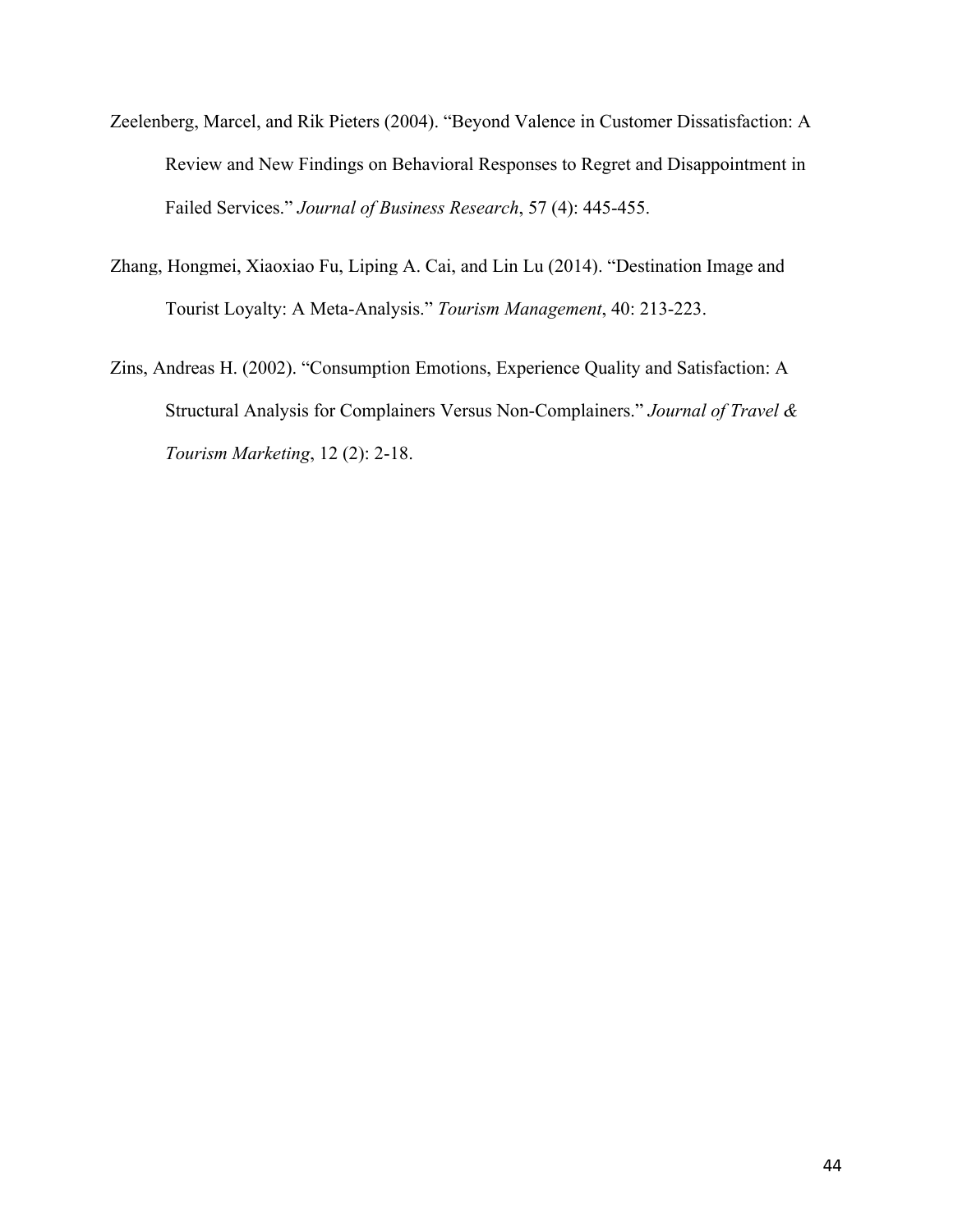- Zeelenberg, Marcel, and Rik Pieters (2004). "Beyond Valence in Customer Dissatisfaction: A Review and New Findings on Behavioral Responses to Regret and Disappointment in Failed Services." *Journal of Business Research*, 57 (4): 445-455.
- [Zhang, Hongmei, Xiaoxiao Fu, Liping A. Cai, and Lin Lu \(2014\). "Destination Image and](https://www.researchgate.net/publication/270829181_Destination_image_and_tourist_loyalty_A_meta-analysis?el=1_x_8&enrichId=rgreq-7bbebf15-bd67-4ef8-9c79-6d076f69b6b5&enrichSource=Y292ZXJQYWdlOzI4ODA1NjM5OTtBUzozMTU1NTAzNTIyNDg4MzRAMTQ1MjI0NDQ3NDY5Ng==) [Tourist Loyalty: A Meta-Analysis."](https://www.researchgate.net/publication/270829181_Destination_image_and_tourist_loyalty_A_meta-analysis?el=1_x_8&enrichId=rgreq-7bbebf15-bd67-4ef8-9c79-6d076f69b6b5&enrichSource=Y292ZXJQYWdlOzI4ODA1NjM5OTtBUzozMTU1NTAzNTIyNDg4MzRAMTQ1MjI0NDQ3NDY5Ng==) *Tourism Management*, 40: 213-223.
- Zins, Andreas H. (2002). "Consumption Emotions, Experience Quality and Satisfaction: A Structural Analysis for Complainers Versus Non-Complainers." *Journal of Travel & Tourism Marketing*, 12 (2): 2-18.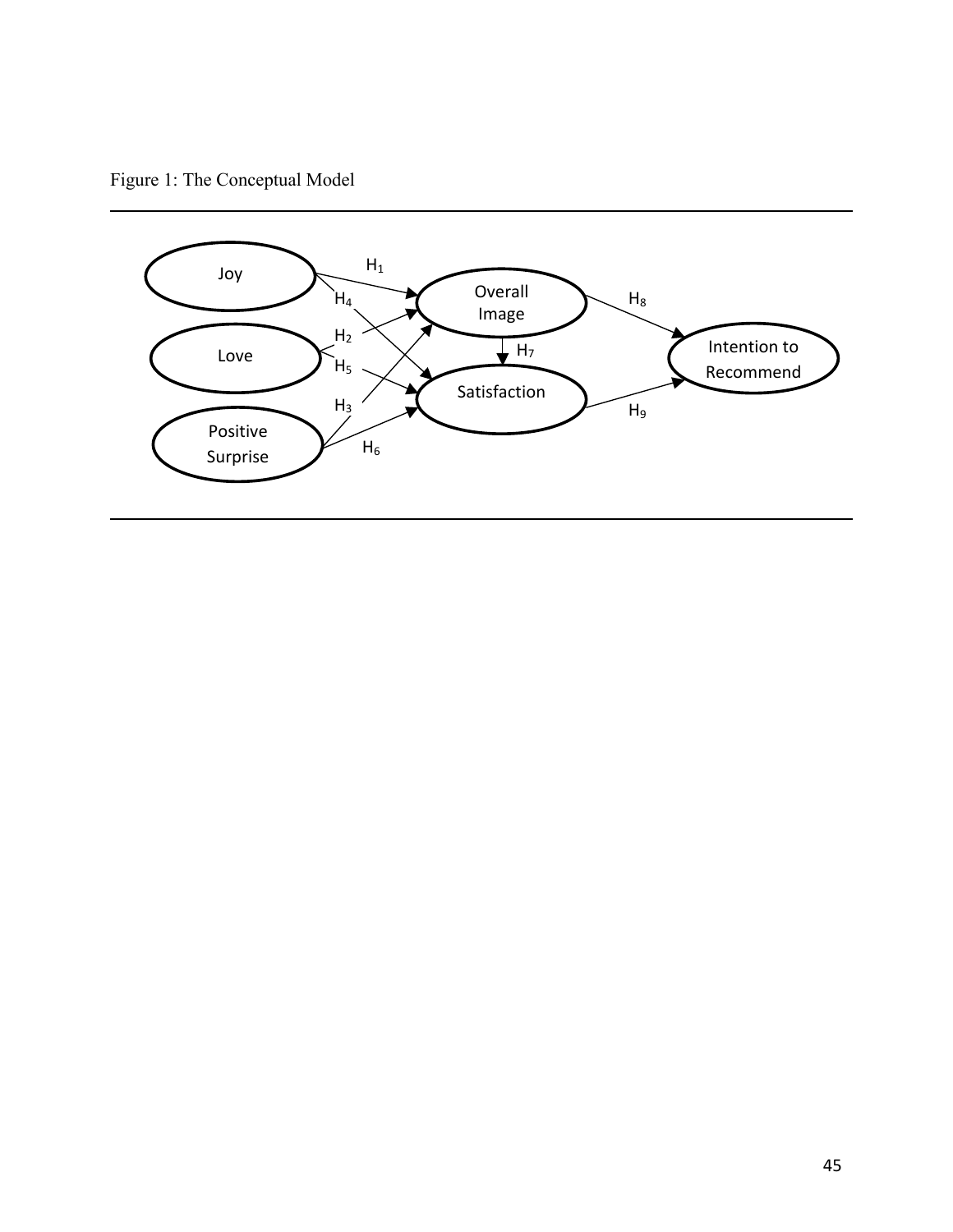Figure 1: The Conceptual Model

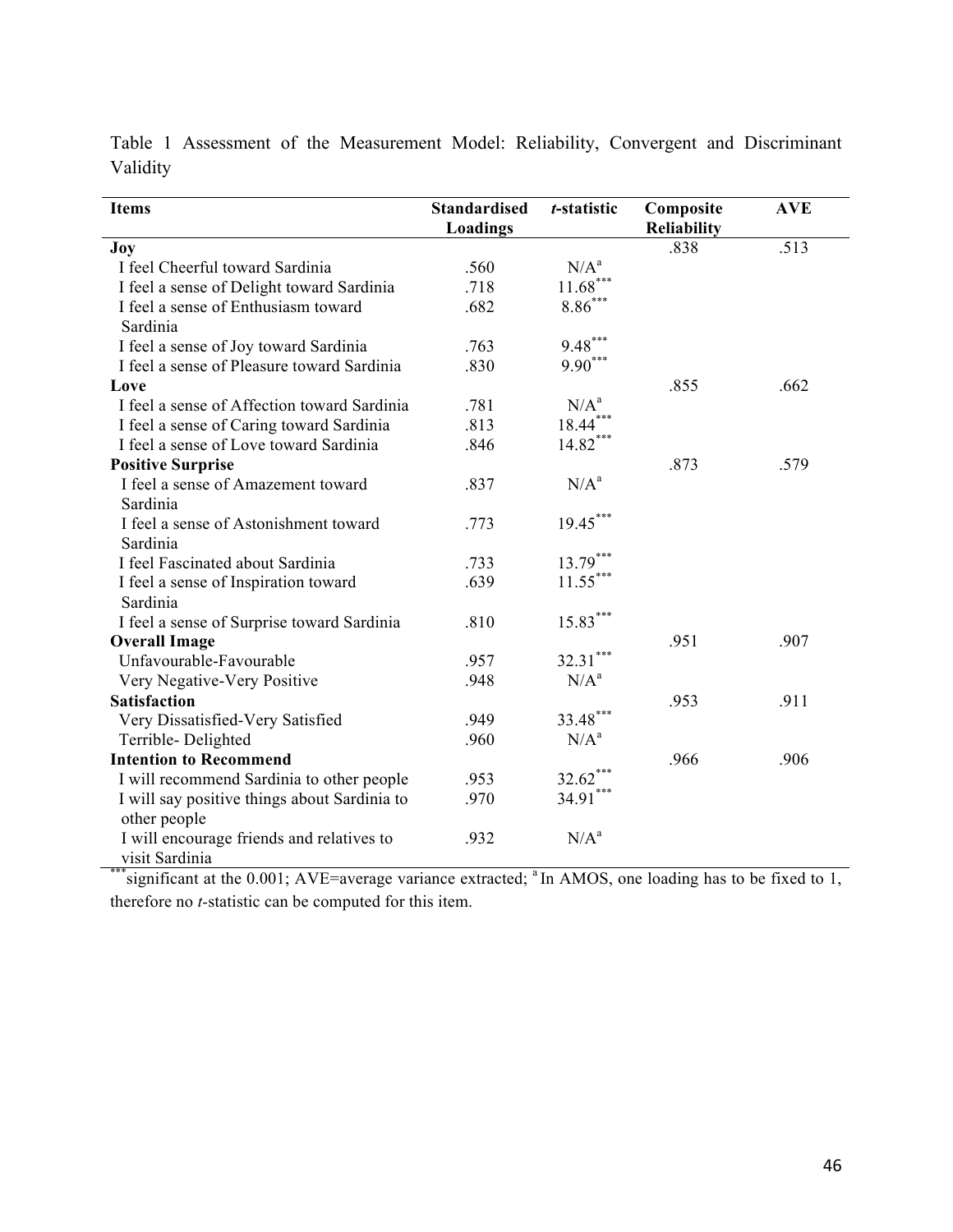| <b>Items</b>                                                | <b>Standardised</b><br>Loadings | t-statistic           | Composite<br>Reliability | <b>AVE</b> |
|-------------------------------------------------------------|---------------------------------|-----------------------|--------------------------|------------|
| Joy                                                         |                                 |                       | .838                     | .513       |
| I feel Cheerful toward Sardinia                             | .560                            | $N/A^a$               |                          |            |
| I feel a sense of Delight toward Sardinia                   | .718                            | $11.68***$            |                          |            |
| I feel a sense of Enthusiasm toward                         | .682                            | $8.86^{\ast\ast\ast}$ |                          |            |
| Sardinia                                                    |                                 |                       |                          |            |
| I feel a sense of Joy toward Sardinia                       | .763                            | $9.48***$             |                          |            |
| I feel a sense of Pleasure toward Sardinia                  | .830                            | $9.90***$             |                          |            |
| Love                                                        |                                 |                       | .855                     | .662       |
| I feel a sense of Affection toward Sardinia                 | .781                            | N/A <sup>a</sup>      |                          |            |
| I feel a sense of Caring toward Sardinia                    | .813                            | $18.44***$            |                          |            |
| I feel a sense of Love toward Sardinia                      | .846                            | $14.82***$            |                          |            |
| <b>Positive Surprise</b>                                    |                                 |                       | .873                     | .579       |
| I feel a sense of Amazement toward                          | .837                            | N/A <sup>a</sup>      |                          |            |
| Sardinia                                                    |                                 |                       |                          |            |
| I feel a sense of Astonishment toward                       | .773                            | $19.45***$            |                          |            |
| Sardinia                                                    |                                 |                       |                          |            |
| I feel Fascinated about Sardinia                            | .733                            | $13.79***$            |                          |            |
| I feel a sense of Inspiration toward                        | .639                            | $11.55***$            |                          |            |
| Sardinia                                                    |                                 |                       |                          |            |
| I feel a sense of Surprise toward Sardinia                  | .810                            | $15.83***$            |                          |            |
| <b>Overall Image</b>                                        |                                 |                       | .951                     | .907       |
| Unfavourable-Favourable                                     | .957                            | $32.31***$            |                          |            |
| Very Negative-Very Positive                                 | .948                            | $N/A^a$               |                          |            |
| <b>Satisfaction</b>                                         |                                 |                       | .953                     | .911       |
| Very Dissatisfied-Very Satisfied                            | .949                            | $33.48***$            |                          |            |
| Terrible-Delighted                                          | .960                            | $N/A^a$               |                          |            |
| <b>Intention to Recommend</b>                               |                                 |                       | .966                     | .906       |
| I will recommend Sardinia to other people                   | .953                            | $32.62***$            |                          |            |
| I will say positive things about Sardinia to                | .970                            | $34.91***$            |                          |            |
| other people                                                |                                 |                       |                          |            |
| I will encourage friends and relatives to<br>visit Sardinia | .932                            | $N/A^a$               |                          |            |

Table 1 Assessment of the Measurement Model: Reliability, Convergent and Discriminant Validity

visit Sardinia<br>\*\*\*significant at the 0.001; AVE=average variance extracted; <sup>a</sup> In AMOS, one loading has to be fixed to 1, therefore no *t-*statistic can be computed for this item.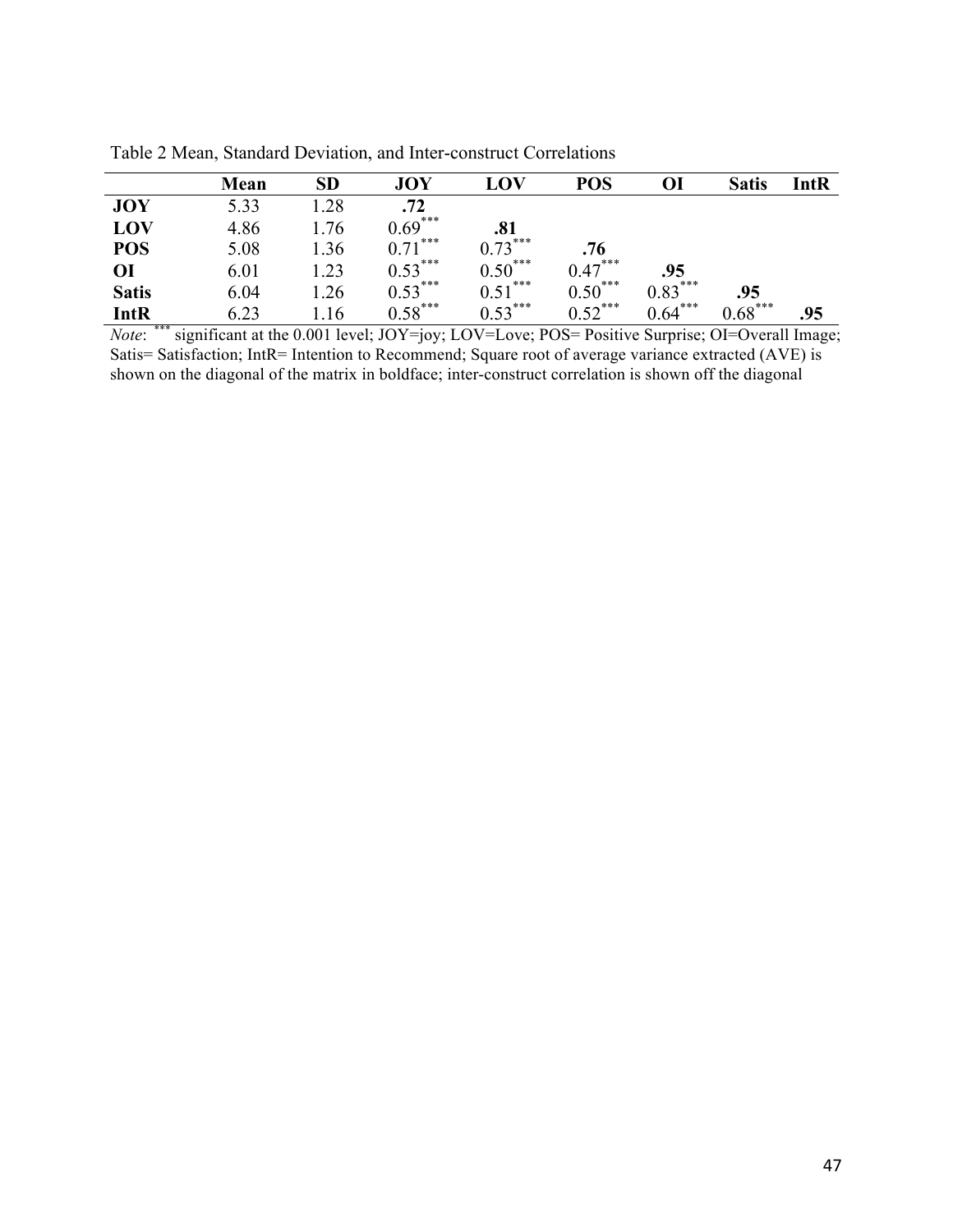|              | Mean | SD               | <b>JOY</b> | LOV       | <b>POS</b> | OI        | <b>Satis</b> | IntR |
|--------------|------|------------------|------------|-----------|------------|-----------|--------------|------|
| <b>JOY</b>   | 5.33 | .28              | .72        |           |            |           |              |      |
| LOV          | 4.86 | .76              | $0.69***$  | .81       |            |           |              |      |
| <b>POS</b>   | 5.08 | $\overline{.}36$ | $0.71***$  | $0.73***$ | .76        |           |              |      |
| OI           | 6.01 | $\overline{23}$  | $0.53***$  | $0.50***$ | $0.47***$  | .95       |              |      |
| <b>Satis</b> | 6.04 | .26              | $0.53***$  | $0.51***$ | $0.50***$  | $0.83***$ | .95          |      |
| IntR         | 6.23 | .16              | $0.58***$  | $0.53***$ | $0.52***$  | $0.64***$ | $0.68***$    | .95  |

Table 2 Mean, Standard Deviation, and Inter-construct Correlations

*Note*: \*\*\* significant at the 0.001 level; JOY=joy; LOV=Love; POS= Positive Surprise; OI=Overall Image; Satis= Satisfaction; IntR= Intention to Recommend; Square root of average variance extracted (AVE) is shown on the diagonal of the matrix in boldface; inter-construct correlation is shown off the diagonal